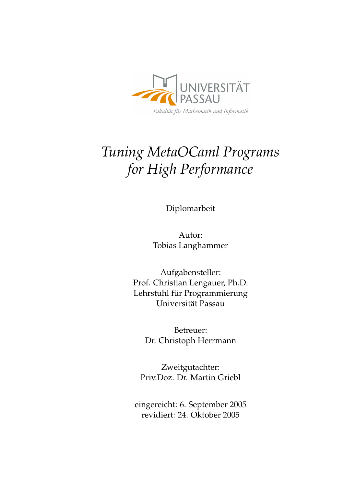

# *Tuning MetaOCaml Programs for High Performance*

Diplomarbeit

Autor: Tobias Langhammer

Aufgabensteller: Prof. Christian Lengauer, Ph.D. Lehrstuhl für Programmierung Universität Passau

> Betreuer: Dr. Christoph Herrmann

Zweitgutachter: Priv.Doz. Dr. Martin Griebl

eingereicht: 6. September 2005 revidiert: 24. Oktober 2005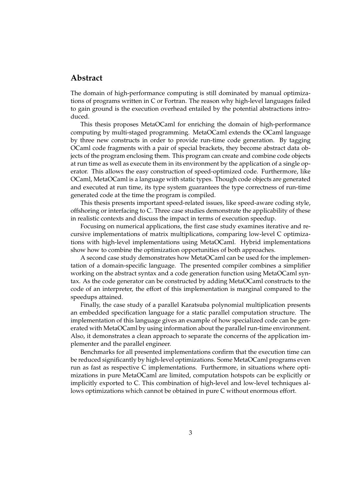### **Abstract**

The domain of high-performance computing is still dominated by manual optimizations of programs written in C or Fortran. The reason why high-level languages failed to gain ground is the execution overhead entailed by the potential abstractions introduced.

This thesis proposes MetaOCaml for enriching the domain of high-performance computing by multi-staged programming. MetaOCaml extends the OCaml language by three new constructs in order to provide run-time code generation. By tagging OCaml code fragments with a pair of special brackets, they become abstract data objects of the program enclosing them. This program can create and combine code objects at run time as well as execute them in its environment by the application of a single operator. This allows the easy construction of speed-optimized code. Furthermore, like OCaml, MetaOCaml is a language with static types. Though code objects are generated and executed at run time, its type system guarantees the type correctness of run-time generated code at the time the program is compiled.

This thesis presents important speed-related issues, like speed-aware coding style, offshoring or interfacing to C. Three case studies demonstrate the applicability of these in realistic contexts and discuss the impact in terms of execution speedup.

Focusing on numerical applications, the first case study examines iterative and recursive implementations of matrix multiplications, comparing low-level C optimizations with high-level implementations using MetaOCaml. Hybrid implementations show how to combine the optimization opportunities of both approaches.

A second case study demonstrates how MetaOCaml can be used for the implementation of a domain-specific language. The presented compiler combines a simplifier working on the abstract syntax and a code generation function using MetaOCaml syntax. As the code generator can be constructed by adding MetaOCaml constructs to the code of an interpreter, the effort of this implementation is marginal compared to the speedups attained.

Finally, the case study of a parallel Karatsuba polynomial multiplication presents an embedded specification language for a static parallel computation structure. The implementation of this language gives an example of how specialized code can be generated with MetaOCaml by using information about the parallel run-time environment. Also, it demonstrates a clean approach to separate the concerns of the application implementer and the parallel engineer.

Benchmarks for all presented implementations confirm that the execution time can be reduced significantly by high-level optimizations. Some MetaOCaml programs even run as fast as respective C implementations. Furthermore, in situations where optimizations in pure MetaOCaml are limited, computation hotspots can be explicitly or implicitly exported to C. This combination of high-level and low-level techniques allows optimizations which cannot be obtained in pure C without enormous effort.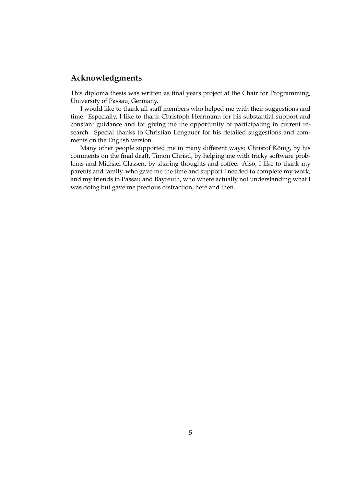## **Acknowledgments**

This diploma thesis was written as final years project at the Chair for Programming, University of Passau, Germany.

I would like to thank all staff members who helped me with their suggestions and time. Especially, I like to thank Christoph Herrmann for his substantial support and constant guidance and for giving me the opportunity of participating in current research. Special thanks to Christian Lengauer for his detailed suggestions and comments on the English version.

Many other people supported me in many different ways: Christof König, by his comments on the final draft, Timon Christl, by helping me with tricky software problems and Michael Classen, by sharing thoughts and coffee. Also, I like to thank my parents and family, who gave me the time and support I needed to complete my work, and my friends in Passau and Bayreuth, who where actually not understanding what I was doing but gave me precious distraction, here and then.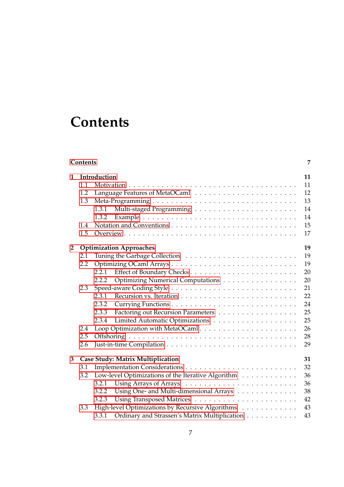# **Contents**

<span id="page-6-0"></span>

|                | Contents<br>7                                  |                                                        |    |  |  |  |  |  |
|----------------|------------------------------------------------|--------------------------------------------------------|----|--|--|--|--|--|
| $\mathbf{1}$   |                                                | Introduction                                           | 11 |  |  |  |  |  |
|                | 1.1                                            |                                                        | 11 |  |  |  |  |  |
|                | 1.2                                            | Language Features of MetaOCaml                         | 12 |  |  |  |  |  |
|                | 1.3                                            |                                                        | 13 |  |  |  |  |  |
|                |                                                | 1.3.1                                                  | 14 |  |  |  |  |  |
|                |                                                | 1.3.2                                                  | 14 |  |  |  |  |  |
|                | 1.4                                            |                                                        | 15 |  |  |  |  |  |
|                | 1.5                                            |                                                        | 17 |  |  |  |  |  |
| $\overline{2}$ |                                                | <b>Optimization Approaches</b>                         | 19 |  |  |  |  |  |
|                | 2.1                                            |                                                        | 19 |  |  |  |  |  |
|                | $2.2\,$                                        |                                                        | 19 |  |  |  |  |  |
|                |                                                | 2.2.1                                                  | 20 |  |  |  |  |  |
|                |                                                | Optimizing Numerical Computations<br>2.2.2             | 20 |  |  |  |  |  |
|                | 2.3                                            |                                                        | 21 |  |  |  |  |  |
|                |                                                | 2.3.1                                                  | 22 |  |  |  |  |  |
|                |                                                | 2.3.2                                                  | 24 |  |  |  |  |  |
|                |                                                | Factoring out Recursion Parameters<br>2.3.3            | 25 |  |  |  |  |  |
|                |                                                | 2.3.4                                                  | 25 |  |  |  |  |  |
|                | 2.4                                            | Loop Optimization with MetaOCaml                       | 26 |  |  |  |  |  |
|                | 2.5                                            |                                                        | 28 |  |  |  |  |  |
|                | 2.6                                            |                                                        | 29 |  |  |  |  |  |
| 3              | <b>Case Study: Matrix Multiplication</b><br>31 |                                                        |    |  |  |  |  |  |
|                | 3.1                                            |                                                        | 32 |  |  |  |  |  |
|                | 3.2                                            | Low-level Optimizations of the Iterative Algorithm     | 36 |  |  |  |  |  |
|                |                                                | 3.2.1                                                  | 36 |  |  |  |  |  |
|                |                                                | Using One- and Multi-dimensional Arrays<br>3.2.2       | 38 |  |  |  |  |  |
|                |                                                | 3.2.3                                                  | 42 |  |  |  |  |  |
|                | 3.3                                            | High-level Optimizations by Recursive Algorithms       | 43 |  |  |  |  |  |
|                |                                                | Ordinary and Strassen's Matrix Multiplication<br>3.3.1 | 43 |  |  |  |  |  |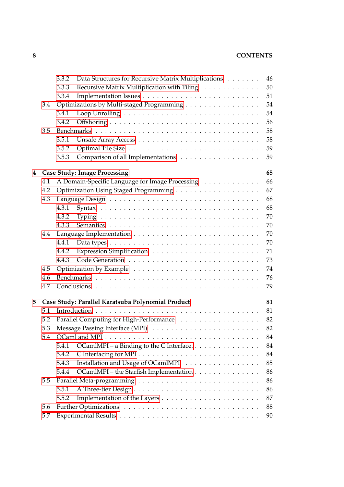|   |                                           | 3.3.2 | Data Structures for Recursive Matrix Multiplications | 46 |  |  |  |  |
|---|-------------------------------------------|-------|------------------------------------------------------|----|--|--|--|--|
|   |                                           | 3.3.3 | Recursive Matrix Multiplication with Tiling          | 50 |  |  |  |  |
|   |                                           | 3.3.4 |                                                      | 51 |  |  |  |  |
|   | 3.4                                       |       | Optimizations by Multi-staged Programming            | 54 |  |  |  |  |
|   |                                           | 3.4.1 |                                                      | 54 |  |  |  |  |
|   |                                           | 3.4.2 |                                                      | 56 |  |  |  |  |
|   | 3.5                                       |       |                                                      | 58 |  |  |  |  |
|   |                                           | 3.5.1 |                                                      | 58 |  |  |  |  |
|   |                                           | 3.5.2 |                                                      | 59 |  |  |  |  |
|   |                                           | 3.5.3 | Comparison of all Implementations                    | 59 |  |  |  |  |
| 4 | <b>Case Study: Image Processing</b><br>65 |       |                                                      |    |  |  |  |  |
|   | 4.1                                       |       | A Domain-Specific Language for Image Processing      | 66 |  |  |  |  |
|   | 4.2                                       |       |                                                      | 67 |  |  |  |  |
|   | 4.3                                       |       |                                                      | 68 |  |  |  |  |
|   |                                           | 4.3.1 |                                                      | 68 |  |  |  |  |
|   |                                           | 4.3.2 |                                                      | 70 |  |  |  |  |
|   |                                           | 4.3.3 |                                                      | 70 |  |  |  |  |
|   | 4.4                                       |       |                                                      | 70 |  |  |  |  |
|   |                                           | 4.4.1 |                                                      | 70 |  |  |  |  |
|   |                                           | 4.4.2 |                                                      | 71 |  |  |  |  |
|   |                                           | 4.4.3 |                                                      | 73 |  |  |  |  |
|   | 4.5                                       |       |                                                      | 74 |  |  |  |  |
|   | 4.6                                       |       |                                                      | 76 |  |  |  |  |
|   | 4.7                                       |       |                                                      | 79 |  |  |  |  |
| 5 |                                           |       | Case Study: Parallel Karatsuba Polynomial Product    | 81 |  |  |  |  |
|   | 5.1                                       |       |                                                      | 81 |  |  |  |  |
|   | 5.2                                       |       | Parallel Computing for High-Performance              | 82 |  |  |  |  |
|   | 5.3                                       |       |                                                      | 82 |  |  |  |  |
|   | 5.4                                       |       |                                                      | 84 |  |  |  |  |
|   |                                           | 5.4.1 | OCamlMPI – a Binding to the C Interface.             | 84 |  |  |  |  |
|   |                                           | 5.4.2 |                                                      | 84 |  |  |  |  |
|   |                                           | 5.4.3 | Installation and Usage of OCamlMPI                   | 85 |  |  |  |  |
|   |                                           | 5.4.4 | OCamlMPI – the Starfish Implementation               | 86 |  |  |  |  |
|   | 5.5                                       |       |                                                      | 86 |  |  |  |  |
|   |                                           | 5.5.1 |                                                      | 86 |  |  |  |  |
|   |                                           | 5.5.2 |                                                      | 87 |  |  |  |  |
|   | 5.6                                       |       |                                                      | 88 |  |  |  |  |
|   | 5.7                                       |       |                                                      | 90 |  |  |  |  |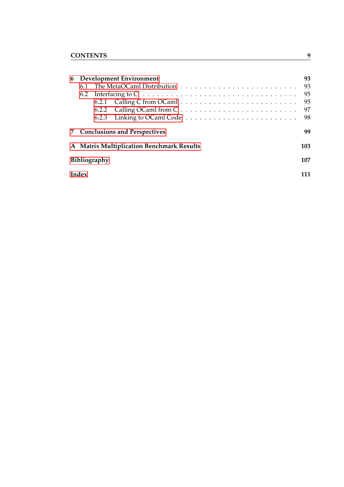| 6 Development Environment |              |                                                                                                     | 93  |  |
|---------------------------|--------------|-----------------------------------------------------------------------------------------------------|-----|--|
|                           |              |                                                                                                     | 93  |  |
|                           |              | 6.2 Interfacing to $C \ldots \ldots \ldots \ldots \ldots \ldots \ldots \ldots \ldots \ldots \ldots$ | 95  |  |
|                           |              |                                                                                                     | 95  |  |
|                           |              |                                                                                                     | 97  |  |
|                           |              |                                                                                                     | 98  |  |
|                           |              | 7 Conclusions and Perspectives                                                                      | 99  |  |
|                           |              | A Matrix Multiplication Benchmark Results                                                           | 103 |  |
|                           | Bibliography |                                                                                                     | 107 |  |
| Index<br>111              |              |                                                                                                     |     |  |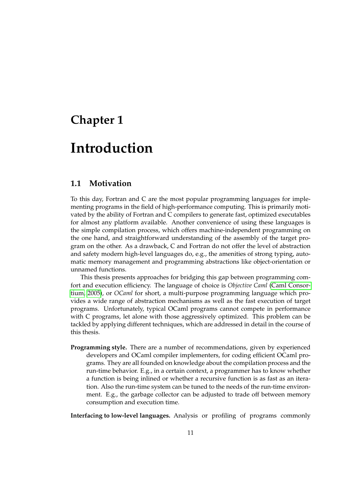## **Chapter 1**

## **Introduction**

### **1.1 Motivation**

To this day, Fortran and C are the most popular programming languages for implementing programs in the field of high-performance computing. This is primarily motivated by the ability of Fortran and C compilers to generate fast, optimized executables for almost any platform available. Another convenience of using these languages is the simple compilation process, which offers machine-independent programming on the one hand, and straightforward understanding of the assembly of the target program on the other. As a drawback, C and Fortran do not offer the level of abstraction and safety modern high-level languages do, e.g., the amenities of strong typing, automatic memory management and programming abstractions like object-orientation or unnamed functions.

This thesis presents approaches for bridging this gap between programming comfort and execution efficiency. The language of choice is *Objective Caml* [\(Caml Consor](#page-106-1)[tium, 2005\)](#page-106-1), or *OCaml* for short, a multi-purpose programming language which provides a wide range of abstraction mechanisms as well as the fast execution of target programs. Unfortunately, typical OCaml programs cannot compete in performance with C programs, let alone with those aggressively optimized. This problem can be tackled by applying different techniques, which are addressed in detail in the course of this thesis.

**Programming style.** There are a number of recommendations, given by experienced developers and OCaml compiler implementers, for coding efficient OCaml programs. They are all founded on knowledge about the compilation process and the run-time behavior. E.g., in a certain context, a programmer has to know whether a function is being inlined or whether a recursive function is as fast as an iteration. Also the run-time system can be tuned to the needs of the run-time environment. E.g., the garbage collector can be adjusted to trade off between memory consumption and execution time.

**Interfacing to low-level languages.** Analysis or profiling of programs commonly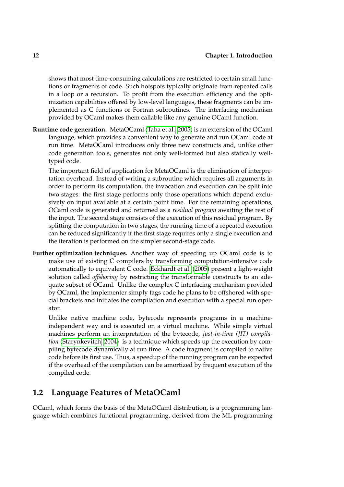shows that most time-consuming calculations are restricted to certain small functions or fragments of code. Such hotspots typically originate from repeated calls in a loop or a recursion. To profit from the execution efficiency and the optimization capabilities offered by low-level languages, these fragments can be implemented as C functions or Fortran subroutines. The interfacing mechanism provided by OCaml makes them callable like any genuine OCaml function.

**Runtime code generation.** MetaOCaml [\(Taha et al., 2005\)](#page-109-0) is an extension of the OCaml language, which provides a convenient way to generate and run OCaml code at run time. MetaOCaml introduces only three new constructs and, unlike other code generation tools, generates not only well-formed but also statically welltyped code.

The important field of application for MetaOCaml is the elimination of interpretation overhead. Instead of writing a subroutine which requires all arguments in order to perform its computation, the invocation and execution can be split into two stages: the first stage performs only those operations which depend exclusively on input available at a certain point time. For the remaining operations, OCaml code is generated and returned as a *residual program* awaiting the rest of the input. The second stage consists of the execution of this residual program. By splitting the computation in two stages, the running time of a repeated execution can be reduced significantly if the first stage requires only a single execution and the iteration is performed on the simpler second-stage code.

**Further optimization techniques.** Another way of speeding up OCaml code is to make use of existing C compilers by transforming computation-intensive code automatically to equivalent C code. [Eckhardt et al.](#page-107-0) [\(2005\)](#page-107-0) present a light-weight solution called *offshoring* by restricting the transformable constructs to an adequate subset of OCaml. Unlike the complex C interfacing mechanism provided by OCaml, the implementer simply tags code he plans to be offshored with special brackets and initiates the compilation and execution with a special run operator.

Unlike native machine code, bytecode represents programs in a machineindependent way and is executed on a virtual machine. While simple virtual machines perform an interpretation of the bytecode, *just-in-time (JIT) compilation* [\(Starynkevitch, 2004\)](#page-108-0) is a technique which speeds up the execution by compiling bytecode dynamically at run time. A code fragment is compiled to native code before its first use. Thus, a speedup of the running program can be expected if the overhead of the compilation can be amortized by frequent execution of the compiled code.

## **1.2 Language Features of MetaOCaml**

OCaml, which forms the basis of the MetaOCaml distribution, is a programming language which combines functional programming, derived from the ML programming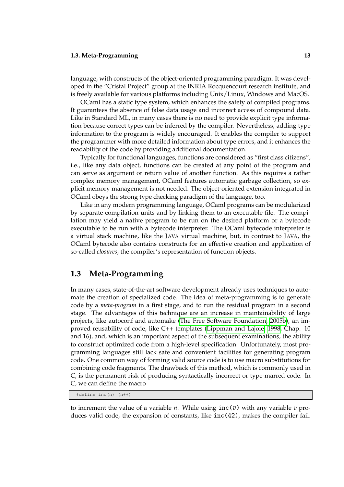language, with constructs of the object-oriented programming paradigm. It was developed in the "Cristal Project" group at the INRIA Rocquencourt research institute, and is freely available for various platforms including Unix/Linux, Windows and MacOS.

OCaml has a static type system, which enhances the safety of compiled programs. It guarantees the absence of false data usage and incorrect access of compound data. Like in Standard ML, in many cases there is no need to provide explicit type information because correct types can be inferred by the compiler. Nevertheless, adding type information to the program is widely encouraged. It enables the compiler to support the programmer with more detailed information about type errors, and it enhances the readability of the code by providing additional documentation.

Typically for functional languages, functions are considered as "first class citizens", i.e., like any data object, functions can be created at any point of the program and can serve as argument or return value of another function. As this requires a rather complex memory management, OCaml features automatic garbage collection, so explicit memory management is not needed. The object-oriented extension integrated in OCaml obeys the strong type checking paradigm of the language, too.

Like in any modern programming language, OCaml programs can be modularized by separate compilation units and by linking them to an executable file. The compilation may yield a native program to be run on the desired platform or a bytecode executable to be run with a bytecode interpreter. The OCaml bytecode interpreter is a virtual stack machine, like the JAVA virtual machine, but, in contrast to JAVA, the OCaml bytecode also contains constructs for an effective creation and application of so-called *closures*, the compiler's representation of function objects.

## **1.3 Meta-Programming**

In many cases, state-of-the-art software development already uses techniques to automate the creation of specialized code. The idea of meta-programming is to generate code by a *meta-program* in a first stage, and to run the residual program in a second stage. The advantages of this technique are an increase in maintainability of large projects, like autoconf and automake [\(The Free Software Foundation, 2005b\)](#page-109-1), an improved reusability of code, like C++ templates [\(Lippman and Lajoie, 1998,](#page-108-1) Chap. 10 and 16), and, which is an important aspect of the subsequent examinations, the ability to construct optimized code from a high-level specification. Unfortunately, most programming languages still lack safe and convenient facilities for generating program code. One common way of forming valid source code is to use macro substitutions for combining code fragments. The drawback of this method, which is commonly used in C, is the permanent risk of producing syntactically incorrect or type-marred code. In C, we can define the macro

<span id="page-12-0"></span>#define inc(n) (n++)

to increment the value of a variable *n*. While using inc(*v*) with any variable *v* produces valid code, the expansion of constants, like inc(42), makes the compiler fail.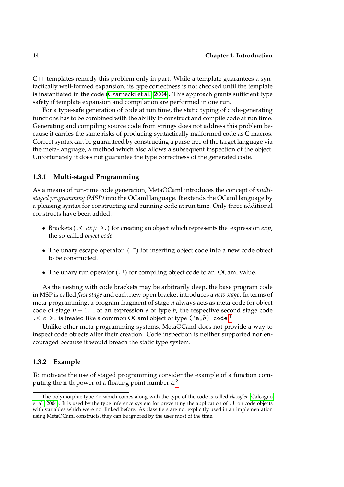C++ templates remedy this problem only in part. While a template guarantees a syntactically well-formed expansion, its type correctness is not checked until the template is instantiated in the code [\(Czarnecki et al., 2004\)](#page-106-2). This approach grants sufficient type safety if template expansion and compilation are performed in one run.

For a type-safe generation of code at run time, the static typing of code-generating functions has to be combined with the ability to construct and compile code at run time. Generating and compiling source code from strings does not address this problem because it carries the same risks of producing syntactically malformed code as C macros. Correct syntax can be guaranteed by constructing a parse tree of the target language via the meta-language, a method which also allows a subsequent inspection of the object. Unfortunately it does not guarantee the type correctness of the generated code.

#### **1.3.1 Multi-staged Programming**

As a means of run-time code generation, MetaOCaml introduces the concept of *multistaged programming (MSP)* into the OCaml language. It extends the OCaml language by a pleasing syntax for constructing and running code at run time. Only three additional constructs have been added:

- Brackets (.< *exp* >.) for creating an object which represents the expression *exp*, the so-called *object code*.
- The unary escape operator  $(\cdot, \tilde{\cdot})$  for inserting object code into a new code object to be constructed.
- The unary run operator  $(.!)$  for compiling object code to an OCaml value.

As the nesting with code brackets may be arbitrarily deep, the base program code in MSP is called *first stage* and each new open bracket introduces a *new stage*. In terms of meta-programming, a program fragment of stage *n* always acts as meta-code for object code of stage  $n + 1$ . For an expression *e* of type *b*, the respective second stage code .< *e* >. is treated like a common OCaml object of type ('a,*b*) code. [1](#page-13-0)

Unlike other meta-programming systems, MetaOCaml does not provide a way to inspect code objects after their creation. Code inspection is neither supported nor encouraged because it would breach the static type system.

#### **1.3.2 Example**

To motivate the use of staged programming consider the example of a function computing the  ${\tt n\text{-}th}$  power of a floating point number  ${\tt a\text{-}l}$ 

<span id="page-13-0"></span><sup>&</sup>lt;sup>1</sup>The polymorphic type 'a which comes along with the type of the code is called *classifier* [\(Calcagno](#page-106-3) [et al., 2004\)](#page-106-3). It is used by the type inference system for preventing the application of .! on code objects with variables which were not linked before. As classifiers are not explicitly used in an implementation using MetaOCaml constructs, they can be ignored by the user most of the time.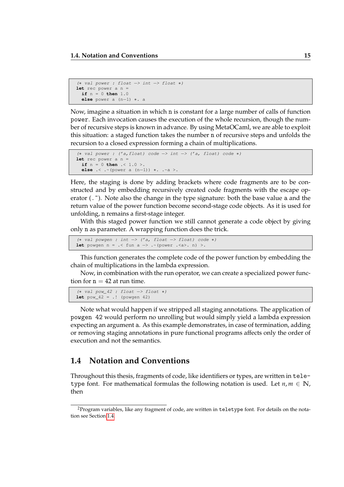```
(∗ val power : float −> int −> float ∗)
let rec power a n =
 if n = 0 then 1.0
 else power a (n−1) ∗. a
```
Now, imagine a situation in which n is constant for a large number of calls of function power. Each invocation causes the execution of the whole recursion, though the number of recursive steps is known in advance. By using MetaOCaml, we are able to exploit this situation: a staged function takes the number n of recursive steps and unfolds the recursion to a closed expression forming a chain of multiplications.

```
(∗ val power : ('a,float) code −> int −> ('a, float) code ∗)
let rec power a n =
 if n = 0 then .< 1.0 >.
 else .< .~(power a (n−1)) ∗. .~a >.
```
Here, the staging is done by adding brackets where code fragments are to be constructed and by embedding recursively created code fragments with the escape operator (.<sup>\*</sup>). Note also the change in the type signature: both the base value a and the return value of the power function become second-stage code objects. As it is used for unfolding, n remains a first-stage integer.

With this staged power function we still cannot generate a code object by giving only n as parameter. A wrapping function does the trick.

```
(∗ val powgen : int −> ('a, float −> float) code ∗)
let powgen n = .< fun a \rightarrow .~(power .<a>. n) >.
```
This function generates the complete code of the power function by embedding the chain of multiplications in the lambda expression.

Now, in combination with the run operator, we can create a specialized power function for  $n = 42$  at run time.

```
(∗ val pow_42 : float −> float ∗)
let pow_42 = .! (powgen 42)
```
Note what would happen if we stripped all staging annotations. The application of powgen 42 would perform no unrolling but would simply yield a lambda expression expecting an argument a. As this example demonstrates, in case of termination, adding or removing staging annotations in pure functional programs affects only the order of execution and not the semantics.

## **1.4 Notation and Conventions**

Throughout this thesis, fragments of code, like identifiers or types, are written in teletype font. For mathematical formulas the following notation is used. Let  $n, m \in \mathbb{N}$ , then

<span id="page-14-1"></span><sup>&</sup>lt;sup>2</sup>Program variables, like any fragment of code, are written in teletype font. For details on the notation see Section [1.4.](#page-14-0)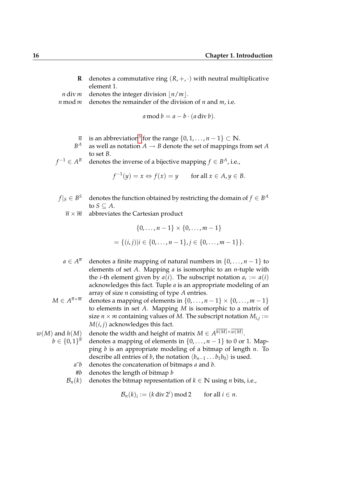**R** denotes a commutative ring  $(R, +, \cdot)$  with neutral multiplicative element 1.

*n* div *m* denotes the integer division  $\left| n/m \right|$ .

*n* mod *m* denotes the remainder of the division of *n* and *m*, i.e.

$$
a \bmod b = a - b \cdot (a \operatorname{div} b).
$$

- $\overline{n}$  is an abbreviation<sup>[3](#page-16-0)</sup> for the range  $\{0, 1, \ldots, n-1\} \subset \mathbb{N}$ .
- $B^A$ as well as notation  $A \rightarrow B$  denote the set of mappings from set *A* to set *B*.

$$
f^{-1} \in A^B
$$
 denotes the inverse of a bijective mapping  $f \in B^A$ , i.e.,

$$
f^{-1}(y) = x \Leftrightarrow f(x) = y \quad \text{for all } x \in A, y \in B.
$$

- $f|_S \in B^S$ *S* denotes the function obtained by restricting the domain of  $f \in B^A$ to  $S \subseteq A$ .
	- $\overline{n} \times \overline{m}$  abbreviates the Cartesian product

$$
\{0,\ldots,n-1\} \times \{0,\ldots,m-1\}
$$
  
=  $\{(i,j)|i \in \{0,\ldots,n-1\},j \in \{0,\ldots,m-1\}\}.$ 

- $a \in A^{\overline{n}}$ *denotes a finite mapping of natural numbers in*  $\{0, \ldots, n-1\}$  to elements of set *A*. Mapping *a* is isomorphic to an *n*-tuple with the *i*-th element given by  $a(i)$ . The subscript notation  $a_i := a(i)$ acknowledges this fact. Tuple *a* is an appropriate modeling of an array of size *n* consisting of type *A* entries.
- $M \in A^{\overline{n} \times \overline{m}}$ *denotes a mapping of elements in*  $\{0, \ldots, n-1\} \times \{0, \ldots, m-1\}$ to elements in set *A*. Mapping *M* is isomorphic to a matrix of size  $n \times m$  containing values of M. The subscript notation  $M_{i,j} :=$  $M(i, j)$  acknowledges this fact.

 $w(M)$  and  $h(M)$  denote the width and height of matrix  $M \in A^{h(M) \times w(M)}$ .

- $b \in \{0,1\}^{\overline{n}}$ *denotes a mapping of elements in*  $\{0, \ldots, n-1\}$  to 0 or 1. Mapping *b* is an appropriate modeling of a bitmap of length *n*. To describe all entries of *b*, the notation  $\langle b_{n-1} \dots b_1 b_0 \rangle$  is used.
	- *a*ˆ*b* denotes the concatenation of bitmaps *a* and *b*.
	- #*b* denotes the length of bitmap *b*
	- $\mathcal{B}_n(k)$  denotes the bitmap representation of  $k \in \mathbb{N}$  using *n* bits, i.e.,

 $\mathcal{B}_n(k)_i := (k \operatorname{div} 2^i)$ for all  $i \in n$ .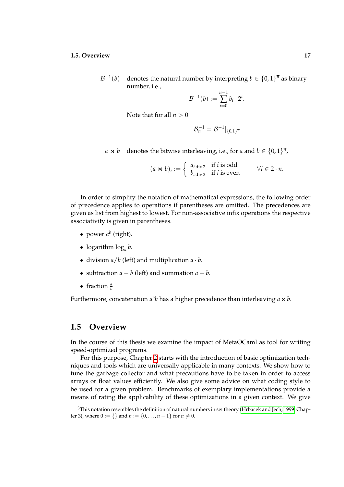$\mathcal{B}^{-1}$ (*b*) denotes the natural number by interpreting  $b \in \{0,1\}^{\overline{n}}$  as binary number, i.e.,

$$
\mathcal{B}^{-1}(b) := \sum_{i=0}^{n-1} b_i \cdot 2^i
$$

.

Note that for all  $n > 0$ 

$$
\mathcal{B}_n^{-1} = \mathcal{B}^{-1}|_{\{0,1\}^{\overline{n}}}
$$

*a* **×** *b* denotes the bitwise interleaving, i.e., for *a* and *b* ∈ {0, 1}<sup>*n*</sup>,

$$
(a \Join b)_i := \begin{cases} a_{i \text{ div } 2} & \text{if } i \text{ is odd} \\ b_{i \text{ div } 2} & \text{if } i \text{ is even} \end{cases} \forall i \in \overline{2 \cdot n}.
$$

In order to simplify the notation of mathematical expressions, the following order of precedence applies to operations if parentheses are omitted. The precedences are given as list from highest to lowest. For non-associative infix operations the respective associativity is given in parentheses.

- power  $a^b$  (right).
- logarithm log*<sup>a</sup> b*.
- division  $a/b$  (left) and multiplication  $a \cdot b$ .
- subtraction  $a b$  (left) and summation  $a + b$ .
- fraction  $\frac{a}{b}$

Furthermore, concatenation  $a^b$  has a higher precedence than interleaving  $a \Join b$ .

## **1.5 Overview**

In the course of this thesis we examine the impact of MetaOCaml as tool for writing speed-optimized programs.

For this purpose, Chapter [2](#page-14-0) starts with the introduction of basic optimization techniques and tools which are universally applicable in many contexts. We show how to tune the garbage collector and what precautions have to be taken in order to access arrays or float values efficiently. We also give some advice on what coding style to be used for a given problem. Benchmarks of exemplary implementations provide a means of rating the applicability of these optimizations in a given context. We give

<span id="page-16-0"></span><sup>&</sup>lt;sup>3</sup>This notation resembles the definition of natural numbers in set theory [\(Hrbacek and Jech, 1999,](#page-107-1) Chapter 3), where  $0 := \{\}$  and  $n := \{0, \ldots, n-1\}$  for  $n \neq 0$ .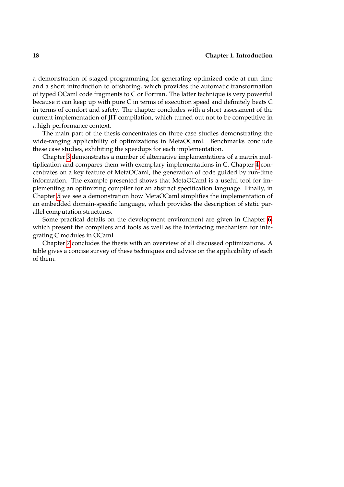a demonstration of staged programming for generating optimized code at run time and a short introduction to offshoring, which provides the automatic transformation of typed OCaml code fragments to C or Fortran. The latter technique is very powerful because it can keep up with pure C in terms of execution speed and definitely beats C in terms of comfort and safety. The chapter concludes with a short assessment of the current implementation of JIT compilation, which turned out not to be competitive in a high-performance context.

The main part of the thesis concentrates on three case studies demonstrating the wide-ranging applicability of optimizations in MetaOCaml. Benchmarks conclude these case studies, exhibiting the speedups for each implementation.

Chapter [3](#page-26-0) demonstrates a number of alternative implementations of a matrix multiplication and compares them with exemplary implementations in C. Chapter [4](#page-60-0) concentrates on a key feature of MetaOCaml, the generation of code guided by run-time information. The example presented shows that MetaOCaml is a useful tool for implementing an optimizing compiler for an abstract specification language. Finally, in Chapter [5](#page-77-0) we see a demonstration how MetaOCaml simplifies the implementation of an embedded domain-specific language, which provides the description of static parallel computation structures.

Some practical details on the development environment are given in Chapter [6,](#page-90-0) which present the compilers and tools as well as the interfacing mechanism for integrating C modules in OCaml.

Chapter [7](#page-97-0) concludes the thesis with an overview of all discussed optimizations. A table gives a concise survey of these techniques and advice on the applicability of each of them.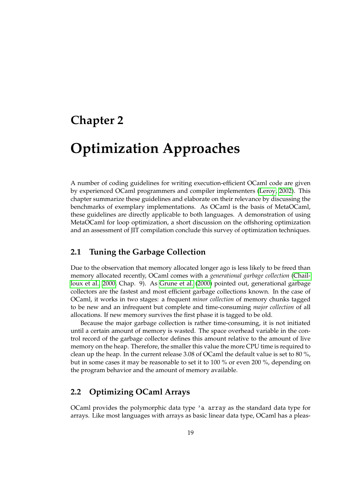## **Chapter 2**

# **Optimization Approaches**

A number of coding guidelines for writing execution-efficient OCaml code are given by experienced OCaml programmers and compiler implementers [\(Leroy, 2002\)](#page-108-2). This chapter summarize these guidelines and elaborate on their relevance by discussing the benchmarks of exemplary implementations. As OCaml is the basis of MetaOCaml, these guidelines are directly applicable to both languages. A demonstration of using MetaOCaml for loop optimization, a short discussion on the offshoring optimization and an assessment of JIT compilation conclude this survey of optimization techniques.

## **2.1 Tuning the Garbage Collection**

Due to the observation that memory allocated longer ago is less likely to be freed than memory allocated recently, OCaml comes with a *generational garbage collection* [\(Chail](#page-106-4)[loux et al., 2000,](#page-106-4) Chap. 9). As [Grune et al.](#page-107-2) [\(2000\)](#page-107-2) pointed out, generational garbage collectors are the fastest and most efficient garbage collections known. In the case of OCaml, it works in two stages: a frequent *minor collection* of memory chunks tagged to be new and an infrequent but complete and time-consuming *major collection* of all allocations. If new memory survives the first phase it is tagged to be old.

Because the major garbage collection is rather time-consuming, it is not initiated until a certain amount of memory is wasted. The space overhead variable in the control record of the garbage collector defines this amount relative to the amount of live memory on the heap. Therefore, the smaller this value the more CPU time is required to clean up the heap. In the current release 3.08 of OCaml the default value is set to 80 %, but in some cases it may be reasonable to set it to 100 % or even 200 %, depending on the program behavior and the amount of memory available.

## **2.2 Optimizing OCaml Arrays**

OCaml provides the polymorphic data type 'a array as the standard data type for arrays. Like most languages with arrays as basic linear data type, OCaml has a pleas-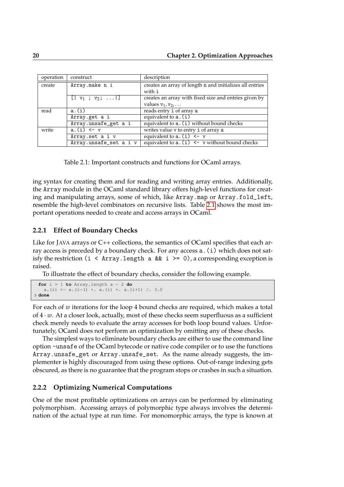| operation | construct                                              | description                                              |
|-----------|--------------------------------------------------------|----------------------------------------------------------|
| create    | Array.make n i                                         | creates an array of length n and initializes all entries |
|           |                                                        | with i                                                   |
|           | $\lfloor \frac{1}{2} \cdot v_1 ; v_2 ; \ldots \rfloor$ | creates an array with fixed size and entries given by    |
|           |                                                        | values $v_1, v_2, \ldots$                                |
| read      | a.(i)                                                  | reads entry i of array a                                 |
|           | Array.get a i                                          | equivalent to $a.(i)$                                    |
|           | Array.unsafe_get a i                                   | equivalent to a. (i) without bound checks                |
| write     | $a.(i) < -v$                                           | writes value v to entry i of array a                     |
|           | Array.set a i v                                        | equivalent to $a.(i) < -v$                               |
|           | Array.unsafe_set a i v                                 | equivalent to $a.(i) < -v$ without bound checks          |

<span id="page-19-0"></span>Table 2.1: Important constructs and functions for OCaml arrays.

ing syntax for creating them and for reading and writing array entries. Additionally, the Array module in the OCaml standard library offers high-level functions for creating and manipulating arrays, some of which, like Array.map or Array.fold\_left, resemble the high-level combinators on recursive lists. Table [2.1](#page-19-0) shows the most important operations needed to create and access arrays in OCaml.

#### **2.2.1 Effect of Boundary Checks**

Like for JAVA arrays or C++ collections, the semantics of OCaml specifies that each array access is preceded by a boundary check. For any access a.(i) which does not satisfy the restriction (i < Array.length a && i >= 0), a corresponding exception is raised.

To illustrate the effect of boundary checks, consider the following example.

```
for i = 1 to Array.length a - 2 do
   a.(i) <− a.(i−1) +. a.(i) +. a.(i+1) /. 3.0
3 done
```
For each of *w* iterations for the loop 4 bound checks are required, which makes a total of 4 · *w*. At a closer look, actually, most of these checks seem superfluous as a sufficient check merely needs to evaluate the array accesses for both loop bound values. Unfortunately, OCaml does not perform an optimization by omitting any of these checks.

The simplest ways to eliminate boundary checks are either to use the command line option -unsafe of the OCaml bytecode or native code compiler or to use the functions Array.unsafe\_get or Array.unsafe\_set. As the name already suggests, the implementer is highly discouraged from using these options. Out-of-range indexing gets obscured, as there is no guarantee that the program stops or crashes in such a situation.

### **2.2.2 Optimizing Numerical Computations**

One of the most profitable optimizations on arrays can be performed by eliminating polymorphism. Accessing arrays of polymorphic type always involves the determination of the actual type at run time. For monomorphic arrays, the type is known at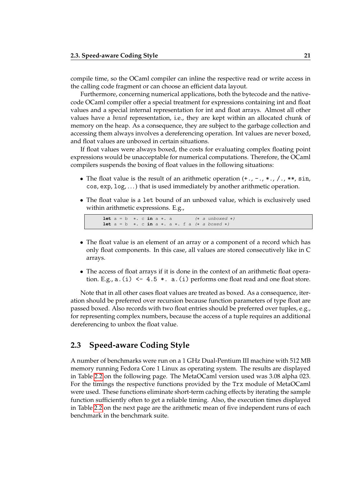compile time, so the OCaml compiler can inline the respective read or write access in the calling code fragment or can choose an efficient data layout.

Furthermore, concerning numerical applications, both the bytecode and the nativecode OCaml compiler offer a special treatment for expressions containing int and float values and a special internal representation for int and float arrays. Almost all other values have a *boxed* representation, i.e., they are kept within an allocated chunk of memory on the heap. As a consequence, they are subject to the garbage collection and accessing them always involves a dereferencing operation. Int values are never boxed, and float values are unboxed in certain situations.

If float values were always boxed, the costs for evaluating complex floating point expressions would be unacceptable for numerical computations. Therefore, the OCaml compilers suspends the boxing of float values in the following situations:

- The float value is the result of an arithmetic operation  $(+, -, *, *, / , , ** , \sin,$ cos, exp, log, . . . ) that is used immediately by another arithmetic operation.
- The float value is a let bound of an unboxed value, which is exclusively used within arithmetic expressions. E.g.,

<span id="page-20-0"></span>**let** a = b ∗. c **in** a ∗. a (∗ a unboxed ∗) **let** a = b ∗. c **in** a ∗. a ∗. f a (∗ a boxed ∗)

- The float value is an element of an array or a component of a record which has only float components. In this case, all values are stored consecutively like in C arrays.
- The access of float arrays if it is done in the context of an arithmetic float operation. E.g.,  $a.(i) < -4.5 *$ .  $a.(i)$  performs one float read and one float store.

Note that in all other cases float values are treated as boxed. As a consequence, iteration should be preferred over recursion because function parameters of type float are passed boxed. Also records with two float entries should be preferred over tuples, e.g., for representing complex numbers, because the access of a tuple requires an additional dereferencing to unbox the float value.

## **2.3 Speed-aware Coding Style**

A number of benchmarks were run on a 1 GHz Dual-Pentium III machine with 512 MB memory running Fedora Core 1 Linux as operating system. The results are displayed in Table [2.2](#page-21-0) on the following page. The MetaOCaml version used was 3.08 alpha 023. For the timings the respective functions provided by the Trx module of MetaOCaml were used. These functions eliminate short-term caching effects by iterating the sample function sufficiently often to get a reliable timing. Also, the execution times displayed in Table [2.2](#page-21-0) on the next page are the arithmetic mean of five independent runs of each benchmark in the benchmark suite.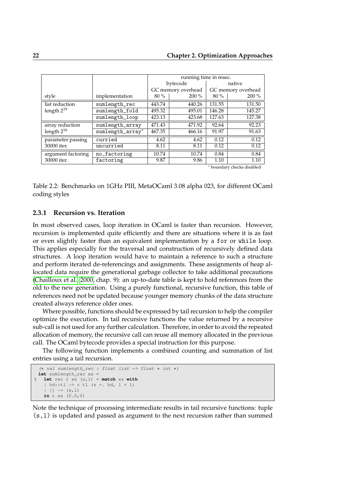|                    |                      |        | running time in msec. |        |                    |
|--------------------|----------------------|--------|-----------------------|--------|--------------------|
|                    |                      |        | bytecode              |        | native             |
|                    |                      |        | GC memory overhead    |        | GC memory overhead |
| style              | implementation       | $80\%$ | $200\%$               | $80\%$ | $200\%$            |
| list reduction     | sumlength_rec        | 443.74 | 440.26                | 131.55 | 131.50             |
| length $2^{19}$    | sumlength_fold       | 495.32 | 495.01                | 146.28 | 145.27             |
|                    | $sumlength\_loop$    | 423.13 | 423.68                | 127.63 | 127.38             |
| array reduction    | sumlength_array      | 471.43 | 471.92                | 92.64  | 92.23              |
| length $2^{19}$    | $sumlength\_array^*$ | 467.35 | 466.16                | 91.97  | 91.63              |
| parameter passing  | curried              | 4.62   | 4.62                  | 0.12   | 0.12               |
| 30000 iter.        | uncurried            | 8.11   | 8.11                  | 0.12   | 0.12               |
| argument factoring | no_factoring         | 10.74  | 10.74                 | 0.84   | 0.84               |
| 30000 iter.        | factoring            | 9.87   | 9.86                  | 1.10   | 1.10               |
|                    |                      |        |                       |        | .                  |

boundary checks disabled

<span id="page-21-0"></span>Table 2.2: Benchmarks on 1GHz PIII, MetaOCaml 3.08 alpha 023, for different OCaml coding styles

#### **2.3.1 Recursion vs. Iteration**

In most observed cases, loop iteration in OCaml is faster than recursion. However, recursion is implemented quite efficiently and there are situations where it is as fast or even slightly faster than an equivalent implementation by a for or while loop. This applies especially for the traversal and construction of recursively defined data structures. A loop iteration would have to maintain a reference to such a structure and perform iterated de-referencings and assignments. These assignments of heap allocated data require the generational garbage collector to take additional precautions [\(Chailloux et al., 2000,](#page-106-4) chap. 9): an up-to-date table is kept to hold references from the old to the new generation. Using a purely functional, recursive function, this table of references need not be updated because younger memory chunks of the data structure created always reference older ones.

Where possible, functions should be expressed by tail recursion to help the compiler optimize the execution. In tail recursive functions the value returned by a recursive sub-call is not used for any further calculation. Therefore, in order to avoid the repeated allocation of memory, the recursive call can reuse all memory allocated in the previous call. The OCaml bytecode provides a special instruction for this purpose.

The following function implements a combined counting and summation of list entries using a tail recursion.

```
(∗ val sumlength_rec : float list −> float ∗ int ∗)
let sumlength_rec xs =
 let \text{ rec } r \text{ xs } (s, l) = \text{match } xs \text{ with}| hd::tl −> r tl (s +. hd, l + 1)
   | | | \rightarrow (s, 1)in r xs (0.0,0)
```
Note the technique of processing intermediate results in tail recursive functions: tuple (s,l) is updated and passed as argument to the next recursion rather than summed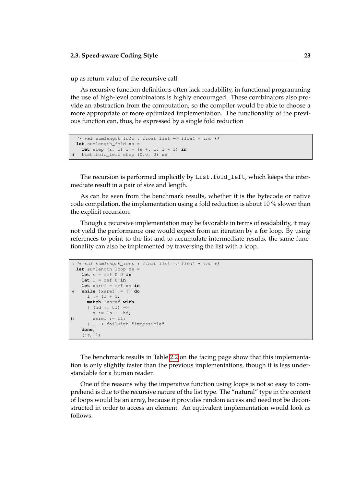up as return value of the recursive call.

As recursive function definitions often lack readability, in functional programming the use of high-level combinators is highly encouraged. These combinators also provide an abstraction from the computation, so the compiler would be able to choose a more appropriate or more optimized implementation. The functionality of the previous function can, thus, be expressed by a single fold reduction

```
(∗ val sumlength_fold : float list −> float ∗ int ∗)
1et sumlength_fold xs =
 let step (s, 1) i = (s + 1, 1 + 1) in
List.fold_left step (0.0, 0) xs
```
The recursion is performed implicitly by List.fold\_left, which keeps the intermediate result in a pair of size and length.

As can be seen from the benchmark results, whether it is the bytecode or native code compilation, the implementation using a fold reduction is about 10 % slower than the explicit recursion.

Though a recursive implementation may be favorable in terms of readability, it may not yield the performance one would expect from an iteration by a for loop. By using references to point to the list and to accumulate intermediate results, the same functionality can also be implemented by traversing the list with a loop.

```
1 (∗ val sumlength_loop : float list −> float ∗ int ∗)
 let sumlength_loop xs
   let s = ref 0.0 in
   let l = ref 0 inlet xsref = ref xs in
6 while !xsref != [] do
     1 := 11 + 1;match !xsref with
     | (hd :: tl) −>
       s := 's + \text{hd};11 xsref := tl;
     | _ −> failwith "impossible"
   done;
   (!s, !l)
```
The benchmark results in Table [2.2](#page-21-0) on the facing page show that this implementation is only slightly faster than the previous implementations, though it is less understandable for a human reader.

One of the reasons why the imperative function using loops is not so easy to comprehend is due to the recursive nature of the list type. The "natural" type in the context of loops would be an array, because it provides random access and need not be deconstructed in order to access an element. An equivalent implementation would look as follows.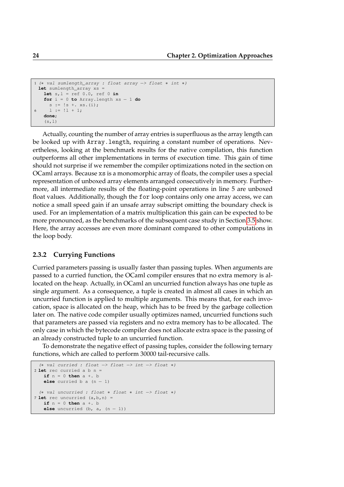```
1 (∗ val sumlength_array : float array −> float ∗ int ∗)
 1et sumlength_array xs
   let s, l = ref 0.0, ref 0 infor i = 0 to Array.length xs − 1 do
    s := !s + \mathbf{x}s. (i);6 l := l1 + 1;done;
   (s,1)
```
Actually, counting the number of array entries is superfluous as the array length can be looked up with Array.length, requiring a constant number of operations. Nevertheless, looking at the benchmark results for the native compilation, this function outperforms all other implementations in terms of execution time. This gain of time should not surprise if we remember the compiler optimizations noted in the section on OCaml arrays. Because xs is a monomorphic array of floats, the compiler uses a special representation of unboxed array elements arranged consecutively in memory. Furthermore, all intermediate results of the floating-point operations in line 5 are unboxed float values. Additionally, though the for loop contains only one array access, we can notice a small speed gain if an unsafe array subscript omitting the boundary check is used. For an implementation of a matrix multiplication this gain can be expected to be more pronounced, as the benchmarks of the subsequent case study in Section [3.5](#page-56-0) show. Here, the array accesses are even more dominant compared to other computations in the loop body.

#### **2.3.2 Currying Functions**

Curried parameters passing is usually faster than passing tuples. When arguments are passed to a curried function, the OCaml compiler ensures that no extra memory is allocated on the heap. Actually, in OCaml an uncurried function always has one tuple as single argument. As a consequence, a tuple is created in almost all cases in which an uncurried function is applied to multiple arguments. This means that, for each invocation, space is allocated on the heap, which has to be freed by the garbage collection later on. The native code compiler usually optimizes named, uncurried functions such that parameters are passed via registers and no extra memory has to be allocated. The only case in which the bytecode compiler does not allocate extra space is the passing of an already constructed tuple to an uncurried function.

To demonstrate the negative effect of passing tuples, consider the following ternary functions, which are called to perform 30000 tail-recursive calls.

```
(∗ val curried : float −> float −> int −> float ∗)
2 let rec curried a b n =
  if n = 0 then a +. b
   else curried b a (n - 1)(∗ val uncurried : float ∗ float ∗ int −> float ∗)
7 let rec uncurried (a,b,n) =
   if n = 0 then a +. b
   else uncurried (b, a, (n - 1))
```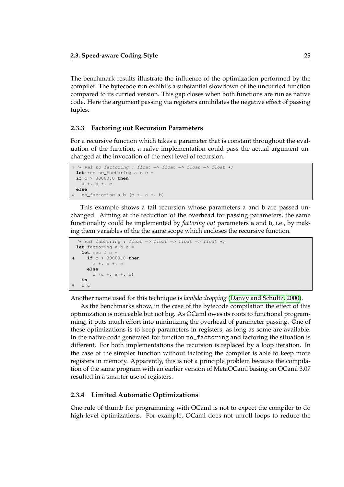The benchmark results illustrate the influence of the optimization performed by the compiler. The bytecode run exhibits a substantial slowdown of the uncurried function compared to its curried version. This gap closes when both functions are run as native code. Here the argument passing via registers annihilates the negative effect of passing tuples.

#### **2.3.3 Factoring out Recursion Parameters**

For a recursive function which takes a parameter that is constant throughout the evaluation of the function, a naïve implementation could pass the actual argument unchanged at the invocation of the next level of recursion.

```
1 (∗ val no_factoring : float −> float −> float −> float ∗)
 let rec no_factoring a b c =
 if c > 30000.0 then
  a + b + celse
6 no factoring a b (c + . a + . b)
```
This example shows a tail recursion whose parameters a and b are passed unchanged. Aiming at the reduction of the overhead for passing parameters, the same functionality could be implemented by *factoring out* parameters a and b, i.e., by making them variables of the the same scope which encloses the recursive function.

```
(∗ val factoring : float −> float −> float −> float ∗)
 let factoring a b c =
  let rec f c =
4 if c > 30000.0 then
      a +. b +. c
     else
       f (c + a + b)in
9 f c
```
Another name used for this technique is *lambda dropping* [\(Danvy and Schultz, 2000\)](#page-107-3).

As the benchmarks show, in the case of the bytecode compilation the effect of this optimization is noticeable but not big. As OCaml owes its roots to functional programming, it puts much effort into minimizing the overhead of parameter passing. One of these optimizations is to keep parameters in registers, as long as some are available. In the native code generated for function no\_factoring and factoring the situation is different. For both implementations the recursion is replaced by a loop iteration. In the case of the simpler function without factoring the compiler is able to keep more registers in memory. Apparently, this is not a principle problem because the compilation of the same program with an earlier version of MetaOCaml basing on OCaml 3.07 resulted in a smarter use of registers.

#### **2.3.4 Limited Automatic Optimizations**

One rule of thumb for programming with OCaml is not to expect the compiler to do high-level optimizations. For example, OCaml does not unroll loops to reduce the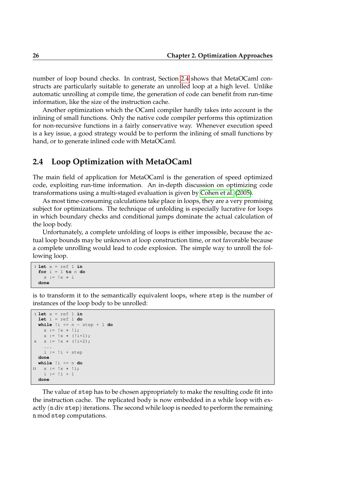number of loop bound checks. In contrast, Section [2.4](#page-24-0) shows that MetaOCaml constructs are particularly suitable to generate an unrolled loop at a high level. Unlike automatic unrolling at compile time, the generation of code can benefit from run-time information, like the size of the instruction cache.

Another optimization which the OCaml compiler hardly takes into account is the inlining of small functions. Only the native code compiler performs this optimization for non-recursive functions in a fairly conservative way. Whenever execution speed is a key issue, a good strategy would be to perform the inlining of small functions by hand, or to generate inlined code with MetaOCaml.

## **2.4 Loop Optimization with MetaOCaml**

The main field of application for MetaOCaml is the generation of speed optimized code, exploiting run-time information. An in-depth discussion on optimizing code transformations using a multi-staged evaluation is given by [Cohen et al.](#page-106-5) [\(2005\)](#page-106-5).

As most time-consuming calculations take place in loops, they are a very promising subject for optimizations. The technique of unfolding is especially lucrative for loops in which boundary checks and conditional jumps dominate the actual calculation of the loop body.

Unfortunately, a complete unfolding of loops is either impossible, because the actual loop bounds may be unknown at loop construction time, or not favorable because a complete unrolling would lead to code explosion. The simple way to unroll the following loop.

```
1 let x = ref 1 in
 for i = 1 to n do
   x := !x ∗ i
 done
```
is to transform it to the semantically equivalent loops, where step is the number of instances of the loop body to be unrolled:

```
1 let x = ref 1 in
 let i = ref 1 do
 while !i <= n − step + 1 do
   x := \{x * ! : :x := !x * (!i+1);6 x := !x * (!i+2);...
   i := !i + stepdone
 while !i <= n do
  x := !x * !i;i := |i + 1|done
```
The value of step has to be chosen appropriately to make the resulting code fit into the instruction cache. The replicated body is now embedded in a while loop with exactly (n div step) iterations. The second while loop is needed to perform the remaining n mod step computations.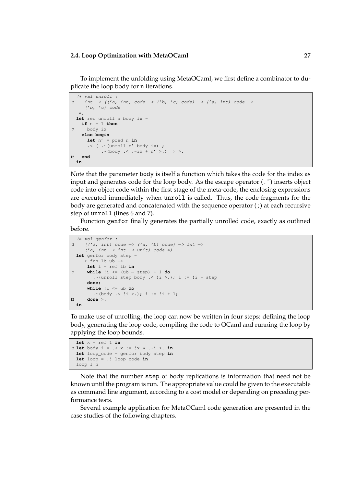To implement the unfolding using MetaOCaml, we first define a combinator to duplicate the loop body for n iterations.

```
(∗ val unroll :
2 int -> (('a, int) code -> ('b, 'c) code) -> ('a, int) code ->
    ('b, 'c) code
  ∗)
 let rec unroll n body ix =
   if n = 1 then
7 body ix
   else begin
     let n' = pred n in
      \cdot ( \cdot (unroll n' body ix) ;
          .~(body .< .~ix + n' >.) ) >.
12 end
 in
```
Note that the parameter body is itself a function which takes the code for the index as input and generates code for the loop body. As the escape operator  $(\cdot)$  inserts object code into object code within the first stage of the meta-code, the enclosing expressions are executed immediately when unroll is called. Thus, the code fragments for the body are generated and concatenated with the sequence operator (;) at each recursive step of unroll (lines 6 and 7).

Function genfor finally generates the partially unrolled code, exactly as outlined before.

```
(∗ val genfor :
2 (('a, int) code -> ('a, 'b) code) -> int ->
     ('a, int -> int -> unit) code *)let genfor body step =
   .< fun lb ub −>
     let i = ref lb in
7 while !i <= (ub − step) + 1 do
       .~(unroll step body .< \exists i >.); i := \exists i + step
      done;
      while !i <= ub do
       . \sim (body . < !i > .); i := !i + 1;
12 done >.
 in
```
To make use of unrolling, the loop can now be written in four steps: defining the loop body, generating the loop code, compiling the code to OCaml and running the loop by applying the loop bounds.

```
let x = ref 1 in2 let body i = .< x := !x ∗ .~i >. in
 let loop_code = genfor body step in
 let loop = .! loop_code in
 loop 1 n
```
Note that the number step of body replications is information that need not be known until the program is run. The appropriate value could be given to the executable as command line argument, according to a cost model or depending on preceding performance tests.

Several example application for MetaOCaml code generation are presented in the case studies of the following chapters.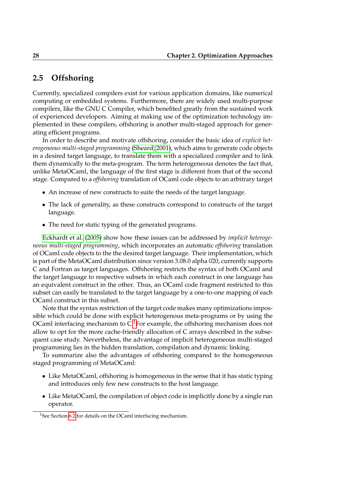## **2.5 Offshoring**

Currently, specialized compilers exist for various application domains, like numerical computing or embedded systems. Furthermore, there are widely used multi-purpose compilers, like the GNU C Compiler, which benefited greatly from the sustained work of experienced developers. Aiming at making use of the optimization technology implemented in these compilers, offshoring is another multi-staged approach for generating efficient programs.

In order to describe and motivate offshoring, consider the basic idea of *explicit heterogeneous multi-staged programming* [\(Sheard, 2001\)](#page-108-3), which aims to generate code objects in a desired target language, to translate them with a specialized compiler and to link them dynamically to the meta-program. The term heterogeneous denotes the fact that, unlike MetaOCaml, the language of the first stage is different from that of the second stage. Compared to a *offshoring* translation of OCaml code objects to an arbitrary target

- An increase of new constructs to suite the needs of the target language.
- The lack of generality, as these constructs correspond to constructs of the target language.
- The need for static typing of the generated programs.

[Eckhardt et al.](#page-107-0) [\(2005\)](#page-107-0) show how these issues can be addressed by *implicit heterogeneous multi-staged programming*, which incorporates an automatic *offshoring* translation of OCaml code objects to the the desired target language. Their implementation, which is part of the MetaOCaml distribution since version 3.08.0 alpha 020, currently supports C and Fortran as target languages. Offshoring restricts the syntax of both OCaml and the target language to respective subsets in which each construct in one language has an equivalent construct in the other. Thus, an OCaml code fragment restricted to this subset can easily be translated to the target language by a one-to-one mapping of each OCaml construct in this subset.

Note that the syntax restriction of the target code makes many optimizations impossible which could be done with explicit heterogenous meta-programs or by using the OCaml interfacing mechanism to  $C<sup>1</sup>$  $C<sup>1</sup>$  $C<sup>1</sup>$  For example, the offshoring mechanism does not allow to opt for the more cache-friendly allocation of C arrays described in the subsequent case study. Nevertheless, the advantage of implicit heterogeneous multi-staged programming lies in the hidden translation, compilation and dynamic linking.

To summarize also the advantages of offshoring compared to the homogeneous staged programming of MetaOCaml:

- Like MetaOCaml, offshoring is homogeneous in the sense that it has static typing and introduces only few new constructs to the host language.
- Like MetaOCaml, the compilation of object code is implicitly done by a single run operator.

<span id="page-27-0"></span><sup>&</sup>lt;sup>1</sup>See Section [6.2](#page-94-0) for details on the OCaml interfacing mechanism.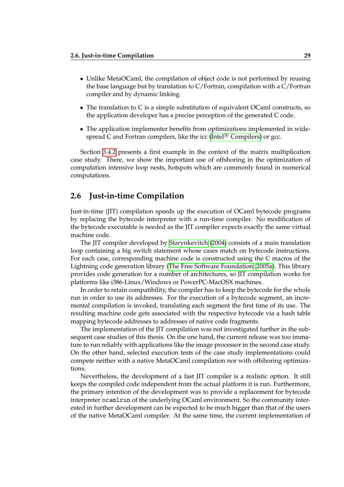- Unlike MetaOCaml, the compilation of object code is not performed by reusing the base language but by translation to C/Fortran, compilation with a C/Fortran compiler and by dynamic linking.
- The translation to C is a simple substitution of equivalent OCaml constructs, so the application developer has a precise perception of the generated C code.
- The application implementer benefits from optimizations implemented in wide-spread C and Fortran compilers, like the icc (Intel<sup>®</sup> [Compilers\)](#page-107-4) or gcc.

Section [3.4.2](#page-55-0) presents a first example in the context of the matrix multiplication case study. There, we show the important use of offshoring in the optimization of computation intensive loop nests, hotspots which are commonly found in numerical computations.

## **2.6 Just-in-time Compilation**

Just-in-time (JIT) compilation speeds up the execution of OCaml bytecode programs by replacing the bytecode interpreter with a run-time compiler. No modification of the bytecode executable is needed as the JIT compiler expects exactly the same virtual machine code.

The JIT compiler developed by [Starynkevitch](#page-108-0) [\(2004\)](#page-108-0) consists of a main translation loop containing a big switch statement whose cases match on bytecode instructions. For each case, corresponding machine code is constructed using the C macros of the Lightning code generation library [\(The Free Software Foundation, 2005a\)](#page-109-2). This library provides code generation for a number of architectures, so JIT compilation works for platforms like i386-Linux/Windows or PowerPC-MacOSX machines.

In order to retain compatibility, the compiler has to keep the bytecode for the whole run in order to use its addresses. For the execution of a bytecode segment, an incremental compilation is invoked, translating each segment the first time of its use. The resulting machine code gets associated with the respective bytecode via a hash table mapping bytecode addresses to addresses of native code fragments.

The implementation of the JIT compilation was not investigated further in the subsequent case studies of this thesis. On the one hand, the current release was too immature to run reliably with applications like the image processor in the second case study. On the other hand, selected execution tests of the case study implementations could compete neither with a native MetaOCaml compilation nor with offshoring optimizations.

Nevertheless, the development of a fast JIT compiler is a realistic option. It still keeps the compiled code independent from the actual platform it is run. Furthermore, the primary intention of the development was to provide a replacement for bytecode interpreter ocamlrun of the underlying OCaml environment. So the community interested in further development can be expected to be much bigger than that of the users of the native MetaOCaml compiler. At the same time, the current implementation of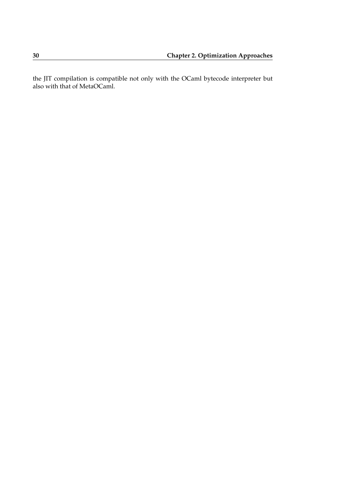the JIT compilation is compatible not only with the OCaml bytecode interpreter but also with that of MetaOCaml.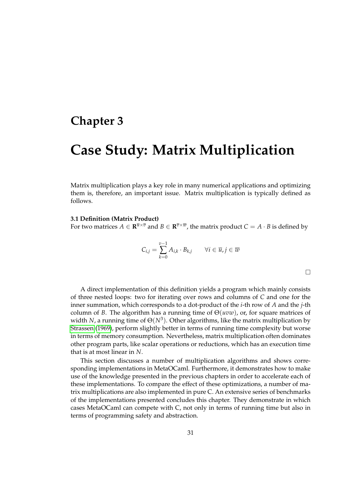## **Chapter 3**

# **Case Study: Matrix Multiplication**

Matrix multiplication plays a key role in many numerical applications and optimizing them is, therefore, an important issue. Matrix multiplication is typically defined as follows.

#### **3.1 Definition (Matrix Product)**

For two matrices  $A \in \mathbf{R}^{\overline{u} \times \overline{v}}$  and  $B \in \mathbf{R}^{\overline{v} \times \overline{w}}$ , the matrix product  $C = A \cdot B$  is defined by

$$
C_{i,j} = \sum_{k=0}^{v-1} A_{i,k} \cdot B_{k,j} \qquad \forall i \in \overline{u}, j \in \overline{w}
$$

 $\Box$ 

A direct implementation of this definition yields a program which mainly consists of three nested loops: two for iterating over rows and columns of *C* and one for the inner summation, which corresponds to a dot-product of the *i*-th row of *A* and the *j*-th column of *B*. The algorithm has a running time of  $\Theta(uvw)$ , or, for square matrices of width *N*, a running time of  $\Theta(N^3)$ . Other algorithms, like the matrix multiplication by [Strassen](#page-109-3) [\(1969\)](#page-109-3), perform slightly better in terms of running time complexity but worse in terms of memory consumption. Nevertheless, matrix multiplication often dominates other program parts, like scalar operations or reductions, which has an execution time that is at most linear in *N*.

This section discusses a number of multiplication algorithms and shows corresponding implementations in MetaOCaml. Furthermore, it demonstrates how to make use of the knowledge presented in the previous chapters in order to accelerate each of these implementations. To compare the effect of these optimizations, a number of matrix multiplications are also implemented in pure C. An extensive series of benchmarks of the implementations presented concludes this chapter. They demonstrate in which cases MetaOCaml can compete with C, not only in terms of running time but also in terms of programming safety and abstraction.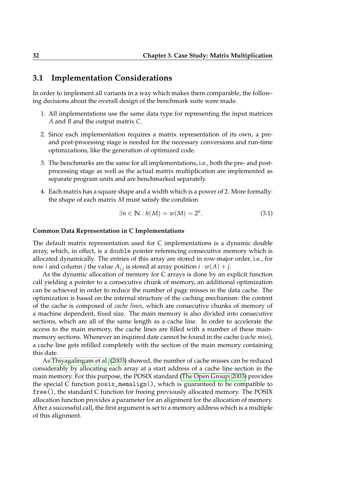### **3.1 Implementation Considerations**

In order to implement all variants in a way which makes them comparable, the following decisions about the overall design of the benchmark suite were made.

- 1. All implementations use the same data type for representing the input matrices *A* and *B* and the output matrix *C*.
- 2. Since each implementation requires a matrix representation of its own, a preand post-processing stage is needed for the necessary conversions and run-time optimizations, like the generation of optimized code.
- 3. The benchmarks are the same for all implementations, i.e., both the pre- and postprocessing stage as well as the actual matrix multiplication are implemented as separate program units and are benchmarked separately.
- 4. Each matrix has a square shape and a width which is a power of 2. More formally: the shape of each matrix *M* must satisfy the condition

$$
\exists n \in \mathbb{N} : h(M) = w(M) = 2^n. \tag{3.1}
$$

#### **Common Data Representation in C Implementations**

The default matrix representation used for C implementations is a dynamic double array, which, in effect, is a double pointer referencing consecutive memory which is allocated dynamically. The entries of this array are stored in row-major order, i.e., for row *i* and column *j* the value  $A_{i,j}$  is stored at array position  $i \cdot w(A) + j$ .

As the dynamic allocation of memory for C arrays is done by an explicit function call yielding a pointer to a consecutive chunk of memory, an additional optimization can be achieved in order to reduce the number of page misses in the data cache. The optimization is based on the internal structure of the caching mechanism: the content of the cache is composed of *cache lines*, which are consecutive chunks of memory of a machine dependent, fixed size. The main memory is also divided into consecutive sections, which are all of the same length as a cache line. In order to accelerate the access to the main memory, the cache lines are filled with a number of these mainmemory sections. Whenever an inquired date cannot be found in the cache (*cache miss*), a cache line gets refilled completely with the section of the main memory containing this date.

As [Thiyagalingam et al.](#page-109-4) [\(2003\)](#page-109-4) showed, the number of cache misses can be reduced considerably by allocating each array at a start address of a cache line section in the main memory. For this purpose, the POSIX standard [\(The Open Group, 2003\)](#page-109-5) provides the special C function posix\_memalign(), which is guaranteed to be compatible to free(), the standard C function for freeing previously allocated memory. The POSIX allocation function provides a parameter for an alignment for the allocation of memory. After a successful call, the first argument is set to a memory address which is a multiple of this alignment.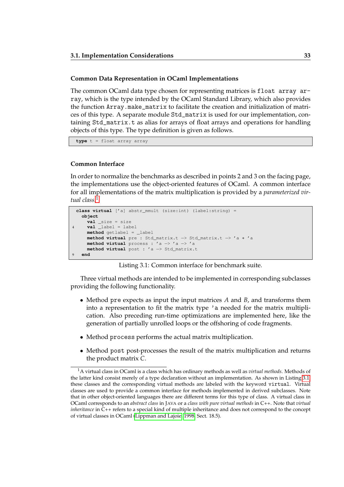#### **Common Data Representation in OCaml Implementations**

The common OCaml data type chosen for representing matrices is float array array, which is the type intended by the OCaml Standard Library, which also provides the function Array.make\_matrix to facilitate the creation and initialization of matrices of this type. A separate module Std\_matrix is used for our implementation, containing Std\_matrix.t as alias for arrays of float arrays and operations for handling objects of this type. The type definition is given as follows.

**type** t = float array array

#### **Common Interface**

<span id="page-32-1"></span>In order to normalize the benchmarks as described in points 2 and 3 on the facing page, the implementations use the object-oriented features of OCaml. A common interface for all implementations of the matrix multiplication is provided by a *parameterized virtual class.*[1](#page-32-0)

```
class virtual ['a] abstr_mmult (size:int) (label:string) =
 object
    val _size = size
    val \_\label = label
   method getlabel = _label
    method virtual pre : Std_matrix.t −> Std_matrix.t −> 'a ∗ 'a
    method virtual process : 'a −> 'a −> 'a
    method virtual post : 'a −> Std_matrix.t
 9 end
```
Listing 3.1: Common interface for benchmark suite.

Three virtual methods are intended to be implemented in corresponding subclasses providing the following functionality.

- Method pre expects as input the input matrices *A* and *B*, and transforms them into a representation to fit the matrix type 'a needed for the matrix multiplication. Also preceding run-time optimizations are implemented here, like the generation of partially unrolled loops or the offshoring of code fragments.
- Method process performs the actual matrix multiplication.
- Method post post-processes the result of the matrix multiplication and returns the product matrix *C*.

<span id="page-32-0"></span><sup>1</sup>A virtual class in OCaml is a class which has ordinary methods as well as *virtual methods*. Methods of the latter kind consist merely of a type declaration without an implementation. As shown in Listing [3.1,](#page-32-1) these classes and the corresponding virtual methods are labeled with the keyword virtual. Virtual classes are used to provide a common interface for methods implemented in derived subclasses. Note that in other object-oriented languages there are different terms for this type of class. A virtual class in OCaml corresponds to an *abstract class* in JAVA or a *class with pure virtual methods* in C++. Note that *virtual inheritance* in  $\tilde{C}$ ++ refers to a special kind of multiple inheritance and does not correspond to the concept of virtual classes in OCaml [\(Lippman and Lajoie, 1998,](#page-108-1) Sect. 18.5).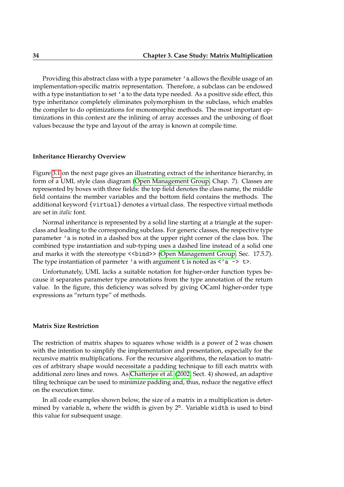Providing this abstract class with a type parameter 'a allows the flexible usage of an implementation-specific matrix representation. Therefore, a subclass can be endowed with a type instantiation to set  $\prime$  a to the data type needed. As a positive side effect, this type inheritance completely eliminates polymorphism in the subclass, which enables the compiler to do optimizations for monomorphic methods. The most important optimizations in this context are the inlining of array accesses and the unboxing of float values because the type and layout of the array is known at compile time.

#### **Inheritance Hierarchy Overview**

Figure [3.1](#page-34-0) on the next page gives an illustrating extract of the inheritance hierarchy, in form of a UML style class diagram [\(Open Management Group,](#page-108-4) Chap. 7). Classes are represented by boxes with three fields: the top field denotes the class name, the middle field contains the member variables and the bottom field contains the methods. The additional keyword {virtual} denotes a virtual class. The respective virtual methods are set in *italic* font.

Normal inheritance is represented by a solid line starting at a triangle at the superclass and leading to the corresponding subclass. For generic classes, the respective type parameter 'a is noted in a dashed box at the upper right corner of the class box. The combined type instantiation and sub-typing uses a dashed line instead of a solid one and marks it with the stereotype <<bind>> [\(Open Management Group,](#page-108-4) Sec. 17.5.7). The type instantiation of parmeter 'a with argument t is noted as  $\langle a \rangle$  => t>.

Unfortunately, UML lacks a suitable notation for higher-order function types because it separates parameter type annotations from the type annotation of the return value. In the figure, this deficiency was solved by giving OCaml higher-order type expressions as "return type" of methods.

#### **Matrix Size Restriction**

<span id="page-33-0"></span>The restriction of matrix shapes to squares whose width is a power of 2 was chosen with the intention to simplify the implementation and presentation, especially for the recursive matrix multiplications. For the recursive algorithms, the relaxation to matrices of arbitrary shape would necessitate a padding technique to fill each matrix with additional zero lines and rows. As [Chatterjee et al.](#page-106-6) [\(2002,](#page-106-6) Sect. 4) showed, an adaptive tiling technique can be used to minimize padding and, thus, reduce the negative effect on the execution time.

In all code examples shown below, the size of a matrix in a multiplication is determined by variable n, where the width is given by  $2^n$ . Variable width is used to bind this value for subsequent usage.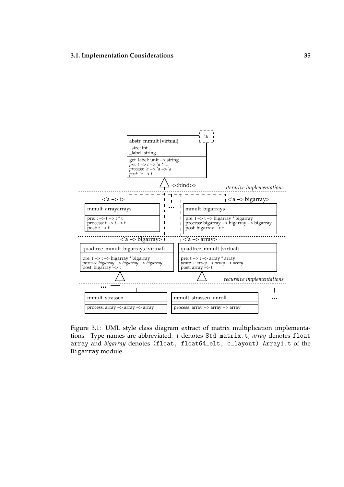

<span id="page-34-0"></span>Figure 3.1: UML style class diagram extract of matrix multiplication implementations. Type names are abbreviated: *t* denotes Std\_matrix.t, *array* denotes float array and *bigarray* denotes (float, float64\_elt, c\_layout) Array1.t of the Bigarray module.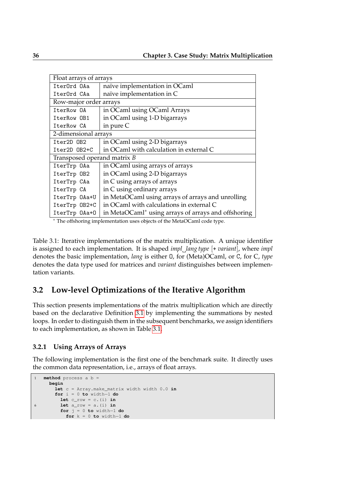| Float arrays of arrays      |                                                                                                                                                                                                                                                                                                                                                                                                                                                                                                                                                          |  |  |  |
|-----------------------------|----------------------------------------------------------------------------------------------------------------------------------------------------------------------------------------------------------------------------------------------------------------------------------------------------------------------------------------------------------------------------------------------------------------------------------------------------------------------------------------------------------------------------------------------------------|--|--|--|
| IterOrd OAa                 | naïve implementation in OCaml                                                                                                                                                                                                                                                                                                                                                                                                                                                                                                                            |  |  |  |
| Iter0rd CAa                 | naïve implementation in C                                                                                                                                                                                                                                                                                                                                                                                                                                                                                                                                |  |  |  |
| Row-major order arrays      |                                                                                                                                                                                                                                                                                                                                                                                                                                                                                                                                                          |  |  |  |
| IterRow OA                  | in OCaml using OCaml Arrays                                                                                                                                                                                                                                                                                                                                                                                                                                                                                                                              |  |  |  |
| IterRow OB1                 | in OCaml using 1-D bigarrays                                                                                                                                                                                                                                                                                                                                                                                                                                                                                                                             |  |  |  |
| IterRow CA                  | in pure C                                                                                                                                                                                                                                                                                                                                                                                                                                                                                                                                                |  |  |  |
|                             | 2-dimensional arrays                                                                                                                                                                                                                                                                                                                                                                                                                                                                                                                                     |  |  |  |
| Iter2D OB2                  | in OCaml using 2-D bigarrays                                                                                                                                                                                                                                                                                                                                                                                                                                                                                                                             |  |  |  |
| Iter2D OB2+C                | in OCaml with calculation in external C                                                                                                                                                                                                                                                                                                                                                                                                                                                                                                                  |  |  |  |
| Transposed operand matrix B |                                                                                                                                                                                                                                                                                                                                                                                                                                                                                                                                                          |  |  |  |
| IterTrp OAa                 | in OCaml using arrays of arrays                                                                                                                                                                                                                                                                                                                                                                                                                                                                                                                          |  |  |  |
| IterTrp OB2                 | in OCaml using 2-D bigarrays                                                                                                                                                                                                                                                                                                                                                                                                                                                                                                                             |  |  |  |
| IterTrp CAa                 | in C using arrays of arrays                                                                                                                                                                                                                                                                                                                                                                                                                                                                                                                              |  |  |  |
| IterTrp CA                  | in C using ordinary arrays                                                                                                                                                                                                                                                                                                                                                                                                                                                                                                                               |  |  |  |
| IterTrp OAa+U               | in MetaOCaml using arrays of arrays and unrolling                                                                                                                                                                                                                                                                                                                                                                                                                                                                                                        |  |  |  |
| IterTrp 0B2+C               | in OCaml with calculations in external C                                                                                                                                                                                                                                                                                                                                                                                                                                                                                                                 |  |  |  |
| IterTrp 0Aa+0               | in MetaOCaml <sup>*</sup> using arrays of arrays and offshoring<br>$\mathbf{1} \cdot \mathbf{1} \cdot \mathbf{1} \cdot \mathbf{1} \cdot \mathbf{1} \cdot \mathbf{1} \cdot \mathbf{1} \cdot \mathbf{1} \cdot \mathbf{1} \cdot \mathbf{1} \cdot \mathbf{1} \cdot \mathbf{1} \cdot \mathbf{1} \cdot \mathbf{1} \cdot \mathbf{1} \cdot \mathbf{1} \cdot \mathbf{1} \cdot \mathbf{1} \cdot \mathbf{1} \cdot \mathbf{1} \cdot \mathbf{1} \cdot \mathbf{1} \cdot \mathbf{1} \cdot \mathbf{1} \cdot \mathbf{1} \cdot \mathbf{1} \cdot \mathbf{1} \cdot \mathbf{$ |  |  |  |

<span id="page-35-0"></span><sup>∗</sup> The offshoring implementation uses objects of the MetaOCaml code type.

Table 3.1: Iterative implementations of the matrix multiplication. A unique identifier is assigned to each implementation. It is shaped *impl lang type* [+ *variant*], where *impl* denotes the basic implementation, *lang* is either O, for (Meta)OCaml, or C, for C, *type* denotes the data type used for matrices and *variant* distinguishes between implementation variants.

## **3.2 Low-level Optimizations of the Iterative Algorithm**

This section presents implementations of the matrix multiplication which are directly based on the declarative Definition [3.1](#page-26-0) by implementing the summations by nested loops. In order to distinguish them in the subsequent benchmarks, we assign identifiers to each implementation, as shown in Table [3.1.](#page-35-0)

## **3.2.1 Using Arrays of Arrays**

The following implementation is the first one of the benchmark suite. It directly uses the common data representation, i.e., arrays of float arrays.

```
1 method process a b =
     begin
      let c = Array.make_matrix width width 0.0 in
       for i = 0 to width−1 do
         let c_row = c.(i) in
6 let a_row = a.(i) in
        for j = 0 to width−1 do
          for k = 0 to width−1 do
```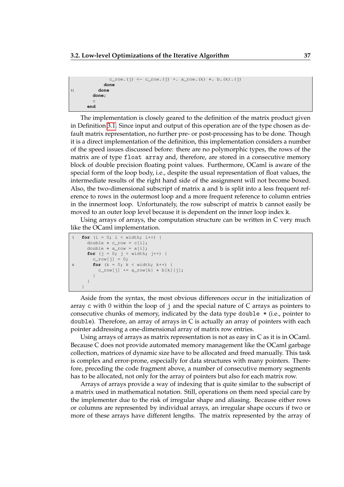```
c_{\text{row.}}(j) \leftarrow c_{\text{row.}}(j) + a_{\text{row.}}(k) * b.(k).(j)
                done
11 done
          done;
          c
        end
```
The implementation is closely geared to the definition of the matrix product given in Definition [3.1.](#page-26-0) Since input and output of this operation are of the type chosen as default matrix representation, no further pre- or post-processing has to be done. Though it is a direct implementation of the definition, this implementation considers a number of the speed issues discussed before: there are no polymorphic types, the rows of the matrix are of type float array and, therefore, are stored in a consecutive memory block of double precision floating point values. Furthermore, OCaml is aware of the special form of the loop body, i.e., despite the usual representation of float values, the intermediate results of the right hand side of the assignment will not become boxed. Also, the two-dimensional subscript of matrix a and b is split into a less frequent reference to rows in the outermost loop and a more frequent reference to column entries in the innermost loop. Unfortunately, the row subscript of matrix b cannot easily be moved to an outer loop level because it is dependent on the inner loop index k.

Using arrays of arrays, the computation structure can be written in C very much like the OCaml implementation.

```
1 for (i = 0; i < width; i++) {
     double ∗ c_row = c[i];
     double ∗ a_row = a[i];
     for (j = 0; j < width; j++) {
       c_{row[j]} = 0;6 for (k = 0; k < width; k++) {
         c_row[j] += a_row[k] * b[k][j];
       }
     }
   }
```
Aside from the syntax, the most obvious differences occur in the initialization of array c with 0 within the loop of j and the special nature of C arrays as pointers to consecutive chunks of memory, indicated by the data type double \* (i.e., pointer to double). Therefore, an array of arrays in C is actually an array of pointers with each pointer addressing a one-dimensional array of matrix row entries.

Using arrays of arrays as matrix representation is not as easy in  $C$  as it is in OCaml. Because C does not provide automated memory management like the OCaml garbage collection, matrices of dynamic size have to be allocated and freed manually. This task is complex and error-prone, especially for data structures with many pointers. Therefore, preceding the code fragment above, a number of consecutive memory segments has to be allocated, not only for the array of pointers but also for each matrix row.

Arrays of arrays provide a way of indexing that is quite similar to the subscript of a matrix used in mathematical notation. Still, operations on them need special care by the implementer due to the risk of irregular shape and aliasing. Because either rows or columns are represented by individual arrays, an irregular shape occurs if two or more of these arrays have different lengths. The matrix represented by the array of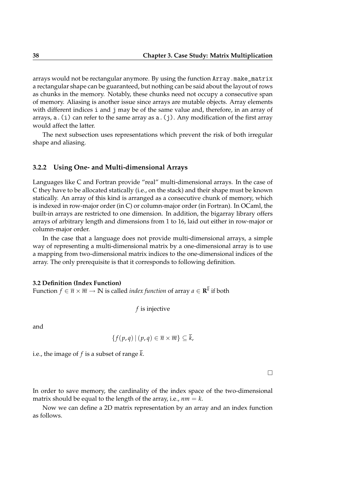arrays would not be rectangular anymore. By using the function Array.make\_matrix a rectangular shape can be guaranteed, but nothing can be said about the layout of rows as chunks in the memory. Notably, these chunks need not occupy a consecutive span of memory. Aliasing is another issue since arrays are mutable objects. Array elements with different indices i and j may be of the same value and, therefore, in an array of arrays,  $a$ . (i) can refer to the same array as  $a$ . (j). Any modification of the first array would affect the latter.

The next subsection uses representations which prevent the risk of both irregular shape and aliasing.

## **3.2.2 Using One- and Multi-dimensional Arrays**

Languages like C and Fortran provide "real" multi-dimensional arrays. In the case of C they have to be allocated statically (i.e., on the stack) and their shape must be known statically. An array of this kind is arranged as a consecutive chunk of memory, which is indexed in row-major order (in C) or column-major order (in Fortran). In OCaml, the built-in arrays are restricted to one dimension. In addition, the bigarray library offers arrays of arbitrary length and dimensions from 1 to 16, laid out either in row-major or column-major order.

In the case that a language does not provide multi-dimensional arrays, a simple way of representing a multi-dimensional matrix by a one-dimensional array is to use a mapping from two-dimensional matrix indices to the one-dimensional indices of the array. The only prerequisite is that it corresponds to following definition.

#### **3.2 Definition (Index Function)**

Function  $f \in \overline{n} \times \overline{m} \to \mathbb{N}$  is called *index function* of array  $a \in \mathbf{R}^k$  if both

*f* is injective

and

$$
\{f(p,q) \mid (p,q) \in \overline{n} \times \overline{m}\} \subseteq \overline{k},
$$

i.e., the image of *f* is a subset of range *k*.

 $\Box$ 

In order to save memory, the cardinality of the index space of the two-dimensional matrix should be equal to the length of the array, i.e.,  $nm = k$ .

Now we can define a 2D matrix representation by an array and an index function as follows.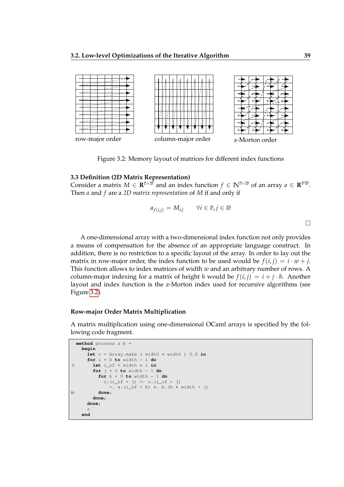

<span id="page-38-0"></span>Figure 3.2: Memory layout of matrices for different index functions

#### **3.3 Definition (2D Matrix Representation)**

Consider a matrix  $M \in \mathbf{R}^{\overline{v} \times \overline{w}}$  and an index function  $f \in \mathbb{N}^{\overline{v} \times \overline{w}}$  of an array  $a \in \mathbf{R}^{\overline{v} \cdot \overline{w}}$ . Then *a* and *f* are a *2D matrix representation* of *M* if and only if

$$
a_{f(i,j)} = M_{i,j} \qquad \forall i \in \overline{v}, j \in \overline{w}
$$

A one-dimensional array with a two-dimensional index function not only provides a means of compensation for the absence of an appropriate language construct. In addition, there is no restriction to a specific layout of the array. In order to lay out the matrix in row-major order, the index function to be used would be  $f(i, j) = i \cdot w + j$ . This function allows to index matrices of width *w* and an arbitrary number of rows. A column-major indexing for a matrix of height *h* would be  $f(i, j) = i + j \cdot h$ . Another layout and index function is the z-Morton index used for recursive algorithms (see Figure [3.2\)](#page-38-0).

#### **Row-major Order Matrix Multiplication**

A matrix multiplication using one-dimensional OCaml arrays is specified by the following code fragment.

```
method process a b =
   begin
     let c = Array.make ( width ∗ width ) 0.0 in
     for i = 0 to width − 1 do
5 let i_of = width ∗ i in
        for j = 0 to width -1 do
         for k = 0 to width − 1 do
           c.(i_0f + j) \leftarrow c. (i_0f + j)+. a.(i_of + k) ∗. b.(k ∗ width + j)
10 done;
       done;
     done;
      c
   end
```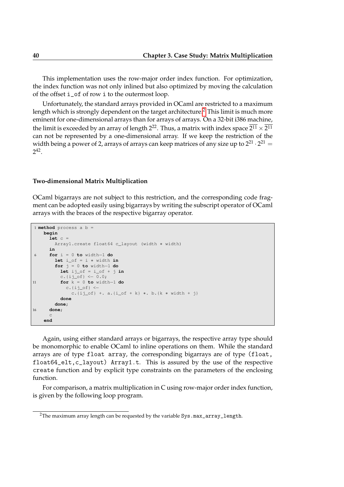This implementation uses the row-major order index function. For optimization, the index function was not only inlined but also optimized by moving the calculation of the offset i\_of of row i to the outermost loop.

Unfortunately, the standard arrays provided in OCaml are restricted to a maximum length which is strongly dependent on the target architecture.<sup>[2](#page-39-0)</sup> This limit is much more eminent for one-dimensional arrays than for arrays of arrays. On a 32-bit i386 machine, the limit is exceeded by an array of length 2 $^{22}$ . Thus, a matrix with index space  $2^{11} \times 2^{11}$ can not be represented by a one-dimensional array. If we keep the restriction of the width being a power of 2, arrays of arrays can keep matrices of any size up to  $2^{21} \cdot 2^{21} =$ 2 42 .

#### **Two-dimensional Matrix Multiplication**

OCaml bigarrays are not subject to this restriction, and the corresponding code fragment can be adopted easily using bigarrays by writing the subscript operator of OCaml arrays with the braces of the respective bigarray operator.

```
1 method process a b =
   begin
     let c =
       Array1.create float64 c_layout (width ∗ width)
     in
6 for i = 0 to width−1 do
       let i_of = i ∗ width in
       for j = 0 to width−1 do
         let ij of = i of + j inc.{ij_of} \leftarrow 0.0;
11 for k = 0 to width−1 do
           c.\{i\} of} <-
             c.{ij_of} +. a.{i_of + k} *. b.{k * width + j}
         done
       done;
16 done;
     \simend
```
Again, using either standard arrays or bigarrays, the respective array type should be monomorphic to enable OCaml to inline operations on them. While the standard arrays are of type float array, the corresponding bigarrays are of type (float, float64\_elt,c\_layout) Array1.t. This is assured by the use of the respective create function and by explicit type constraints on the parameters of the enclosing function.

For comparison, a matrix multiplication in C using row-major order index function, is given by the following loop program.

<span id="page-39-0"></span><sup>&</sup>lt;sup>2</sup>The maximum array length can be requested by the variable Sys.max\_array\_length.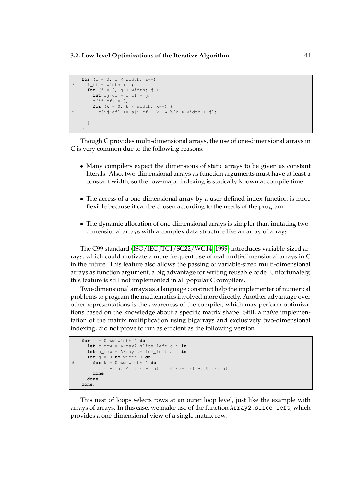```
for (i = 0; i < width; i++) {
2 i_of = width * i;for (j = 0; j < width; j++) {
      int ij_of = i_of + j;
       c[ij_of] = 0;for (k = 0; k < with>width; k++) {
7 c[ij_of] += a[i_of + k] ∗ b[k ∗ width + j];
       }
     }
   }
```
Though C provides multi-dimensional arrays, the use of one-dimensional arrays in C is very common due to the following reasons:

- Many compilers expect the dimensions of static arrays to be given as constant literals. Also, two-dimensional arrays as function arguments must have at least a constant width, so the row-major indexing is statically known at compile time.
- The access of a one-dimensional array by a user-defined index function is more flexible because it can be chosen according to the needs of the program.
- The dynamic allocation of one-dimensional arrays is simpler than imitating twodimensional arrays with a complex data structure like an array of arrays.

The C99 standard [\(ISO/IEC JTC1/SC22/WG14, 1999\)](#page-107-0) introduces variable-sized arrays, which could motivate a more frequent use of real multi-dimensional arrays in C in the future. This feature also allows the passing of variable-sized multi-dimensional arrays as function argument, a big advantage for writing reusable code. Unfortunately, this feature is still not implemented in all popular C compilers.

Two-dimensional arrays as a language construct help the implementer of numerical problems to program the mathematics involved more directly. Another advantage over other representations is the awareness of the compiler, which may perform optimizations based on the knowledge about a specific matrix shape. Still, a naïve implementation of the matrix multiplication using bigarrays and exclusively two-dimensional indexing, did not prove to run as efficient as the following version.

```
for i = 0 to width−1 do
     let c_row = Array2.slice_left c i in
     let a_row = Array2.slice_left a i in
     for j = 0 to width−1 do
5 for k = 0 to width−1 do
         c_row.{j} <− c_row.{j} +. a_row.{k} ∗. b.{k, j}
       done
     done
   done;
```
This nest of loops selects rows at an outer loop level, just like the example with arrays of arrays. In this case, we make use of the function Array2.slice\_left, which provides a one-dimensional view of a single matrix row.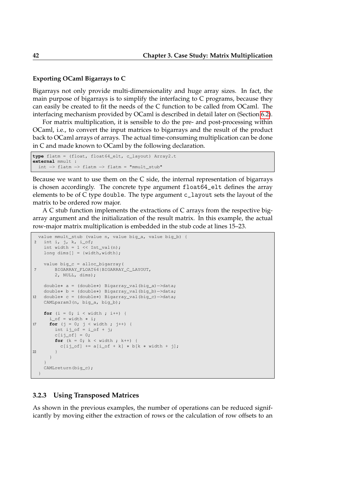## **Exporting OCaml Bigarrays to C**

Bigarrays not only provide multi-dimensionality and huge array sizes. In fact, the main purpose of bigarrays is to simplify the interfacing to C programs, because they can easily be created to fit the needs of the C function to be called from OCaml. The interfacing mechanism provided by OCaml is described in detail later on (Section [6.2\)](#page-94-0).

For matrix multiplication, it is sensible to do the pre- and post-processing within OCaml, i.e., to convert the input matrices to bigarrays and the result of the product back to OCaml arrays of arrays. The actual time-consuming multiplication can be done in C and made known to OCaml by the following declaration.

```
type flatm = (float, float64_elt, c_layout) Array2.t
external mmult :
 int −> flatm −> flatm −> flatm = "mmult_stub"
```
Because we want to use them on the C side, the internal representation of bigarrays is chosen accordingly. The concrete type argument float64\_elt defines the array elements to be of C type double. The type argument c\_layout sets the layout of the matrix to be ordered row major.

A C stub function implements the extractions of C arrays from the respective bigarray argument and the initialization of the result matrix. In this example, the actual row-major matrix multiplication is embedded in the stub code at lines 15–23.

```
value mmult_stub (value n, value big_a, value big_b) {
  int i, \eta, k, i_of;
   int width = 1 \ll Int_{val}(n);
    long dims[] = {width, width};
    value big_c = alloc_bigarray(
7 BIGARRAY_FLOAT64|BIGARRAY_C_LAYOUT,
        2, NULL, dims);
   double∗ a = (double∗) Bigarray_val(big_a)−>data;
   double∗ b = (double∗) Bigarray_val(big_b)−>data;
12 double∗ c = (double∗) Bigarray_val(big_c)−>data;
   CAMLparam3(n, big_a, big_b);
   for (i = 0; i < width; i++) {
      i_of = width * i;
17 for (j = 0; j < width ; j++) {
       int i \text{ of } = i \text{ of } + j;
        c[ij_of] = 0;for (k = 0; k < with ; k++) {
         c[ij of] += a[i of + k] * b[k * width + j];
22 }
      }
    }
    CAMLreturn(big_c);
  }
```
## **3.2.3 Using Transposed Matrices**

As shown in the previous examples, the number of operations can be reduced significantly by moving either the extraction of rows or the calculation of row offsets to an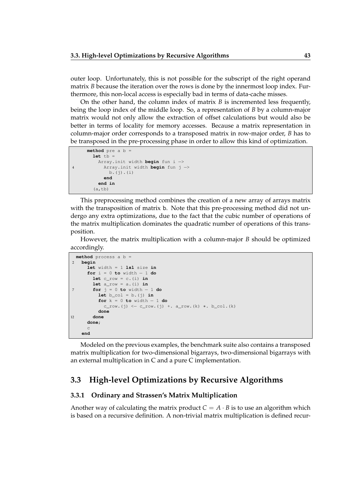outer loop. Unfortunately, this is not possible for the subscript of the right operand matrix *B* because the iteration over the rows is done by the innermost loop index. Furthermore, this non-local access is especially bad in terms of data-cache misses.

On the other hand, the column index of matrix *B* is incremented less frequently, being the loop index of the middle loop. So, a representation of *B* by a column-major matrix would not only allow the extraction of offset calculations but would also be better in terms of locality for memory accesses. Because a matrix representation in column-major order corresponds to a transposed matrix in row-major order, *B* has to be transposed in the pre-processing phase in order to allow this kind of optimization.

```
method pre a b =
      let tb
        Array.init width begin fun i −>
4 Array.init width begin fun j −>
            b.(i).(i)end
        end in
       (a, tb)
```
This preprocessing method combines the creation of a new array of arrays matrix with the transposition of matrix b. Note that this pre-processing method did not undergo any extra optimizations, due to the fact that the cubic number of operations of the matrix multiplication dominates the quadratic number of operations of this transposition.

However, the matrix multiplication with a column-major *B* should be optimized accordingly.

```
method process a b =
2 begin
      let width = 1 lsl size in
      for i = 0 to width − 1 do
        let c_{row} = c.(i) inlet a_{row} = a.(i) in
7 for j = 0 to width − 1 do
          let b_col = b. (j) infor k = 0 to width -1 do
            c_{\text{row.}}(j) \leftarrow c_{\text{row.}}(j) + a_{\text{row.}}(k) * b_{\text{col.}}(k)done
12 done
      done;
      c
    end
```
Modeled on the previous examples, the benchmark suite also contains a transposed matrix multiplication for two-dimensional bigarrays, two-dimensional bigarrays with an external multiplication in C and a pure C implementation.

## **3.3 High-level Optimizations by Recursive Algorithms**

## **3.3.1 Ordinary and Strassen's Matrix Multiplication**

Another way of calculating the matrix product  $C = A \cdot B$  is to use an algorithm which is based on a recursive definition. A non-trivial matrix multiplication is defined recur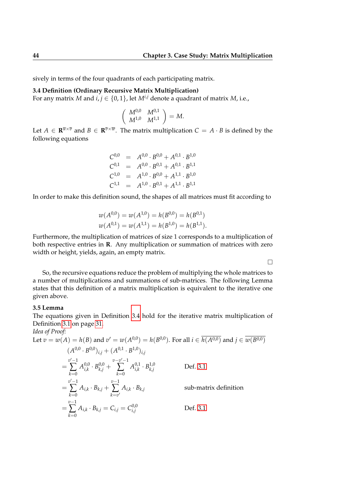sively in terms of the four quadrants of each participating matrix.

## **3.4 Definition (Ordinary Recursive Matrix Multiplication)**

For any matrix *M* and  $i, j \in \{0, 1\}$ , let  $M^{i,j}$  denote a quadrant of matrix *M*, i.e.,

$$
\left(\begin{array}{cc} M^{0,0} & M^{0,1} \\ M^{1,0} & M^{1,1} \end{array}\right) = M.
$$

Let  $A \in \mathbf{R}^{\overline{u} \times \overline{v}}$  and  $B \in \mathbf{R}^{\overline{v} \times \overline{w}}$ . The matrix multiplication  $C = A \cdot B$  is defined by the following equations

$$
C^{0,0} = A^{0,0} \cdot B^{0,0} + A^{0,1} \cdot B^{1,0}
$$
  
\n
$$
C^{0,1} = A^{0,0} \cdot B^{0,1} + A^{0,1} \cdot B^{1,1}
$$
  
\n
$$
C^{1,0} = A^{1,0} \cdot B^{0,0} + A^{1,1} \cdot B^{1,0}
$$
  
\n
$$
C^{1,1} = A^{1,0} \cdot B^{0,1} + A^{1,1} \cdot B^{1,1}
$$

In order to make this definition sound, the shapes of all matrices must fit according to

$$
w(A^{0,0}) = w(A^{1,0}) = h(B^{0,0}) = h(B^{0,1})
$$
  

$$
w(A^{0,1}) = w(A^{1,1}) = h(B^{1,0}) = h(B^{1,1}).
$$

Furthermore, the multiplication of matrices of size 1 corresponds to a multiplication of both respective entries in **R**. Any multiplication or summation of matrices with zero width or height, yields, again, an empty matrix.

 $\Box$ 

So, the recursive equations reduce the problem of multiplying the whole matrices to a number of multiplications and summations of sub-matrices. The following Lemma states that this definition of a matrix multiplication is equivalent to the iterative one given above.

## **3.5 Lemma**

The equations given in Definition [3.4](#page-42-0) hold for the iterative matrix multiplication of Definition [3.1](#page-26-0) on page [31.](#page-26-0)

*Idea of Proof:*

Let 
$$
v = w(A) = h(B)
$$
 and  $v' = w(A^{0,0}) = h(B^{0,0})$ . For all  $i \in \overline{h(A^{0,0})}$  and  $j \in \overline{w(B^{0,0})}$   
\n
$$
(A^{0,0} \cdot B^{0,0})_{i,j} + (A^{0,1} \cdot B^{1,0})_{i,j}
$$
\n
$$
= \sum_{k=0}^{v'-1} A_{i,k}^{0,0} \cdot B_{k,j}^{0,0} + \sum_{k=0}^{v-v'-1} A_{i,k}^{0,1} \cdot B_{k,j}^{1,0}
$$
Def. 3.1  
\n
$$
= \sum_{k=0}^{v'-1} A_{i,k} \cdot B_{k,j} + \sum_{k=v'}^{v-1} A_{i,k} \cdot B_{k,j}
$$
sub-matrix definition  
\n
$$
= \sum_{k=0}^{v-1} A_{i,k} \cdot B_{k,j} = C_{i,j} = C_{i,j}^{0,0}
$$
Def. 3.1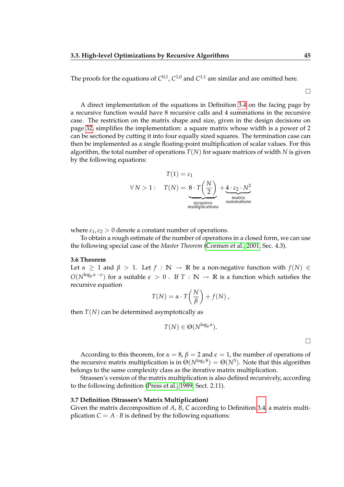The proofs for the equations of  $C^{0,1}$ ,  $C^{1,0}$  and  $C^{1,1}$  are similar and are omitted here.

 $\Box$ 

A direct implementation of the equations in Definition [3.4](#page-42-0) on the facing page by a recursive function would have 8 recursive calls and 4 summations in the recursive case. The restriction on the matrix shape and size, given in the design decisions on page [32,](#page-26-0) simplifies the implementation: a square matrix whose width is a power of 2 can be sectioned by cutting it into four equally sized squares. The termination case can then be implemented as a single floating-point multiplication of scalar values. For this algorithm, the total number of operations *T*(*N*) for square matrices of width *N* is given by the following equations:

$$
T(1) = c_1
$$
  
\n
$$
\forall N > 1: T(N) = 8 \cdot T\left(\frac{N}{2}\right) + 4 \cdot c_2 \cdot N^2
$$
  
\n
$$
T(N) = 8 \cdot T\left(\frac{N}{2}\right) + 4 \cdot c_2 \cdot N^2
$$
  
\n
$$
T(N) = 8 \cdot T\left(\frac{N}{2}\right) + 4 \cdot c_2 \cdot N^2
$$
  
\nmatrix  
\n<sub>matrix</sub>  
\n<sub>matrix</sub>  
\n<sub>matrix</sub>  
\n<sub>matrix</sub>  
\n<sub>matrix</sub>

where  $c_1, c_2 > 0$  denote a constant number of operations.

To obtain a rough estimate of the number of operations in a closed form, we can use the following special case of the *Master Theorem* [\(Cormen et al., 2001,](#page-106-0) Sec. 4.3).

#### **3.6 Theorem**

Let  $\alpha \geq 1$  and  $\beta > 1$ . Let  $f : \mathbb{N} \to \mathbb{R}$  be a non-negative function with  $f(N) \in$  $O(N^{\log_\beta \alpha - \epsilon})$  for a suitable  $\epsilon > 0$  . If  $T : \mathbb{N} \to \mathbb{R}$  is a function which satisfies the recursive equation

$$
T(N) = \alpha \cdot T\left(\frac{N}{\beta}\right) + f(N) ,
$$

then  $T(N)$  can be determined asymptotically as

$$
T(N) \in \Theta(N^{\log_\beta \alpha}).
$$

 $\Box$ 

According to this theorem, for  $\alpha = 8$ ,  $\beta = 2$  and  $\epsilon = 1$ , the number of operations of the recursive matrix multiplication is in  $\Theta(N^{\log_2 8}) = \Theta(N^3)$ . Note that this algorithm belongs to the same complexity class as the iterative matrix multiplication.

Strassen's version of the matrix multiplication is also defined recursively, according to the following definition [\(Press et al., 1989,](#page-108-0) Sect. 2.11).

#### **3.7 Definition (Strassen's Matrix Multiplication)**

Given the matrix decomposition of *A*, *B*, *C* according to Definition [3.4,](#page-42-0) a matrix multiplication  $C = A \cdot B$  is defined by the following equations: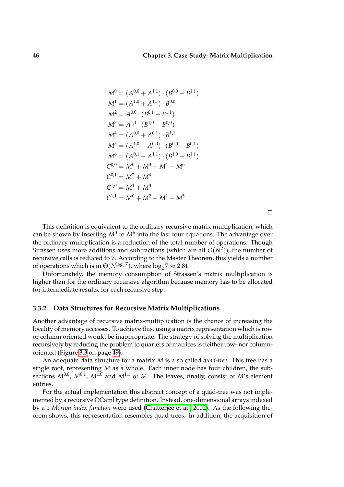$$
M^{0} = (A^{0,0} + A^{1,1}) \cdot (B^{0,0} + B^{1,1})
$$
  
\n
$$
M^{1} = (A^{1,0} + A^{1,1}) \cdot B^{0,0}
$$
  
\n
$$
M^{2} = A^{0,0} \cdot (B^{0,1} - B^{1,1})
$$
  
\n
$$
M^{3} = A^{1,1} \cdot (B^{1,0} - B^{0,0})
$$
  
\n
$$
M^{4} = (A^{0,0} + A^{0,1}) \cdot B^{1,1}
$$
  
\n
$$
M^{5} = (A^{1,0} - A^{0,0}) \cdot (B^{0,0} + B^{0,1})
$$
  
\n
$$
M^{6} = (A^{0,1} - A^{1,1}) \cdot (B^{1,0} + B^{1,1})
$$
  
\n
$$
C^{0,0} = M^{0} + M^{3} - M^{4} + M^{6}
$$
  
\n
$$
C^{1,0} = M^{1} + M^{3}
$$
  
\n
$$
C^{1,1} = M^{0} + M^{2} - M^{1} + M^{5}
$$

 $\Box$ 

This definition is equivalent to the ordinary recursive matrix multiplication, which can be shown by inserting  $M^0$  to  $M^6$  into the last four equations. The advantage over the ordinary multiplication is a reduction of the total number of operations. Though Strassen uses more additions and subtractions (which are all *O*(*N*<sup>2</sup> )), the number of recursive calls is reduced to 7. According to the Master Theorem, this yields a number of operations which is in  $\Theta(N^{\log_2 7})$ , where  $\log_2 7 \approx 2.81$ .

Unfortunately, the memory consumption of Strassen's matrix multiplication is higher than for the ordinary recursive algorithm because memory has to be allocated for intermediate results, for each recursive step.

## **3.3.2 Data Structures for Recursive Matrix Multiplications**

Another advantage of recursive matrix-multiplication is the chance of increasing the locality of memory accesses. To achieve this, using a matrix representation which is row or column oriented would be inappropriate. The strategy of solving the multiplication recursively by reducing the problem to quarters of matrices is neither row- nor columnoriented (Figure [3.3](#page-48-0) on page [49\)](#page-48-0).

An adequate data structure for a matrix *M* is a so called *quad-tree*. This tree has a single root, representing *M* as a whole. Each inner node has four children, the subsections  $M^{0,0}$ ,  $M^{0,1}$ ,  $M^{1,0}$  and  $M^{1,1}$  of M. The leaves, finally, consist of M's element entries.

For the actual implementation this abstract concept of a quad-tree was not implemented by a recursive OCaml type definition. Instead, one-dimensional arrays indexed by a *z-Morton index function* were used [\(Chatterjee et al., 2002\)](#page-106-1). As the following theorem shows, this representation resembles quad-trees. In addition, the acquisition of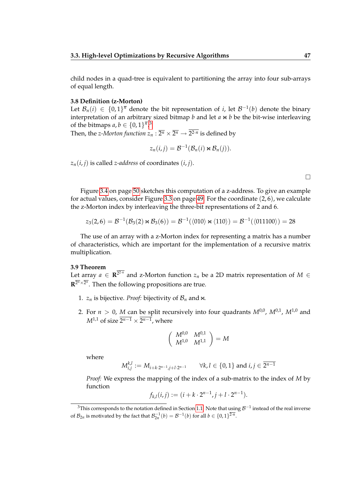child nodes in a quad-tree is equivalent to partitioning the array into four sub-arrays of equal length.

### **3.8 Definition (z-Morton)**

Let  $\mathcal{B}_n(i) \in \{0,1\}^{\overline{n}}$  denote the bit representation of *i*, let  $\mathcal{B}^{-1}(b)$  denote the binary interpretation of an arbitrary sized bitmap  $b$  and let  $a \Join b$  be the bit-wise interleaving of the bitmaps  $a, b \in \{0, 1\}^{\overline{n}, 3}$  $a, b \in \{0, 1\}^{\overline{n}, 3}$  $a, b \in \{0, 1\}^{\overline{n}, 3}$ 

Then, the *z-Morton function*  $z_n : \overline{2^n} \times \overline{2^n} \to 2^{2 \cdot n}$  *is defined by* 

$$
z_n(i,j) = \mathcal{B}^{-1}(\mathcal{B}_n(i) \bowtie \mathcal{B}_n(j)).
$$

 $z_n(i, j)$  is called *z-address* of coordinates  $(i, j)$ .

| ______ |  |  |
|--------|--|--|
|        |  |  |
|        |  |  |
|        |  |  |

Figure [3.4](#page-49-0) on page [50](#page-49-0) sketches this computation of a z-address. To give an example for actual values, consider Figure [3.3](#page-48-0) on page [49.](#page-48-0) For the coordinate (2, 6), we calculate the z-Morton index by interleaving the three-bit representations of 2 and 6.

$$
z_3(2,6)=\mathcal{B}^{-1}(\mathcal{B}_3(2)\Join \mathcal{B}_3(6))=\mathcal{B}^{-1}(\langle010\rangle\Join \langle110\rangle)=\mathcal{B}^{-1}(\langle011100\rangle)=28
$$

The use of an array with a z-Morton index for representing a matrix has a number of characteristics, which are important for the implementation of a recursive matrix multiplication.

### **3.9 Theorem**

Let array  $a \in \mathbb{R}^{2^{2n}}$  and z-Morton function  $z_n$  be a 2D matrix representation of  $M \in$  $\mathbf{R}^{\overline{2^n}\times \overline{2^n}}.$  Then the following propositions are true.

- 1.  $z_n$  is bijective. *Proof:* bijectivity of  $B_n$  and  $\infty$ .
- 2. For  $n > 0$ , M can be split recursively into four quadrants  $M^{0,0}$ ,  $M^{0,1}$ ,  $M^{1,0}$  and  $M^{1,1}$  of size  $2^{n-1} \times 2^{n-1}$ , where

$$
\left(\begin{array}{cc}M^{0,0} & M^{0,1} \\ M^{1,0} & M^{1,1}\end{array}\right) = M
$$

where

 $M_{i,j}^{k,l} := M_{i+k \cdot 2^{n-1},j+l \cdot 2^{n-1}} \qquad \forall k,l \in \{0,1\} \text{ and } i,j \in \overline{2^{n-1}}$ 

*Proof:* We express the mapping of the index of a sub-matrix to the index of *M* by function

$$
f_{k,l}(i,j) := (i + k \cdot 2^{n-1}, j + l \cdot 2^{n-1}).
$$

<span id="page-46-0"></span><sup>&</sup>lt;sup>3</sup>This corresponds to the notation defined in Section [1.1.](#page-14-0) Note that using  $\mathcal{B}^{-1}$  instead of the real inverse of  $\mathcal{B}_{2n}$  is motivated by the fact that  $\mathcal{B}_{2n}^{-1}(b) = \mathcal{B}^{-1}(b)$  for all  $b \in \{0,1\}^{\overline{2\cdot n}}$ .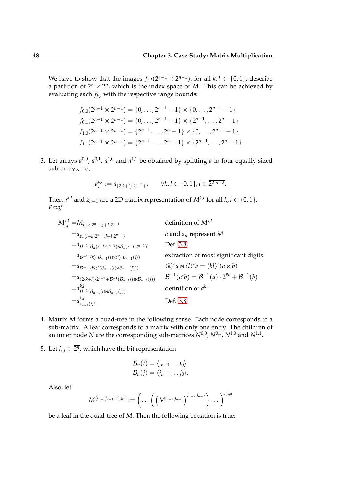We have to show that the images  $f_{k,l}(2^{n-1} \times 2^{n-1})$ , for all  $k, l \in \{0, 1\}$ , describe a partition of  $\overline{2^n}\times \overline{2^n}$ , which is the index space of M. This can be achieved by evaluating each  $f_{k,l}$  with the respective range bounds:

$$
f_{0,0}(\overline{2^{n-1}} \times \overline{2^{n-1}}) = \{0, \ldots, 2^{n-1} - 1\} \times \{0, \ldots, 2^{n-1} - 1\}
$$
  
\n
$$
f_{0,1}(\overline{2^{n-1}} \times \overline{2^{n-1}}) = \{0, \ldots, 2^{n-1} - 1\} \times \{2^{n-1}, \ldots, 2^{n} - 1\}
$$
  
\n
$$
f_{1,0}(\overline{2^{n-1}} \times \overline{2^{n-1}}) = \{2^{n-1}, \ldots, 2^{n} - 1\} \times \{0, \ldots, 2^{n-1} - 1\}
$$
  
\n
$$
f_{1,1}(\overline{2^{n-1}} \times \overline{2^{n-1}}) = \{2^{n-1}, \ldots, 2^{n} - 1\} \times \{2^{n-1}, \ldots, 2^{n} - 1\}
$$

3. Let arrays  $a^{0,0}$ ,  $a^{0,1}$ ,  $a^{1,0}$  and  $a^{1,1}$  be obtained by splitting *a* in four equally sized sub-arrays, i.e.,

$$
a_i^{k,l} := a_{(2\cdot k+l)\cdot 2^{n-2}+i} \qquad \forall k, l \in \{0,1\}, i \in \overline{2^{2\cdot n-2}}.
$$

Then  $a^{k,l}$  and  $z_{n-1}$  are a 2D matrix representation of  $M^{k,l}$  for all  $k, l \in \{0, 1\}.$ *Proof:*

$$
M_{i,j}^{k,l} = M_{i+k \cdot 2^{n-1},j+l \cdot 2^{n-1}}
$$
 definition of  $M^{k,l}$   
\n
$$
= a_{Z_n(i+k \cdot 2^{n-1},j+l \cdot 2^{n-1})}
$$
 a and  $z_n$  represent M  
\n
$$
= a_{B^{-1}(B_n(i+k \cdot 2^{n-1}) \bowtie B_n(j+l \cdot 2^{n-1}))}
$$
 Def. 3.8  
\n
$$
= a_{B^{-1}(\langle k \rangle^* B_{n-1}(i) \bowtie \langle l \rangle^* B_{n-1}(j))}
$$
 extraction of most significant digits  
\n
$$
= a_{B^{-1}(\langle k \rangle^* (B_{n-1}(i) \bowtie B_{n-1}(j)))}
$$
  $\langle k \rangle^* a \bowtie \langle l \rangle^* b = \langle kl \rangle^* (a \bowtie b)$   
\n
$$
= a_{(2 \cdot k+l) \cdot 2^{n-2} + B^{-1}(B_{n-1}(i) \bowtie B_{n-1}(j))}
$$
  $B^{-1}(a^*b) = B^{-1}(a) \cdot 2^{\#b} + B^{-1}(b)$   
\n
$$
= a_{Z_{n-1}(i)}^{k,l}
$$
 definition of  $a^{k,l}$   
\n
$$
= a_{Z_{n-1}(i,j)}^{k,l}
$$
 Def. 3.8

- 4. Matrix *M* forms a quad-tree in the following sense. Each node corresponds to a sub-matrix. A leaf corresponds to a matrix with only one entry. The children of an inner node  $N$  are the corresponding sub-matrices  $N^{0,0}$ ,  $N^{0,1}$ ,  $N^{1,0}$  and  $N^{1,1}$ .
- 5. Let  $i, j \in \overline{2^n}$ , which have the bit representation

$$
\mathcal{B}_n(i) = \langle i_{n-1} \dots i_0 \rangle \n\mathcal{B}_n(j) = \langle j_{n-1} \dots j_0 \rangle.
$$

Also, let

$$
M^{\langle i_{n-1}j_{n-1}...i_0j_0\rangle}:=\bigg(...\bigg(\big(M^{i_{n-1}j_{n-1}}\big)^{i_{n-2},j_{n-2}}\bigg)\dots\bigg)^{i_0,j_0}
$$

be a leaf in the quad-tree of *M*. Then the following equation is true: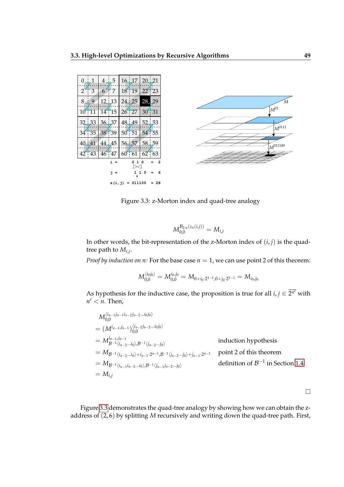| $0 \perp 1$ |                    |               | $4 \perp 5$ |             | $16 \frac{1}{2}$ | 20:21  |                |
|-------------|--------------------|---------------|-------------|-------------|------------------|--------|----------------|
|             | $2 + 3$            | $6^{\degree}$ | $\pm$ 7     |             | $18 - 19$        |        | 22723          |
|             | $8 - 9$            |               | $12 \pm 13$ | 24:25       |                  | 28.    | 29             |
| $10 - 11$   |                    |               | $14 - 15$   | 26:27       |                  |        | 30:31          |
|             | $32 \downarrow 33$ |               | $36 \pm 37$ | 48:49       |                  |        | 52:53          |
|             | 34:35              |               | 38 39       | 50:51       |                  |        | 54755          |
| 40:41       |                    | 44:45         |             | $56 \pm 57$ |                  |        | 58 59          |
|             | 42:43              |               | 46:47       | $60 - 61$   |                  |        | $62 + 63$      |
|             |                    |               | $i =$       |             | 1<br>0           | ٥      | $\overline{a}$ |
|             |                    |               | i =         |             | Ш                | 1<br>O | 6              |
|             |                    |               | z (i, j)    |             | 011100           |        | $= 28$         |



<span id="page-48-0"></span>Figure 3.3: z-Morton index and quad-tree analogy

$$
M_{0,0}^{\mathcal{B}_{2\cdot n}(z_n(i,j))} = M_{i,j}
$$

In other words, the bit-representation of the z-Morton index of  $(i, j)$  is the quadtree path to *Mi*,*<sup>j</sup>* .

*Proof by induction on n:* For the base case  $n = 1$ , we can use point 2 of this theorem:

$$
M_{0,0}^{\langle i_0 j_0\rangle}=M_{0,0}^{i_0,j_0}=M_{0+i_0\cdot2^{1-1},0+j_0\cdot2^{1-1}}=M_{i_0,j_0}
$$

As hypothesis for the inductive case, the proposition is true for all  $i, j \in \overline{2^{n'}}$  with  $n' < n$ . Then,

$$
M_{0,0}^{\langle i_{n-1}j_{n-1}i_{n-2}j_{n-2}...i_{0}j_{0}\rangle}
$$
\n=  $(M^{i_{n-1}j_{n-1}})^{\langle i_{n-2}j_{n-2}...i_{0}j_{0}\rangle}$   
\n=  $M_{B^{-1}\langle i_{n-2}...i_{0}\rangle,B^{-1}\langle j_{n-2}...j_{0}\rangle}$  induction hypothesis  
\n=  $M_{B^{-1}\langle i_{n-2}...i_{0}\rangle+i_{n-1}\cdot2^{n-1},B^{-1}\langle j_{n-2}...j_{0}\rangle+j_{n-1}\cdot2^{n-1}}$  point 2 of this theorem  
\n=  $M_{B^{-1}\langle i_{n-1}i_{n-2}...i_{0}\rangle,B^{-1}\langle j_{n-1}j_{n-2}...j_{0}\rangle}$  definition of  $B^{-1}$  in Section 1.4  
\n=  $M_{i,j}$ 

 $\Box$ 

Figure [3.3](#page-48-0) demonstrates the quad-tree analogy by showing how we can obtain the zaddress of (2, 6) by splitting *M* recursively and writing down the quad-tree path. First,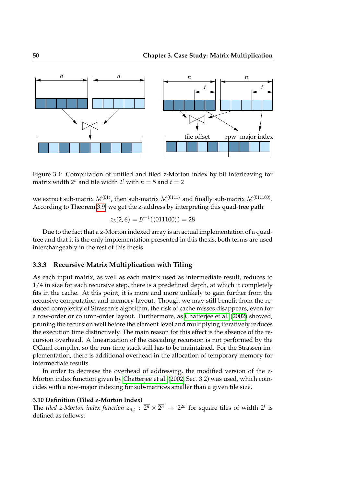

<span id="page-49-0"></span>Figure 3.4: Computation of untiled and tiled z-Morton index by bit interleaving for matrix width  $2^n$  and tile width  $2^t$  with  $n = 5$  and  $t = 2$ 

we extract sub-matrix  $M^{\langle 01 \rangle}$ , then sub-matrix  $M^{\langle 0111 \rangle}$  and finally sub-matrix  $M^{\langle 011100 \rangle}$ . According to Theorem [3.9,](#page-42-0) we get the z-address by interpreting this quad-tree path:

$$
z_3(2,6) = \mathcal{B}^{-1}(\langle 011100 \rangle) = 28
$$

Due to the fact that a z-Morton indexed array is an actual implementation of a quadtree and that it is the only implementation presented in this thesis, both terms are used interchangeably in the rest of this thesis.

## **3.3.3 Recursive Matrix Multiplication with Tiling**

As each input matrix, as well as each matrix used as intermediate result, reduces to  $1/4$  in size for each recursive step, there is a predefined depth, at which it completely fits in the cache. At this point, it is more and more unlikely to gain further from the recursive computation and memory layout. Though we may still benefit from the reduced complexity of Strassen's algorithm, the risk of cache misses disappears, even for a row-order or column-order layout. Furthermore, as [Chatterjee et al.](#page-106-1) [\(2002\)](#page-106-1) showed, pruning the recursion well before the element level and multiplying iteratively reduces the execution time distinctively. The main reason for this effect is the absence of the recursion overhead. A linearization of the cascading recursion is not performed by the OCaml compiler, so the run-time stack still has to be maintained. For the Strassen implementation, there is additional overhead in the allocation of temporary memory for intermediate results.

In order to decrease the overhead of addressing, the modified version of the z-Morton index function given by [Chatterjee et al.](#page-106-1) [\(2002,](#page-106-1) Sec. 3.2) was used, which coincides with a row-major indexing for sub-matrices smaller than a given tile size.

### **3.10 Definition (Tiled z-Morton Index)**

The *tiled z-Morton index function*  $z_{n,t}$  :  $\overline{2^n} \times \overline{2^n} \to \overline{2^{2n}}$  for square tiles of width  $2^t$  is defined as follows: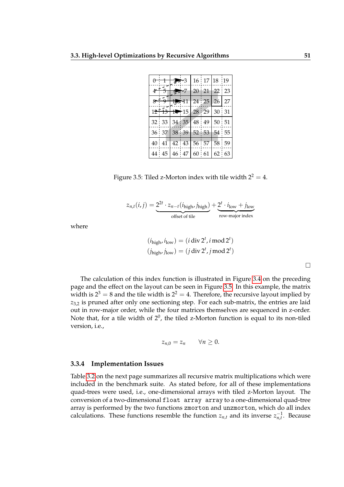| $0 \t1 \t3$ 3   16   17   18   19                             |  |                          |  |  |
|---------------------------------------------------------------|--|--------------------------|--|--|
| $4\frac{+}{5}$ $\frac{+}{2}$ 7   20   21   22   23            |  |                          |  |  |
| لوَّ†ج                                                        |  | $1$ $\ge$ 11 24 25 26 27 |  |  |
| $12 \overline{13}$ $1 \overline{13}$ $15$ $28$ $29$ $30$ $31$ |  |                          |  |  |
| $32 \mid 33 \mid 34 \mid 35 \mid 48 \mid 49 \mid 50 \mid 51$  |  |                          |  |  |
| $36 \mid 37 \mid 38 \mid 39 \mid 52 \mid 53 \mid 54 \mid 55$  |  |                          |  |  |
| 40 41 42 43 56 57 58 59                                       |  |                          |  |  |
| 44 45 46 47 60 61 62 63                                       |  |                          |  |  |

<span id="page-50-0"></span>Figure 3.5: Tiled z-Morton index with tile width  $2^2 = 4$ .

$$
z_{n,t}(i,j) = \underbrace{2^{2t} \cdot z_{n-t}(i_{\text{high}}, j_{\text{high}})}_{\text{offset of tile}} + \underbrace{2^{t} \cdot i_{\text{low}} + j_{\text{low}}}_{\text{row-major index}}
$$

where

$$
(i_{\text{high}}, i_{\text{low}}) = (i \div 2^t, i \mod 2^t)
$$

$$
(j_{\text{high}}, j_{\text{low}}) = (j \div 2^t, j \mod 2^t)
$$

 $\Box$ 

The calculation of this index function is illustrated in Figure [3.4](#page-49-0) on the preceding page and the effect on the layout can be seen in Figure [3.5.](#page-50-0) In this example, the matrix width is  $2^3 = 8$  and the tile width is  $2^2 = 4$ . Therefore, the recursive layout implied by *z*3,2 is pruned after only one sectioning step. For each sub-matrix, the entries are laid out in row-major order, while the four matrices themselves are sequenced in z-order. Note that, for a tile width of  $2^0$ , the tiled z-Morton function is equal to its non-tiled version, i.e.,

$$
z_{n,0}=z_n\qquad\forall n\geq 0.
$$

## **3.3.4 Implementation Issues**

Table [3.2](#page-51-0) on the next page summarizes all recursive matrix multiplications which were included in the benchmark suite. As stated before, for all of these implementations quad-trees were used, i.e., one-dimensional arrays with tiled z-Morton layout. The conversion of a two-dimensional float array array to a one-dimensional quad-tree array is performed by the two functions zmorton and unzmorton, which do all index calculations. These functions resemble the function  $z_{n,t}$  and its inverse  $z_{n,t}^{-1}$ . Because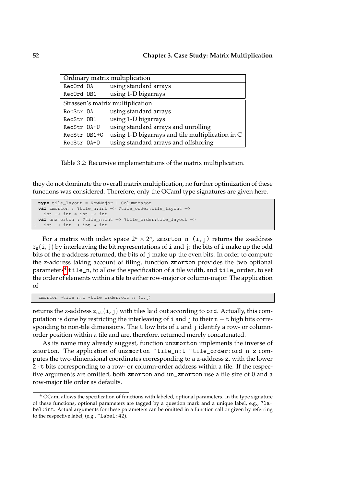| Ordinary matrix multiplication   |                                                  |  |  |  |  |
|----------------------------------|--------------------------------------------------|--|--|--|--|
| RecOrd OA                        | using standard arrays                            |  |  |  |  |
| RecOrd OB1                       | using 1-D bigarrays                              |  |  |  |  |
| Strassen's matrix multiplication |                                                  |  |  |  |  |
| RecStr OA                        | using standard arrays                            |  |  |  |  |
| RecStr OB1                       | using 1-D bigarrays                              |  |  |  |  |
| RecStr 0A+U                      | using standard arrays and unrolling              |  |  |  |  |
| RecStr OB1+C                     | using 1-D bigarrays and tile multiplication in C |  |  |  |  |
| RecStr 0A+0                      | using standard arrays and offshoring             |  |  |  |  |

<span id="page-51-0"></span>Table 3.2: Recursive implementations of the matrix multiplication.

they do not dominate the overall matrix multiplication, no further optimization of these functions was considered. Therefore, only the OCaml type signatures are given here.

```
type tile_layout = RowMajor | ColumnMajor
 val zmorton : ?tile_n:int −> ?tile_order:tile_layout −>
   int −> int ∗ int −> int
 val unzmorton : ?tile_n:int −> ?tile_order:tile_layout −>
5 int −> int −> int ∗ int
```
For a matrix with index space  $\overline{2^n}\times \overline{2^n}$ , zmorton <code>n(i,j)</code> returns the z-address  $z_n(i, j)$  by interleaving the bit representations of i and j: the bits of i make up the odd bits of the z-address returned, the bits of j make up the even bits. In order to compute the z-address taking account of tiling, function zmorton provides the two optional parameters<sup>[4](#page-51-1)</sup> tile\_n, to allow the specification of a tile width, and tile\_order, to set the order of elements within a tile to either row-major or column-major. The application of

zmorton ~tile\_n:t ~tile\_order:ord n (i,j)

returns the z-address  $z_{n,t}(i, j)$  with tiles laid out according to ord. Actually, this computation is done by restricting the interleaving of i and j to their  $n - t$  high bits corresponding to non-tile dimensions. The t low bits of i and j identify a row- or columnorder position within a tile and are, therefore, returned merely concatenated.

As its name may already suggest, function unzmorton implements the inverse of zmorton. The application of unzmorton "tile\_n:t "tile\_order:ord n z computes the two-dimensional coordinates corresponding to a z-address z, with the lower 2 · t bits corresponding to a row- or column-order address within a tile. If the respective arguments are omitted, both zmorton and un\_zmorton use a tile size of 0 and a row-major tile order as defaults.

<span id="page-51-1"></span><sup>4</sup> OCaml allows the specification of functions with labeled, optional parameters. In the type signature of these functions, optional parameters are tagged by a question mark and a unique label, e.g., ?label:int. Actual arguments for these parameters can be omitted in a function call or given by referring to the respective label, (e.g., ~label: 42).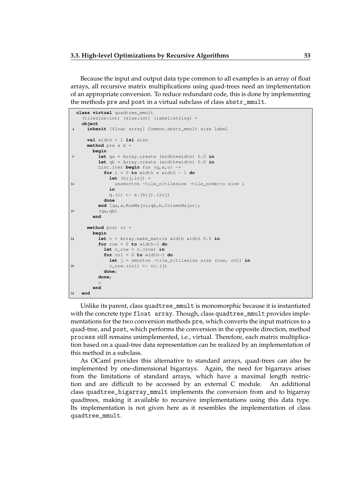Because the input and output data type common to all examples is an array of float arrays, all recursive matrix multiplications using quad-trees need an implementation of an appropriate conversion. To reduce redundant code, this is done by implementing the methods pre and post in a virtual subclass of class abstr\_mmult.

```
class virtual quadtree_mmult
    (tilesize:int) (size:int) (label:string) =
   object
4 inherit [float array] Common.abstr_mmult size label
      val width = 1 lsl size
     method pre a b =
       begin
9 let qa = Array.create (width∗width) 0.0 in
         let qb = Array.create (width∗width) 0.0 in
         List.iter begin fun (q,a,o) −>
           for i = 0 to width ∗ width − 1 do
             let (hij,loj) =
14 unzmorton ~tile_n:tilesize ~tile_order:o size i
             in
             q.(\text{i}) \leftarrow a.(\text{hij}).(\text{loj})done
         end [qa,a,RowMajor;qb,b,ColumnMajor];
19 (\text{ga}, \text{ab})end
     method post rc =
       begin
24 let c = Array.make_matrix width width 0.0 in
         for row = 0 to width−1 do
           let c_row = c.(row) in
           for col = 0 to width−1 do
             let j = zmorton ~tile_n:tilesize size (row, col) in
29 c_row.(col) <− rc.(j)
           done;
         done;
          c
        end
34 end
```
Unlike its parent, class quadtree\_mmult is monomorphic because it is instantiated with the concrete type float array. Though, class quadtree\_mmult provides implementations for the two conversion methods pre, which converts the input matrices to a quad-tree, and post, which performs the conversion in the opposite direction, method process still remains unimplemented, i.e., virtual. Therefore, each matrix multiplication based on a quad-tree data representation can be realized by an implementation of this method in a subclass.

As OCaml provides this alternative to standard arrays, quad-trees can also be implemented by one-dimensional bigarrays. Again, the need for bigarrays arises from the limitations of standard arrays, which have a maximal length restriction and are difficult to be accessed by an external C module. An additional class quadtree\_bigarray\_mmult implements the conversion from and to bigarray quadtrees, making it available to recursive implementations using this data type. Its implementation is not given here as it resembles the implementation of class quadtree\_mmult.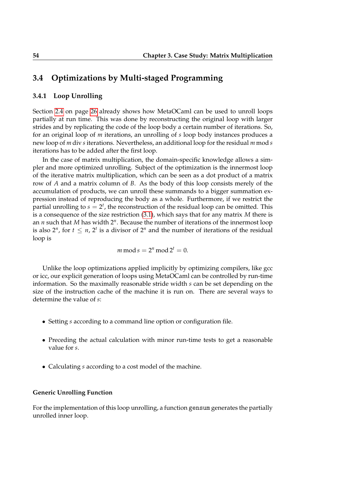## **3.4 Optimizations by Multi-staged Programming**

## **3.4.1 Loop Unrolling**

Section [2.4](#page-24-0) on page [26](#page-24-0) already shows how MetaOCaml can be used to unroll loops partially at run time. This was done by reconstructing the original loop with larger strides and by replicating the code of the loop body a certain number of iterations. So, for an original loop of *m* iterations, an unrolling of *s* loop body instances produces a new loop of *m* div *s* iterations. Nevertheless, an additional loop for the residual *m* mod *s* iterations has to be added after the first loop.

In the case of matrix multiplication, the domain-specific knowledge allows a simpler and more optimized unrolling. Subject of the optimization is the innermost loop of the iterative matrix multiplication, which can be seen as a dot product of a matrix row of *A* and a matrix column of *B*. As the body of this loop consists merely of the accumulation of products, we can unroll these summands to a bigger summation expression instead of reproducing the body as a whole. Furthermore, if we restrict the partial unrolling to  $s = 2^t$ , the reconstruction of the residual loop can be omitted. This is a consequence of the size restriction [\(3.1\)](#page-26-0), which says that for any matrix *M* there is an *n* such that *M* has width 2*<sup>n</sup>* . Because the number of iterations of the innermost loop is also  $2^n$ , for  $t \leq n$ ,  $2^t$  is a divisor of  $2^n$  and the number of iterations of the residual loop is

 $m \mod s = 2^n \mod 2^t = 0.$ 

Unlike the loop optimizations applied implicitly by optimizing compilers, like gcc or icc, our explicit generation of loops using MetaOCaml can be controlled by run-time information. So the maximally reasonable stride width *s* can be set depending on the size of the instruction cache of the machine it is run on. There are several ways to determine the value of *s*:

- Setting *s* according to a command line option or configuration file.
- Preceding the actual calculation with minor run-time tests to get a reasonable value for *s*.
- Calculating *s* according to a cost model of the machine.

## **Generic Unrolling Function**

For the implementation of this loop unrolling, a function gensum generates the partially unrolled inner loop.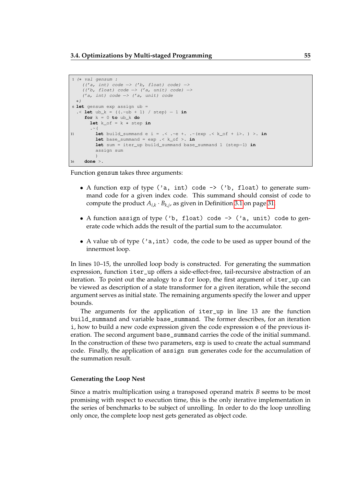```
1 (∗ val gensum :
    ((a, int) code \rightarrow (b, float) code \rightarrow(('b, float) code −> ('a, unit) code) −>
    ('a, int) code −> ('a, unit) code
  ∗)
6 let gensum exp assign ub =
  \cdot let ub_k = ((\cdot ~ub + 1) / step) - 1 in
    for k = 0 to ub_{k} do
       let k_of = k * step in. \sim (
11 let build_summand e i = .< .~e +. .~(exp .< k_of + i>. ) >. in
         let base_summand = exp .< k_of >. in
        let sum = iter_up build_summand base_summand 1 (step−1) in
         assign sum
         )
16 done >.
```
Function gensum takes three arguments:

- A function exp of type ('a, int) code -> ('b, float) to generate summand code for a given index code. This summand should consist of code to compute the product  $A_{i,k} \cdot B_{k,j}$ , as given in Definition [3.1](#page-26-0) on page [31.](#page-26-0)
- A function assign of type ('b, float) code  $\rightarrow$  ('a, unit) code to generate code which adds the result of the partial sum to the accumulator.
- A value ub of type ('a,int) code, the code to be used as upper bound of the innermost loop.

In lines 10–15, the unrolled loop body is constructed. For generating the summation expression, function iter\_up offers a side-effect-free, tail-recursive abstraction of an iteration. To point out the analogy to a for loop, the first argument of iter\_up can be viewed as description of a state transformer for a given iteration, while the second argument serves as initial state. The remaining arguments specify the lower and upper bounds.

The arguments for the application of iter\_up in line 13 are the function build\_summand and variable base\_summand. The former describes, for an iteration i, how to build a new code expression given the code expression e of the previous iteration. The second argument base\_summand carries the code of the initial summand. In the construction of these two parameters, exp is used to create the actual summand code. Finally, the application of assign sum generates code for the accumulation of the summation result.

#### **Generating the Loop Nest**

Since a matrix multiplication using a transposed operand matrix *B* seems to be most promising with respect to execution time, this is the only iterative implementation in the series of benchmarks to be subject of unrolling. In order to do the loop unrolling only once, the complete loop nest gets generated as object code.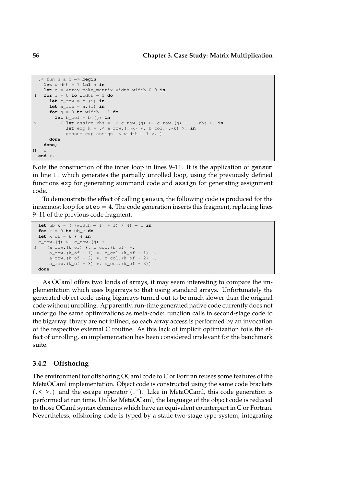```
.< fun n a b −> begin
   let width = 1 ls1 n inlet c = Array.make_matrix width width 0.0 in
4 for i = 0 to width − 1 do
      let c_row = c.(i) in
      let a_row = a.(i) in
     for j = 0 to width − 1 do
       let b_{col} = b \cdot (i) in
9 .~( let assign rhs = .< c_row.(j) <− c_row.(j) +. .~rhs >. in
           let exp k = . < a_{row.}(. k) * . b_{col.}(. k) >. ingensum exp assign .< width − 1 >. )
     done
   done;
14 c
 end >.
```
Note the construction of the inner loop in lines 9–11. It is the application of gensum in line 11 which generates the partially unrolled loop, using the previously defined functions exp for generating summand code and assign for generating assignment code.

To demonstrate the effect of calling gensum, the following code is produced for the innermost loop for  $step = 4$ . The code generation inserts this fragment, replacing lines 9–11 of the previous code fragment.

```
let ub_k = ((width - 1) + 1) / 4) - 1 in
 for k = 0 to ub_k do
 let k_of = k * 4 in
 c_{\text{row}}(j) \leftarrow c_{\text{row}}(j) +.
5 (a_row.(k_of) ∗. b_col.(k_of) +.
      a_{row.}(k_{of} + 1) *. b_{col.}(k_{of} + 1) +.
     a_{row.}(k_0f + 2) *. b_{coll.}(k_0f + 2) +.a_{rv} (k_of + 3) *. b_col.(k_of + 3))
 done
```
As OCaml offers two kinds of arrays, it may seem interesting to compare the implementation which uses bigarrays to that using standard arrays. Unfortunately the generated object code using bigarrays turned out to be much slower than the original code without unrolling. Apparently, run-time generated native code currently does not undergo the same optimizations as meta-code: function calls in second-stage code to the bigarray library are not inlined, so each array access is performed by an invocation of the respective external C routine. As this lack of implicit optimization foils the effect of unrolling, an implementation has been considered irrelevant for the benchmark suite.

## **3.4.2 Offshoring**

The environment for offshoring OCaml code to C or Fortran reuses some features of the MetaOCaml implementation. Object code is constructed using the same code brackets  $(. \leq ).$  and the escape operator  $(. \tilde{\})$ . Like in MetaOCaml, this code generation is performed at run time. Unlike MetaOCaml, the language of the object code is reduced to those OCaml syntax elements which have an equivalent counterpart in C or Fortran. Nevertheless, offshoring code is typed by a static two-stage type system, integrating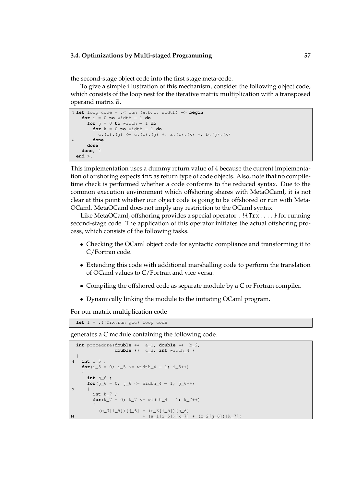the second-stage object code into the first stage meta-code.

To give a simple illustration of this mechanism, consider the following object code, which consists of the loop nest for the iterative matrix multiplication with a transposed operand matrix *B*.

```
1 let loop_code = .< fun (a,b,c, width) −> begin
   for i = 0 to width − 1 do
     for j = 0 to width − 1 do
       for k = 0 to width − 1 do
         c.(i).(j) <- c.(i).(j) +. a.(i).(k) *. b.(j).(k)
6 done
     done
   done; 4
 end >.
```
This implementation uses a dummy return value of 4 because the current implementation of offshoring expects int as return type of code objects. Also, note that no compiletime check is performed whether a code conforms to the reduced syntax. Due to the common execution environment which offshoring shares with MetaOCaml, it is not clear at this point whether our object code is going to be offshored or run with Meta-OCaml. MetaOCaml does not imply any restriction to the OCaml syntax.

Like MetaOCaml, offshoring provides a special operator .!{Trx....} for running second-stage code. The application of this operator initiates the actual offshoring process, which consists of the following tasks.

- Checking the OCaml object code for syntactic compliance and transforming it to C/Fortran code.
- Extending this code with additional marshalling code to perform the translation of OCaml values to C/Fortran and vice versa.
- Compiling the offshored code as separate module by a C or Fortran compiler.
- Dynamically linking the module to the initiating OCaml program.

For our matrix multiplication code

**let** f = .!{Trx.run\_gcc} loop\_code

generates a C module containing the following code.

```
int procedure(double ∗∗ a_1, double ∗∗ b_2,
               double ∗∗ c_3, int width_4 )
  {
4 int i_5 ;
   for(i_5 = 0; i_5 <= width_4 - 1; i_5++)
    {
     int j_6 ;
     for(j=6 = 0; j=6 \leq width=4 - 1; j=6++)
9 {
       int k_7 ;
       for(k_7 = 0; k_7 \leq w \text{idth}_4 - 1; k_7 + 1)
        {
         (c_3[i_5]) [j_6] = (c_3[i_5]) [j_6]14 + (a_1[i_5]) [k_7] * (b_2[j_6]) [k_7];
```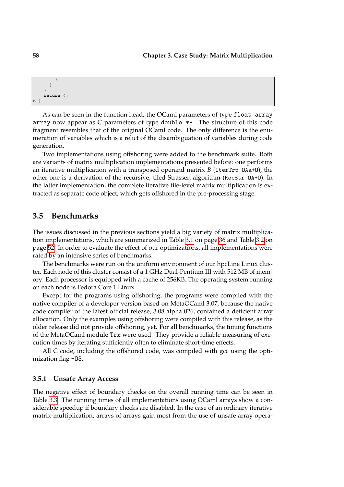```
}
        }
     }
     return 4;
19 }
```
As can be seen in the function head, the OCaml parameters of type float array array now appear as C parameters of type double \*\*. The structure of this code fragment resembles that of the original OCaml code. The only difference is the enumeration of variables which is a relict of the disambiguation of variables during code generation.

Two implementations using offshoring were added to the benchmark suite. Both are variants of matrix multiplication implementations presented before: one performs an iterative multiplication with a transposed operand matrix *B* (IterTrp OAa+O), the other one is a derivation of the recursive, tiled Strassen algorithm (RecStr OA+O). In the latter implementation, the complete iterative tile-level matrix multiplication is extracted as separate code object, which gets offshored in the pre-processing stage.

## **3.5 Benchmarks**

The issues discussed in the previous sections yield a big variety of matrix multiplication implementations, which are summarized in Table [3.1](#page-35-0) on page [36](#page-35-0) and Table [3.2](#page-51-0) on page [52.](#page-51-0) In order to evaluate the effect of our optimizations, all implementations were rated by an intensive series of benchmarks.

The benchmarks were run on the uniform environment of our hpcLine Linux cluster. Each node of this cluster consist of a 1 GHz Dual-Pentium III with 512 MB of memory. Each processor is equipped with a cache of 256KB. The operating system running on each node is Fedora Core 1 Linux.

Except for the programs using offshoring, the programs were compiled with the native compiler of a developer version based on MetaOCaml 3.07, because the native code compiler of the latest official release, 3.08 alpha 026, contained a deficient array allocation. Only the examples using offshoring were compiled with this release, as the older release did not provide offshoring, yet. For all benchmarks, the timing functions of the MetaOCaml module Trx were used. They provide a reliable measuring of execution times by iterating sufficiently often to eliminate short-time effects.

All C code, including the offshored code, was compiled with gcc using the optimization flag -03.

## **3.5.1 Unsafe Array Access**

The negative effect of boundary checks on the overall running time can be seen in Table [3.3.](#page-58-0) The running times of all implementations using OCaml arrays show a considerable speedup if boundary checks are disabled. In the case of an ordinary iterative matrix-multiplication, arrays of arrays gain most from the use of unsafe array opera-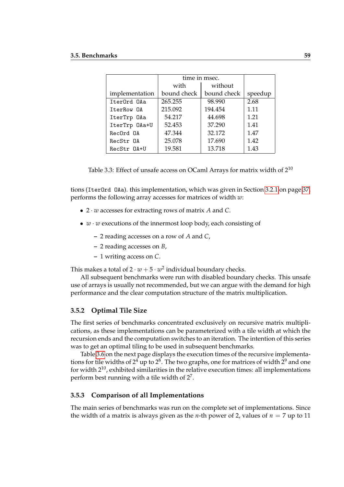|                | time in msec. |             |         |
|----------------|---------------|-------------|---------|
|                | with          | without     |         |
| implementation | bound check   | bound check | speedup |
| IterOrd OAa    | 265.255       | 98.990      | 2.68    |
| IterRow OA     | 215.092       | 194.454     | 1.11    |
| IterTrp OAa    | 54.217        | 44.698      | 1.21    |
| IterTrp OAa+U  | 52.453        | 37.290      | 1.41    |
| RecOrd OA      | 47.344        | 32.172      | 1.47    |
| RecStr OA      | 25.078        | 17.690      | 1.42    |
| RecStr 0A+U    | 19.581        | 13.718      | 1.43    |

<span id="page-58-0"></span>Table 3.3: Effect of unsafe access on OCaml Arrays for matrix width of  $2^{10}$ 

tions (IterOrd OAa). this implementation, which was given in Section [3.2.1](#page-35-1) on page [37,](#page-35-1) performs the following array accesses for matrices of width *w*:

- 2 · *w* accesses for extracting rows of matrix *A* and *C*.
- *w* · *w* executions of the innermost loop body, each consisting of
	- **–** 2 reading accesses on a row of *A* and *C*,
	- **–** 2 reading accesses on *B*,
	- **–** 1 writing access on *C*.

This makes a total of  $2 \cdot w + 5 \cdot w^2$  individual boundary checks.

All subsequent benchmarks were run with disabled boundary checks. This unsafe use of arrays is usually not recommended, but we can argue with the demand for high performance and the clear computation structure of the matrix multiplication.

## **3.5.2 Optimal Tile Size**

The first series of benchmarks concentrated exclusively on recursive matrix multiplications, as these implementations can be parameterized with a tile width at which the recursion ends and the computation switches to an iteration. The intention of this series was to get an optimal tiling to be used in subsequent benchmarks.

Table [3.6](#page-59-0) on the next page displays the execution times of the recursive implementations for tile widths of  $2^4$  up to  $2^8$ . The two graphs, one for matrices of width  $2^9$  and one for width  $2^{10}$ , exhibited similarities in the relative execution times: all implementations perform best running with a tile width of  $2^7$ .

## **3.5.3 Comparison of all Implementations**

The main series of benchmarks was run on the complete set of implementations. Since the width of a matrix is always given as the *n*-th power of 2, values of  $n = 7$  up to 11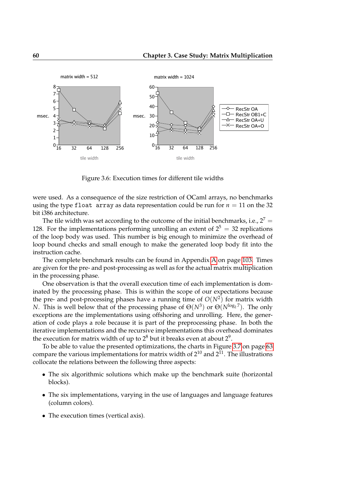

<span id="page-59-0"></span>Figure 3.6: Execution times for different tile widths

were used. As a consequence of the size restriction of OCaml arrays, no benchmarks using the type float array as data representation could be run for  $n = 11$  on the 32 bit i386 architecture.

The tile width was set according to the outcome of the initial benchmarks, i.e.,  $2^7 =$ 128. For the implementations performing unrolling an extent of  $2^5 = 32$  replications of the loop body was used. This number is big enough to minimize the overhead of loop bound checks and small enough to make the generated loop body fit into the instruction cache.

The complete benchmark results can be found in Appendix [A](#page-101-0) on page [103.](#page-101-0) Times are given for the pre- and post-processing as well as for the actual matrix multiplication in the processing phase.

One observation is that the overall execution time of each implementation is dominated by the processing phase. This is within the scope of our expectations because the pre- and post-processing phases have a running time of *O*(*N*<sup>2</sup> ) for matrix width *N*. This is well below that of the processing phase of  $\Theta(N^3)$  or  $\Theta(N^{\log_2 7})$ . The only exceptions are the implementations using offshoring and unrolling. Here, the generation of code plays a role because it is part of the preprocessing phase. In both the iterative implementations and the recursive implementations this overhead dominates the execution for matrix width of up to  $2^8$  but it breaks even at about  $2^9$ .

To be able to value the presented optimizations, the charts in Figure [3.7](#page-62-0) on page [63](#page-62-0) compare the various implementations for matrix width of  $2^{10}$  and  $2^{11}$ . The illustrations collocate the relations between the following three aspects:

- The six algorithmic solutions which make up the benchmark suite (horizontal blocks).
- The six implementations, varying in the use of languages and language features (column colors).
- The execution times (vertical axis).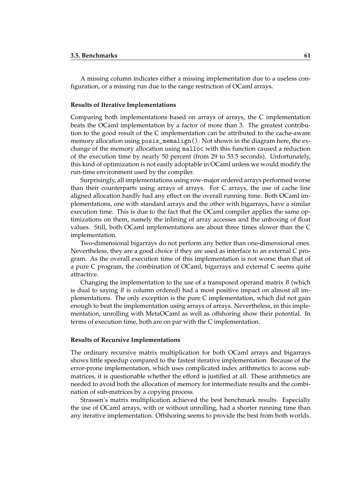A missing column indicates either a missing implementation due to a useless configuration, or a missing run due to the range restriction of OCaml arrays.

#### **Results of Iterative Implementations**

Comparing both implementations based on arrays of arrays, the C implementation beats the OCaml implementation by a factor of more than 3. The greatest contribution to the good result of the C implementation can be attributed to the cache-aware memory allocation using  $posix_meanlign()$ . Not shown in the diagram here, the exchange of the memory allocation using malloc with this function caused a reduction of the execution time by nearly 50 percent (from 29 to 53.5 seconds). Unfortunately, this kind of optimization is not easily adoptable in OCaml unless we would modify the run-time environment used by the compiler.

Surprisingly, all implementations using row-major ordered arrays performed worse than their counterparts using arrays of arrays. For C arrays, the use of cache line aligned allocation hardly had any effect on the overall running time. Both OCaml implementations, one with standard arrays and the other with bigarrays, have a similar execution time. This is due to the fact that the OCaml compiler applies the same optimizations on them, namely the inlining of array accesses and the unboxing of float values. Still, both OCaml implementations are about three times slower than the C implementation.

Two-dimensional bigarrays do not perform any better than one-dimensional ones. Nevertheless, they are a good choice if they are used as interface to an external C program. As the overall execution time of this implementation is not worse than that of a pure C program, the combination of OCaml, bigarrays and external C seems quite attractive.

Changing the implementation to the use of a transposed operand matrix *B* (which is dual to saying *B* is column ordered) had a most positive impact on almost all implementations. The only exception is the pure C implementation, which did not gain enough to beat the implementation using arrays of arrays. Nevertheless, in this implementation, unrolling with MetaOCaml as well as offshoring show their potential. In terms of execution time, both are on par with the C implementation.

#### **Results of Recursive Implementations**

The ordinary recursive matrix multiplication for both OCaml arrays and bigarrays shows little speedup compared to the fastest iterative implementation. Because of the error-prone implementation, which uses complicated index arithmetics to access submatrices, it is questionable whether the efford is justified at all. These arithmetics are needed to avoid both the allocation of memory for intermediate results and the combination of sub-matrices by a copying process.

Strassen's matrix multiplication achieved the best benchmark results. Especially the use of OCaml arrays, with or without unrolling, had a shorter running time than any iterative implementation. Offshoring seems to provide the best from both worlds.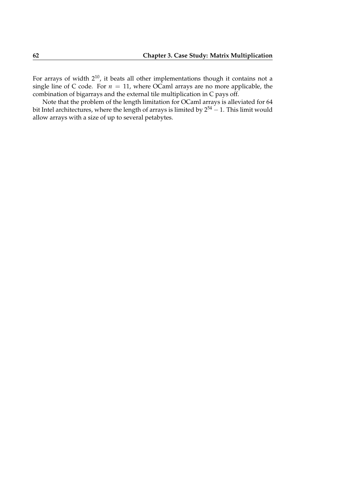For arrays of width  $2^{10}$ , it beats all other implementations though it contains not a single line of C code. For  $n = 11$ , where OCaml arrays are no more applicable, the combination of bigarrays and the external tile multiplication in C pays off.

Note that the problem of the length limitation for OCaml arrays is alleviated for 64 bit Intel architectures, where the length of arrays is limited by  $2^{54} - 1$ . This limit would allow arrays with a size of up to several petabytes.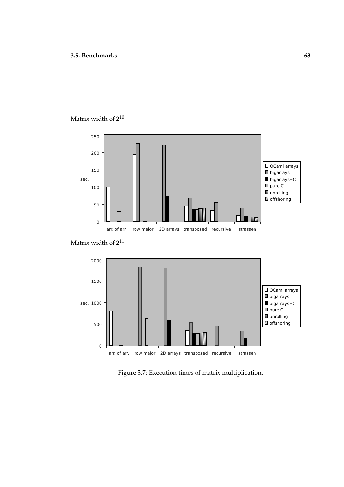## Matrix width of  $2^{10}$ :







<span id="page-62-0"></span>Figure 3.7: Execution times of matrix multiplication.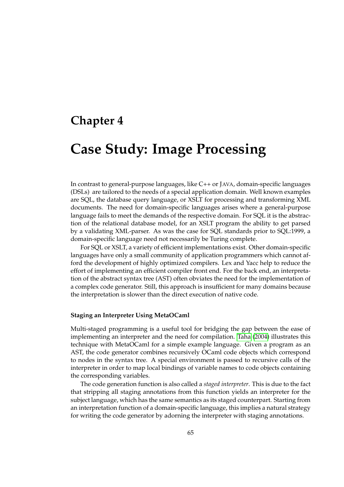# **Chapter 4**

# **Case Study: Image Processing**

In contrast to general-purpose languages, like C++ or JAVA, domain-specific languages (DSLs) are tailored to the needs of a special application domain. Well known examples are SQL, the database query language, or XSLT for processing and transforming XML documents. The need for domain-specific languages arises where a general-purpose language fails to meet the demands of the respective domain. For SQL it is the abstraction of the relational database model, for an XSLT program the ability to get parsed by a validating XML-parser. As was the case for SQL standards prior to SQL:1999, a domain-specific language need not necessarily be Turing complete.

For SQL or XSLT, a variety of efficient implementations exist. Other domain-specific languages have only a small community of application programmers which cannot afford the development of highly optimized compilers. Lex and Yacc help to reduce the effort of implementing an efficient compiler front end. For the back end, an interpretation of the abstract syntax tree (AST) often obviates the need for the implementation of a complex code generator. Still, this approach is insufficient for many domains because the interpretation is slower than the direct execution of native code.

## **Staging an Interpreter Using MetaOCaml**

<span id="page-64-0"></span>Multi-staged programming is a useful tool for bridging the gap between the ease of implementing an interpreter and the need for compilation. [Taha](#page-109-0) [\(2004\)](#page-109-0) illustrates this technique with MetaOCaml for a simple example language. Given a program as an AST, the code generator combines recursively OCaml code objects which correspond to nodes in the syntax tree. A special environment is passed to recursive calls of the interpreter in order to map local bindings of variable names to code objects containing the corresponding variables.

The code generation function is also called a *staged interpreter*. This is due to the fact that stripping all staging annotations from this function yields an interpreter for the subject language, which has the same semantics as its staged counterpart. Starting from an interpretation function of a domain-specific language, this implies a natural strategy for writing the code generator by adorning the interpreter with staging annotations.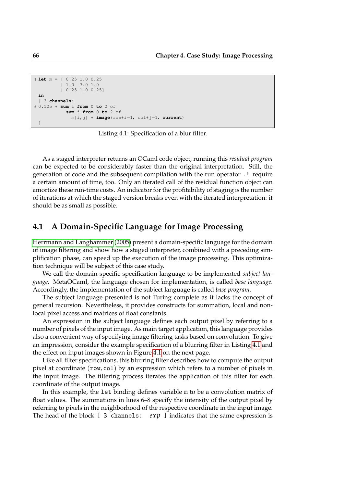```
1 let m = [ 0.25 1.0 0.25
         | 1.0 3.0 1.0
         | 0.25 1.0 0.25]
 in
 [ 3 channels:
6 0.125 ∗ sum i from 0 to 2 of
           sum j from 0 to 2 of
             m[i,j] ∗ image(row+i−1, col+j−1, current)
 ]
```
Listing 4.1: Specification of a blur filter.

As a staged interpreter returns an OCaml code object, running this *residual program* can be expected to be considerably faster than the original interpretation. Still, the generation of code and the subsequent compilation with the run operator .! require a certain amount of time, too. Only an iterated call of the residual function object can amortize these run-time costs. An indicator for the profitability of staging is the number of iterations at which the staged version breaks even with the iterated interpretation: it should be as small as possible.

## **4.1 A Domain-Specific Language for Image Processing**

[Herrmann and Langhammer](#page-107-1) [\(2005\)](#page-107-1) present a domain-specific language for the domain of image filtering and show how a staged interpreter, combined with a preceding simplification phase, can speed up the execution of the image processing. This optimization technique will be subject of this case study.

We call the domain-specific specification language to be implemented *subject language*. MetaOCaml, the language chosen for implementation, is called *base language*. Accordingly, the implementation of the subject language is called *base program*.

The subject language presented is not Turing complete as it lacks the concept of general recursion. Nevertheless, it provides constructs for summation, local and nonlocal pixel access and matrices of float constants.

An expression in the subject language defines each output pixel by referring to a number of pixels of the input image. As main target application, this language provides also a convenient way of specifying image filtering tasks based on convolution. To give an impression, consider the example specification of a blurring filter in Listing [4.1](#page-64-0) and the effect on input images shown in Figure [4.1](#page-66-0) on the next page.

Like all filter specifications, this blurring filter describes how to compute the output pixel at coordinate (row, col) by an expression which refers to a number of pixels in the input image. The filtering process iterates the application of this filter for each coordinate of the output image.

In this example, the let binding defines variable m to be a convolution matrix of float values. The summations in lines 6–8 specify the intensity of the output pixel by referring to pixels in the neighborhood of the respective coordinate in the input image. The head of the block [ 3 channels: *exp* ] indicates that the same expression is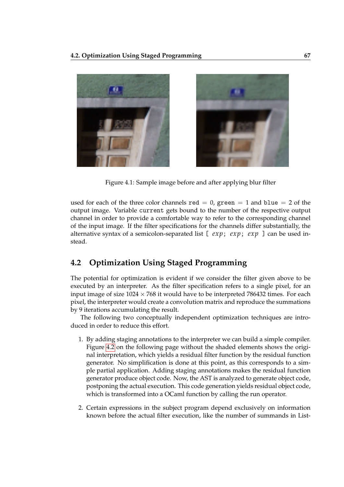

Figure 4.1: Sample image before and after applying blur filter

<span id="page-66-0"></span>used for each of the three color channels red  $= 0$ , green  $= 1$  and blue  $= 2$  of the output image. Variable current gets bound to the number of the respective output channel in order to provide a comfortable way to refer to the corresponding channel of the input image. If the filter specifications for the channels differ substantially, the alternative syntax of a semicolon-separated list [ *exp*; *exp*; *exp* ] can be used instead.

## **4.2 Optimization Using Staged Programming**

The potential for optimization is evident if we consider the filter given above to be executed by an interpreter. As the filter specification refers to a single pixel, for an input image of size  $1024 \times 768$  it would have to be interpreted 786432 times. For each pixel, the interpreter would create a convolution matrix and reproduce the summations by 9 iterations accumulating the result.

The following two conceptually independent optimization techniques are introduced in order to reduce this effort.

- 1. By adding staging annotations to the interpreter we can build a simple compiler. Figure [4.2](#page-67-0) on the following page without the shaded elements shows the original interpretation, which yields a residual filter function by the residual function generator. No simplification is done at this point, as this corresponds to a simple partial application. Adding staging annotations makes the residual function generator produce object code. Now, the AST is analyzed to generate object code, postponing the actual execution. This code generation yields residual object code, which is transformed into a OCaml function by calling the run operator.
- 2. Certain expressions in the subject program depend exclusively on information known before the actual filter execution, like the number of summands in List-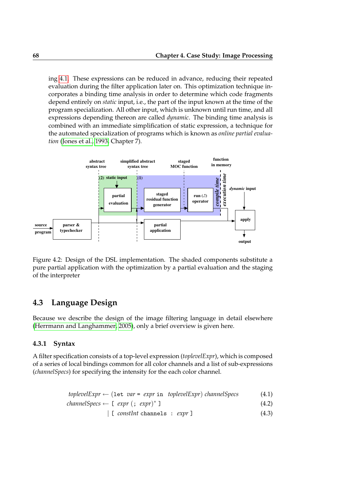ing [4.1.](#page-64-0) These expressions can be reduced in advance, reducing their repeated evaluation during the filter application later on. This optimization technique incorporates a binding time analysis in order to determine which code fragments depend entirely on *static* input, i.e., the part of the input known at the time of the program specialization. All other input, which is unknown until run time, and all expressions depending thereon are called *dynamic*. The binding time analysis is combined with an immediate simplification of static expression, a technique for the automated specialization of programs which is known as *online partial evaluation* [\(Jones et al., 1993,](#page-108-1) Chapter 7).



<span id="page-67-0"></span>Figure 4.2: Design of the DSL implementation. The shaded components substitute a pure partial application with the optimization by a partial evaluation and the staging of the interpreter

## **4.3 Language Design**

Because we describe the design of the image filtering language in detail elsewhere [\(Herrmann and Langhammer, 2005\)](#page-107-1), only a brief overview is given here.

## **4.3.1 Syntax**

A filter specification consists of a top-level expression (*toplevelExpr*), which is composed of a series of local bindings common for all color channels and a list of sub-expressions (*channelSpecs*) for specifying the intensity for the each color channel.

$$
to plevelExpr \leftarrow (let var = expr in toplevelExpr) channelSpecs
$$
 (4.1)

$$
channelSpecs \leftarrow [expr (; expr)^* ] \qquad (4.2)
$$

$$
|\text{ [ } constInt \text{ channels } : \text{ expr } ]
$$
 (4.3)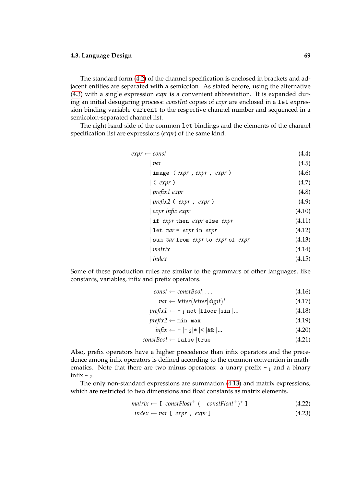The standard form [\(4.2\)](#page-67-0) of the channel specification is enclosed in brackets and adjacent entities are separated with a semicolon. As stated before, using the alternative [\(4.3\)](#page-67-0) with a single expression *expr* is a convenient abbreviation. It is expanded during an initial desugaring process: *constInt* copies of *expr* are enclosed in a let expression binding variable current to the respective channel number and sequenced in a semicolon-separated channel list.

The right hand side of the common let bindings and the elements of the channel specification list are expressions (*expr*) of the same kind.

| (4.4)  |
|--------|
| (4.5)  |
| (4.6)  |
| (4.7)  |
| (4.8)  |
| (4.9)  |
| (4.10) |
| (4.11) |
| (4.12) |
| (4.13) |
| (4.14) |
| (4.15) |
|        |

Some of these production rules are similar to the grammars of other languages, like constants, variables, infix and prefix operators.

- $const \leftarrow constBool | \dots$  (4.16)
	- *var* ← *letter*(*letter*|*digit*) ∗ (4.17)
- $\text{prefix1} \leftarrow -1 | \text{not} | \text{floor} | \text{sin} | ...$  (4.18)
- $\text{prefix2} \leftarrow \min \left| \max \right|$  (4.19)
	- $\inf\{x \leftarrow + \mid -\frac{1}{2} \mid * \mid < \mid \&& \mid \dots$  (4.20)

## $constBool \leftarrow false |true$  (4.21)

Also, prefix operators have a higher precedence than infix operators and the precedence among infix operators is defined according to the common convention in mathematics. Note that there are two minus operators: a unary prefix  $-1$  and a binary infix  $-2$ .

The only non-standard expressions are summation [\(4.13\)](#page-67-0) and matrix expressions, which are restricted to two dimensions and float constants as matrix elements.

$$
matrix \leftarrow [constFloat^+ (1 constFloat^+)^* ] \qquad (4.22)
$$

$$
index \leftarrow var [expr, expr] \tag{4.23}
$$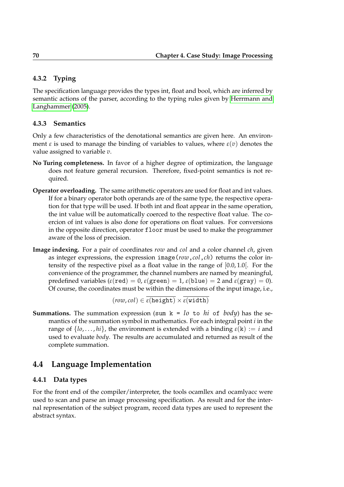## **4.3.2 Typing**

The specification language provides the types int, float and bool, which are inferred by semantic actions of the parser, according to the typing rules given by [Herrmann and](#page-107-1) [Langhammer](#page-107-1) [\(2005\)](#page-107-1).

## **4.3.3 Semantics**

Only a few characteristics of the denotational semantics are given here. An environment  $\varepsilon$  is used to manage the binding of variables to values, where  $\varepsilon(v)$  denotes the value assigned to variable *v*.

- **No Turing completeness.** In favor of a higher degree of optimization, the language does not feature general recursion. Therefore, fixed-point semantics is not required.
- **Operator overloading.** The same arithmetic operators are used for float and int values. If for a binary operator both operands are of the same type, the respective operation for that type will be used. If both int and float appear in the same operation, the int value will be automatically coerced to the respective float value. The coercion of int values is also done for operations on float values. For conversions in the opposite direction, operator floor must be used to make the programmer aware of the loss of precision.
- **Image indexing.** For a pair of coordinates *row* and *col* and a color channel *ch*, given as integer expressions, the expression image(*row*,*col*,*ch*) returns the color intensity of the respective pixel as a float value in the range of [0.0, 1.0[. For the convenience of the programmer, the channel numbers are named by meaningful, predefined variables ( $\varepsilon$ (red) = 0,  $\varepsilon$ (green) = 1,  $\varepsilon$ (blue) = 2 and  $\varepsilon$ (gray) = 0). Of course, the coordinates must be within the dimensions of the input image, i.e.,

$$
(\textit{row},\textit{col}) \in \overline{\epsilon(\textit{height})} \times \overline{\epsilon(\textit{width})}
$$

**Summations.** The summation expression (sum  $k = l_0$  to *hi* of *body*) has the semantics of the summation symbol in mathematics. For each integral point *i* in the range of  $\{lo, \ldots, hi\}$ , the environment is extended with a binding  $\varepsilon(k) := i$  and used to evaluate *body*. The results are accumulated and returned as result of the complete summation.

## **4.4 Language Implementation**

## **4.4.1 Data types**

For the front end of the compiler/interpreter, the tools ocamllex and ocamlyacc were used to scan and parse an image processing specification. As result and for the internal representation of the subject program, record data types are used to represent the abstract syntax.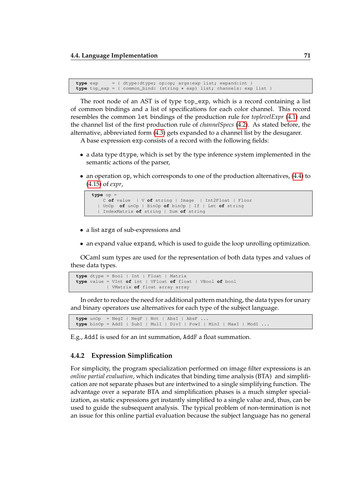```
type exp = { dtype:dtype; op:op; args:exp list; expand:int }
type top_exp = { common_bind: (string ∗ exp) list; channels: exp list }
```
The root node of an AST is of type top\_exp, which is a record containing a list of common bindings and a list of specifications for each color channel. This record resembles the common let bindings of the production rule for *toplevelExpr* [\(4.1\)](#page-67-0) and the channel list of the first production rule of *channelSpecs* [\(4.2\)](#page-67-0). As stated before, the alternative, abbreviated form [\(4.3\)](#page-67-0) gets expanded to a channel list by the desugarer.

A base expression exp consists of a record with the following fields:

- a data type dtype, which is set by the type inference system implemented in the semantic actions of the parser,
- an operation op, which corresponds to one of the production alternatives, [\(4.4\)](#page-67-0) to [\(4.15\)](#page-67-0) of *expr*,

```
type op =
   C of value | V of string | Image | Int2Float | Floor
  | UnOp of unOp | BinOp of binOp | If | Let of string
  | IndexMatrix of string | Sum of string
```
- a list args of sub-expressions and
- an expand value expand, which is used to guide the loop unrolling optimization.

OCaml sum types are used for the representation of both data types and values of these data types.

```
type dtype = Bool | Int | Float | Matrix
type value = VInt of int | VFloat of float | VBool of bool
          | VMatrix of float array array
```
In order to reduce the need for additional pattern matching, the data types for unary and binary operators use alternatives for each type of the subject language.

```
type unOp = NegI | NegF | Not | AbsI | AbsF ...
type binOp = AddI | SubI | MulI | DivI | PowI | MinI | MaxI | ModI ...
```
E.g., AddI is used for an int summation, AddF a float summation.

## **4.4.2 Expression Simplification**

For simplicity, the program specialization performed on image filter expressions is an *online partial evaluation*, which indicates that binding time analysis (BTA) and simplification are not separate phases but are intertwined to a single simplifying function. The advantage over a separate BTA and simplification phases is a much simpler specialization, as static expressions get instantly simplified to a single value and, thus, can be used to guide the subsequent analysis. The typical problem of non-termination is not an issue for this online partial evaluation because the subject language has no general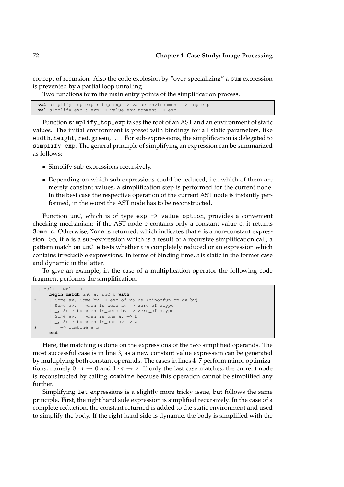concept of recursion. Also the code explosion by "over-specializing" a sum expression is prevented by a partial loop unrolling.

Two functions form the main entry points of the simplification process.

```
val simplify_top_exp : top_exp −> value environment −> top_exp
val simplify_exp : exp −> value environment −> exp
```
Function simplify\_top\_exp takes the root of an AST and an environment of static values. The initial environment is preset with bindings for all static parameters, like width, height, red, green,  $\dots$ . For sub-expressions, the simplification is delegated to simplify\_exp. The general principle of simplifying an expression can be summarized as follows:

- Simplify sub-expressions recursively.
- Depending on which sub-expressions could be reduced, i.e., which of them are merely constant values, a simplification step is performed for the current node. In the best case the respective operation of the current AST node is instantly performed, in the worst the AST node has to be reconstructed.

Function unC, which is of type exp -> value option, provides a convenient checking mechanism: if the AST node e contains only a constant value c, it returns Some c. Otherwise, None is returned, which indicates that e is a non-constant expression. So, if e is a sub-expression which is a result of a recursive simplification call, a pattern match on unC e tests whether *e* is completely reduced or an expression which contains irreducible expressions. In terms of binding time, *e* is static in the former case and dynamic in the latter.

To give an example, in the case of a multiplication operator the following code fragment performs the simplification.

```
| MulI | MulF −>
     begin match unC a, unC b with
3 | Some av, Some bv −> exp_of_value (binopfun op av bv)
     | Some av, _ when is_zero av −> zero_of dtype
       | _, Some bv when is_zero bv −> zero_of dtype
     | Some av, _ when is_one av −> b
     | _, Some bv when is_one bv −> a
8 | _ −> combine a b
     end
```
Here, the matching is done on the expressions of the two simplified operands. The most successful case is in line 3, as a new constant value expression can be generated by multiplying both constant operands. The cases in lines 4–7 perform minor optimizations, namely  $0 \cdot a \rightarrow 0$  and  $1 \cdot a \rightarrow a$ . If only the last case matches, the current node is reconstructed by calling combine because this operation cannot be simplified any further.

Simplifying let expressions is a slightly more tricky issue, but follows the same principle. First, the right hand side expression is simplified recursively. In the case of a complete reduction, the constant returned is added to the static environment and used to simplify the body. If the right hand side is dynamic, the body is simplified with the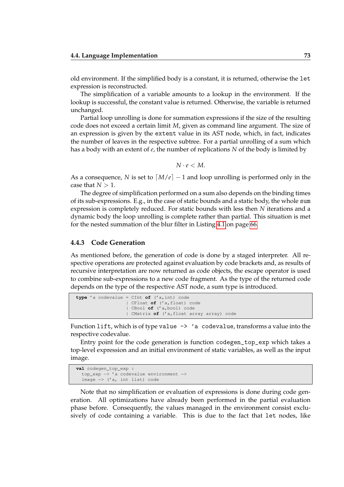old environment. If the simplified body is a constant, it is returned, otherwise the let expression is reconstructed.

The simplification of a variable amounts to a lookup in the environment. If the lookup is successful, the constant value is returned. Otherwise, the variable is returned unchanged.

Partial loop unrolling is done for summation expressions if the size of the resulting code does not exceed a certain limit *M*, given as command line argument. The size of an expression is given by the extent value in its AST node, which, in fact, indicates the number of leaves in the respective subtree. For a partial unrolling of a sum which has a body with an extent of *e*, the number of replications *N* of the body is limited by

$$
N\cdot e < M.
$$

As a consequence, *N* is set to  $\left\lceil M/e \right\rceil - 1$  and loop unrolling is performed only in the case that  $N > 1$ .

The degree of simplification performed on a sum also depends on the binding times of its sub-expressions. E.g., in the case of static bounds and a static body, the whole sum expression is completely reduced. For static bounds with less then *N* iterations and a dynamic body the loop unrolling is complete rather than partial. This situation is met for the nested summation of the blur filter in Listing [4.1](#page-64-0) on page [66.](#page-64-0)

#### **4.4.3 Code Generation**

As mentioned before, the generation of code is done by a staged interpreter. All respective operations are protected against evaluation by code brackets and, as results of recursive interpretation are now returned as code objects, the escape operator is used to combine sub-expressions to a new code fragment. As the type of the returned code depends on the type of the respective AST node, a sum type is introduced.

```
type 'a codevalue = CInt of ('a,int) code
                  | CFloat of ('a,float) code
                  | CBool of ('a,bool) code
                  | CMatrix of ('a,float array array) code
```
Function lift, which is of type value  $\rightarrow$  'a codevalue, transforms a value into the respective codevalue.

Entry point for the code generation is function codegen\_top\_exp which takes a top-level expression and an initial environment of static variables, as well as the input image.

```
val codegen_top_exp :
  top_exp −> 'a codevalue environment −>
  image −> ('a, int list) code
```
Note that no simplification or evaluation of expressions is done during code generation. All optimizations have already been performed in the partial evaluation phase before. Consequently, the values managed in the environment consist exclusively of code containing a variable. This is due to the fact that let nodes, like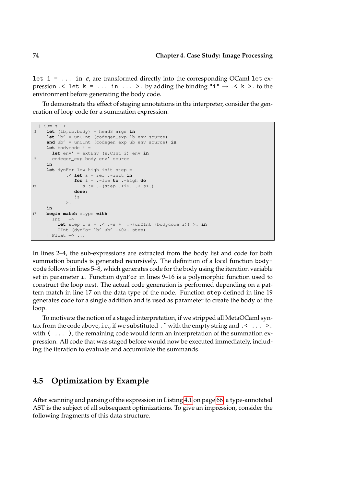let  $i = \ldots$  in *e*, are transformed directly into the corresponding OCaml let expression  $\leq$  let  $k = \ldots$  in  $\ldots$  >. by adding the binding "i"  $\rightarrow \leq k$  >. to the environment before generating the body code.

To demonstrate the effect of staging annotations in the interpreter, consider the generation of loop code for a summation expression.

```
| Sum s −>
2 let (lb,ub,body) = head3 args in
     let lb' = unCInt (codegen_exp lb env source)
     and ub' = unCInt (codegen_exp ub env source) in
     let bodycode i =
       let env' = extEnv (s,CInt i) env in
7 codegen_exp body env' source
     in
     let dynFor low high init step =
              .< let s = ref .~init in
                 for i = .~low to .~high do
12 s := \cdot (step \cdot \langle i \rangle \cdot \langle s \rangle \cdot )done;
                \mathsf{I}\geq.
     in
17 begin match dtype with
     | Int −>
          let step i s = \cdot \cdot \cdot \cdot s + \cdot \cdot (unCInt (bodycode i)) >. in
          CInt (dynFor lb' ub' .<0>. step)
     | Float −> ...
```
In lines 2–4, the sub-expressions are extracted from the body list and code for both summation bounds is generated recursively. The definition of a local function bodycode follows in lines 5–8, which generates code for the body using the iteration variable set in parameter i. Function dynFor in lines 9–16 is a polymorphic function used to construct the loop nest. The actual code generation is performed depending on a pattern match in line 17 on the data type of the node. Function step defined in line 19 generates code for a single addition and is used as parameter to create the body of the loop.

To motivate the notion of a staged interpretation, if we stripped all MetaOCaml syntax from the code above, i.e., if we substituted  $\cdot \tilde{ }$  with the empty string and  $\cdot \cdot \cdot \cdot$ . with  $( \ldots )$ , the remaining code would form an interpretation of the summation expression. All code that was staged before would now be executed immediately, including the iteration to evaluate and accumulate the summands.

### **4.5 Optimization by Example**

After scanning and parsing of the expression in Listing [4.1](#page-64-0) on page [66,](#page-64-0) a type-annotated AST is the subject of all subsequent optimizations. To give an impression, consider the following fragments of this data structure.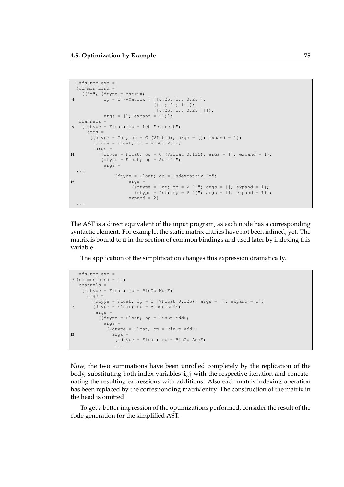```
Defs.top_exp =
  {common_bind =
   [ ("m", {dtype = Matrix;
4 op = C (VMatrix [||[0.25; 1.; 0.25]];
                               [|1.; 3.; 1.|];[|0.25; 1.; 0.25|]|args = []; expand = 1})];
  channels =
9 [{dtype = Float; op = Let "current";
      \arcs =[{dtype = Int; op = C (VInt 0); args = []; expand = 1};{dtype = Float; op = BinOp MulF;
         args =
14 [{dtype = Float; op = C (VFloat 0.125); args = []; expand = 1};
           {dtype = Float; op = Sum "i";}\arcs =...
                {dtype = Float; op = IndexMatrix "m";
19 args =\left[\{\text{dtype} = \text{Int}; \text{ op} = \mathbb{V} \text{ "i", args} = []; \text{ expand} = 1\}\right]{dtype = Int; op = V "j"; args = []; expand = 1}];
                     expand = 2}...
```
The AST is a direct equivalent of the input program, as each node has a corresponding syntactic element. For example, the static matrix entries have not been inlined, yet. The matrix is bound to m in the section of common bindings and used later by indexing this variable.

The application of the simplification changes this expression dramatically.

```
Defs.top_exp =
2 {common\_bind = [];
  channels =
   [{dtype = Float; op = BinOp MulF;
     \arcs =[{dtype = Float; op = C (VFloat 0.125); args = []; expand = 1};
7 {dtype = Float; op = BinOp AddF;
        args =
         [{dtype = Float; op = BinOp AddF;
          args =
            [{dtype = Float; op = BinOp AddF;
12 args =
              [{dtype = Float; op = BinOp AddF;
               ...
```
Now, the two summations have been unrolled completely by the replication of the body, substituting both index variables i,j with the respective iteration and concatenating the resulting expressions with additions. Also each matrix indexing operation has been replaced by the corresponding matrix entry. The construction of the matrix in the head is omitted.

To get a better impression of the optimizations performed, consider the result of the code generation for the simplified AST.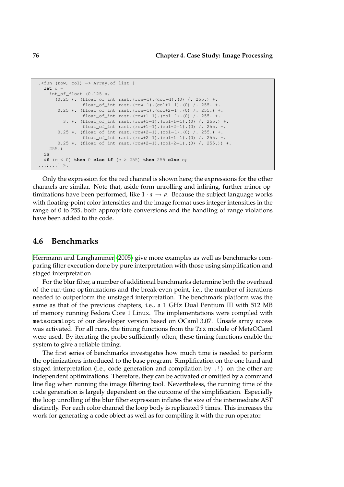```
.<fun (row, col) −> Array.of_list [
 let c =
   int_of_float (0.125 ∗.
     (0.25 ∗. (float_of_int rast.(row−1).(col−1).(0) /. 255.) +.
                float_of_int rast.(row−1).(col+1−1).(0) /. 255. +.
       0.25 ∗. (float_of_int rast.(row−1).(col+2−1).(0) /. 255.) +.
                float_of_int rast.(row+1−1).(col−1).(0) /. 255. +.
        3. ∗. (float_of_int rast.(row+1−1).(col+1−1).(0) /. 255.) +.
                float_of_int rast.(row+1−1).(col+2−1).(0) /. 255. +.
      0.25 ∗. (float_of_int rast.(row+2−1).(col−1).(0) /. 255.) +.
               float_of_int rast.(row+2−1).(col+1−1).(0) /. 255. +.
      0.25 ∗. (float_of_int rast.(row+2−1).(col+2−1).(0) /. 255.)) ∗.
   255.)
 in
 if (c < 0) then 0 else if (c > 255) then 255 else c;
...;...] >.
```
Only the expression for the red channel is shown here; the expressions for the other channels are similar. Note that, aside form unrolling and inlining, further minor optimizations have been performed, like  $1 \cdot a \rightarrow a$ . Because the subject language works with floating-point color intensities and the image format uses integer intensities in the range of 0 to 255, both appropriate conversions and the handling of range violations have been added to the code.

### **4.6 Benchmarks**

[Herrmann and Langhammer](#page-107-0) [\(2005\)](#page-107-0) give more examples as well as benchmarks comparing filter execution done by pure interpretation with those using simplification and staged interpretation.

For the blur filter, a number of additional benchmarks determine both the overhead of the run-time optimizations and the break-even point, i.e., the number of iterations needed to outperform the unstaged interpretation. The benchmark platform was the same as that of the previous chapters, i.e., a 1 GHz Dual Pentium III with 512 MB of memory running Fedora Core 1 Linux. The implementations were compiled with metaocamlopt of our developer version based on OCaml 3.07. Unsafe array access was activated. For all runs, the timing functions from the Trx module of MetaOCaml were used. By iterating the probe sufficiently often, these timing functions enable the system to give a reliable timing.

The first series of benchmarks investigates how much time is needed to perform the optimizations introduced to the base program. Simplification on the one hand and staged interpretation (i.e., code generation and compilation by .!) on the other are independent optimizations. Therefore, they can be activated or omitted by a command line flag when running the image filtering tool. Nevertheless, the running time of the code generation is largely dependent on the outcome of the simplification. Especially the loop unrolling of the blur filter expression inflates the size of the intermediate AST distinctly. For each color channel the loop body is replicated 9 times. This increases the work for generating a code object as well as for compiling it with the run operator.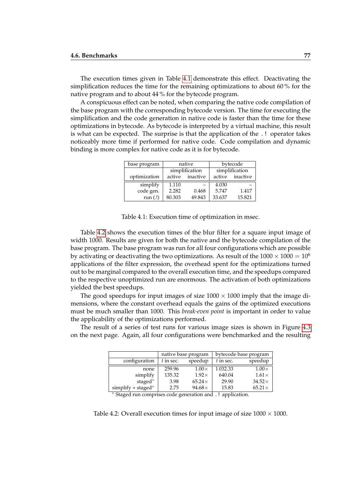The execution times given in Table [4.1](#page-76-0) demonstrate this effect. Deactivating the simplification reduces the time for the remaining optimizations to about 60 % for the native program and to about 44 % for the bytecode program.

A conspicuous effect can be noted, when comparing the native code compilation of the base program with the corresponding bytecode version. The time for executing the simplification and the code generation in native code is faster than the time for these optimizations in bytecode. As bytecode is interpreted by a virtual machine, this result is what can be expected. The surprise is that the application of the .! operator takes noticeably more time if performed for native code. Code compilation and dynamic binding is more complex for native code as it is for bytecode.

| base program |        | native         | bytecode |                 |  |
|--------------|--------|----------------|----------|-----------------|--|
|              |        | simplification |          | simplification  |  |
| optimization | active | inactive       |          | active inactive |  |
| simplify     | 1.110  |                | 4.030    |                 |  |
| code gen.    | 2.282  | 0.468          | 5.747    | 1.417           |  |
| run $(.!)$   | 80.303 | 49.843         | 33.637   | 15.821          |  |

<span id="page-76-0"></span>Table 4.1: Execution time of optimization in msec.

Table [4.2](#page-76-1) shows the execution times of the blur filter for a square input image of width 1000. Results are given for both the native and the bytecode compilation of the base program. The base program was run for all four configurations which are possible by activating or deactivating the two optimizations. As result of the  $1000 \times 1000 = 10^6$ applications of the filter expression, the overhead spent for the optimizations turned out to be marginal compared to the overall execution time, and the speedups compared to the respective unoptimized run are enormous. The activation of both optimizations yielded the best speedups.

The good speedups for input images of size  $1000 \times 1000$  imply that the image dimensions, where the constant overhead equals the gains of the optimized executions must be much smaller than 1000. This *break-even point* is important in order to value the applicability of the optimizations performed.

The result of a series of test runs for various image sizes is shown in Figure [4.3](#page-77-0) on the next page. Again, all four configurations were benchmarked and the resulting

|                                                        |             | native base program | bytecode base program |               |  |
|--------------------------------------------------------|-------------|---------------------|-----------------------|---------------|--|
| configuration                                          | $t$ in sec. | speedup             | $t$ in sec.           | speedup       |  |
| none                                                   | 259.96      | $1.00\times$        | 1 0 3 2 . 3 3         | $1.00\times$  |  |
| simplify                                               | 135.32      | $1.92\times$        | 640.04                | $1.61\times$  |  |
| staged $*$                                             | 3.98        | $65.24\times$       | 29.90                 | $34.52\times$ |  |
| simplify $+$ staged $*$<br>$\sim$ $\sim$ $\sim$ $\sim$ | 2.75        | $94.68\times$       | 15.83                 | $65.21\times$ |  |

<span id="page-76-1"></span><sup>∗</sup> Staged run comprises code generation and .! application.

Table 4.2: Overall execution times for input image of size  $1000 \times 1000$ .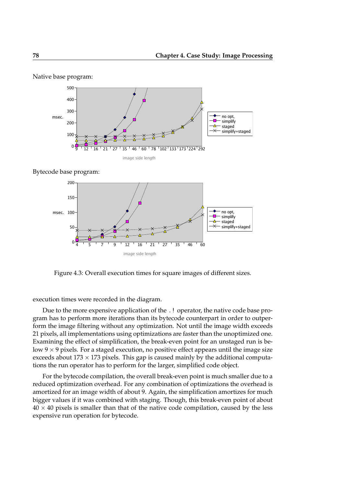





<span id="page-77-0"></span>Figure 4.3: Overall execution times for square images of different sizes.

execution times were recorded in the diagram.

Due to the more expensive application of the .! operator, the native code base program has to perform more iterations than its bytecode counterpart in order to outperform the image filtering without any optimization. Not until the image width exceeds 21 pixels, all implementations using optimizations are faster than the unoptimized one. Examining the effect of simplification, the break-even point for an unstaged run is below  $9 \times 9$  pixels. For a staged execution, no positive effect appears until the image size exceeds about  $173 \times 173$  pixels. This gap is caused mainly by the additional computations the run operator has to perform for the larger, simplified code object.

For the bytecode compilation, the overall break-even point is much smaller due to a reduced optimization overhead. For any combination of optimizations the overhead is amortized for an image width of about 9. Again, the simplification amortizes for much bigger values if it was combined with staging. Though, this break-even point of about  $40 \times 40$  pixels is smaller than that of the native code compilation, caused by the less expensive run operation for bytecode.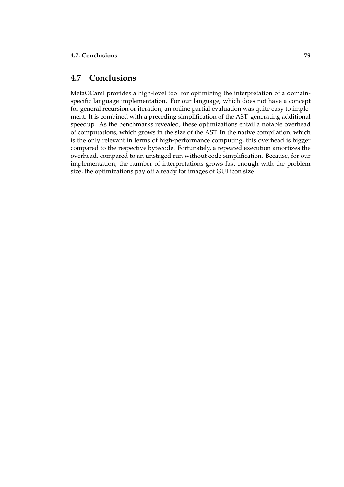# **4.7 Conclusions**

MetaOCaml provides a high-level tool for optimizing the interpretation of a domainspecific language implementation. For our language, which does not have a concept for general recursion or iteration, an online partial evaluation was quite easy to implement. It is combined with a preceding simplification of the AST, generating additional speedup. As the benchmarks revealed, these optimizations entail a notable overhead of computations, which grows in the size of the AST. In the native compilation, which is the only relevant in terms of high-performance computing, this overhead is bigger compared to the respective bytecode. Fortunately, a repeated execution amortizes the overhead, compared to an unstaged run without code simplification. Because, for our implementation, the number of interpretations grows fast enough with the problem size, the optimizations pay off already for images of GUI icon size.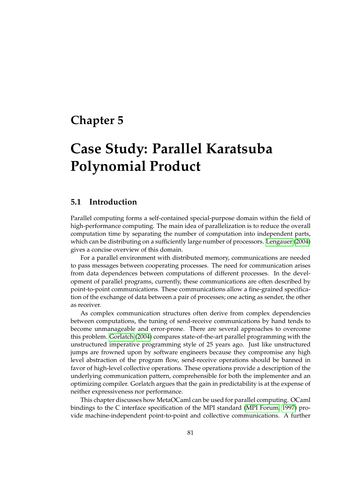# **Chapter 5**

# **Case Study: Parallel Karatsuba Polynomial Product**

## **5.1 Introduction**

Parallel computing forms a self-contained special-purpose domain within the field of high-performance computing. The main idea of parallelization is to reduce the overall computation time by separating the number of computation into independent parts, which can be distributing on a sufficiently large number of processors. [Lengauer](#page-108-0) [\(2004\)](#page-108-0) gives a concise overview of this domain.

For a parallel environment with distributed memory, communications are needed to pass messages between cooperating processes. The need for communication arises from data dependences between computations of different processes. In the development of parallel programs, currently, these communications are often described by point-to-point communications. These communications allow a fine-grained specification of the exchange of data between a pair of processes; one acting as sender, the other as receiver.

As complex communication structures often derive from complex dependencies between computations, the tuning of send-receive communications by hand tends to become unmanageable and error-prone. There are several approaches to overcome this problem. [Gorlatch](#page-107-1) [\(2004\)](#page-107-1) compares state-of-the-art parallel programming with the unstructured imperative programming style of 25 years ago. Just like unstructured jumps are frowned upon by software engineers because they compromise any high level abstraction of the program flow, send-receive operations should be banned in favor of high-level collective operations. These operations provide a description of the underlying communication pattern, comprehensible for both the implementer and an optimizing compiler. Gorlatch argues that the gain in predictability is at the expense of neither expressiveness nor performance.

This chapter discusses how MetaOCaml can be used for parallel computing. OCaml bindings to the C interface specification of the MPI standard [\(MPI Forum, 1997\)](#page-108-1) provide machine-independent point-to-point and collective communications. A further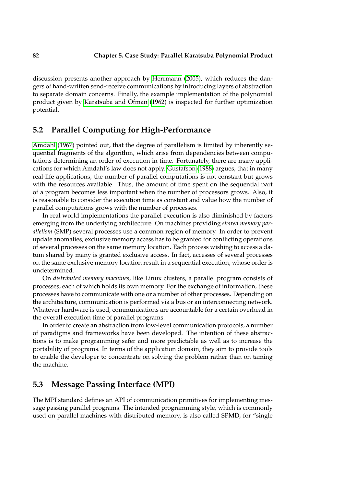discussion presents another approach by [Herrmann](#page-107-2) [\(2005\)](#page-107-2), which reduces the dangers of hand-written send-receive communications by introducing layers of abstraction to separate domain concerns. Finally, the example implementation of the polynomial product given by [Karatsuba and Ofman](#page-108-2) [\(1962\)](#page-108-2) is inspected for further optimization potential.

# **5.2 Parallel Computing for High-Performance**

[Amdahl](#page-106-0) [\(1967\)](#page-106-0) pointed out, that the degree of parallelism is limited by inherently sequential fragments of the algorithm, which arise from dependencies between computations determining an order of execution in time. Fortunately, there are many applications for which Amdahl's law does not apply. [Gustafson](#page-107-3) [\(1988\)](#page-107-3) argues, that in many real-life applications, the number of parallel computations is not constant but grows with the resources available. Thus, the amount of time spent on the sequential part of a program becomes less important when the number of processors grows. Also, it is reasonable to consider the execution time as constant and value how the number of parallel computations grows with the number of processes.

In real world implementations the parallel execution is also diminished by factors emerging from the underlying architecture. On machines providing *shared memory parallelism* (SMP) several processes use a common region of memory. In order to prevent update anomalies, exclusive memory access has to be granted for conflicting operations of several processes on the same memory location. Each process wishing to access a datum shared by many is granted exclusive access. In fact, accesses of several processes on the same exclusive memory location result in a sequential execution, whose order is undetermined.

On *distributed memory machines*, like Linux clusters, a parallel program consists of processes, each of which holds its own memory. For the exchange of information, these processes have to communicate with one or a number of other processes. Depending on the architecture, communication is performed via a bus or an interconnecting network. Whatever hardware is used, communications are accountable for a certain overhead in the overall execution time of parallel programs.

In order to create an abstraction from low-level communication protocols, a number of paradigms and frameworks have been developed. The intention of these abstractions is to make programming safer and more predictable as well as to increase the portability of programs. In terms of the application domain, they aim to provide tools to enable the developer to concentrate on solving the problem rather than on taming the machine.

# **5.3 Message Passing Interface (MPI)**

The MPI standard defines an API of communication primitives for implementing message passing parallel programs. The intended programming style, which is commonly used on parallel machines with distributed memory, is also called SPMD, for "single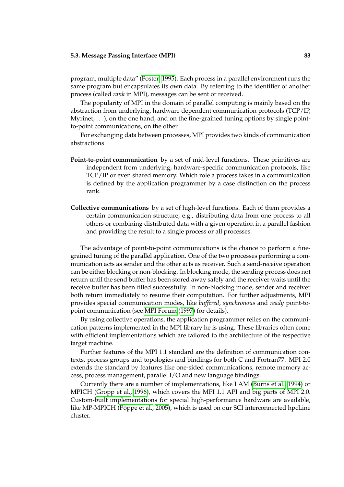program, multiple data" [\(Foster, 1995\)](#page-107-4). Each process in a parallel environment runs the same program but encapsulates its own data. By referring to the identifier of another process (called *rank* in MPI), messages can be sent or received.

The popularity of MPI in the domain of parallel computing is mainly based on the abstraction from underlying, hardware dependent communication protocols (TCP/IP, Myrinet,  $\dots$ ), on the one hand, and on the fine-grained tuning options by single pointto-point communications, on the other.

For exchanging data between processes, MPI provides two kinds of communication abstractions

- **Point-to-point communication** by a set of mid-level functions. These primitives are independent from underlying, hardware-specific communication protocols, like TCP/IP or even shared memory. Which role a process takes in a communication is defined by the application programmer by a case distinction on the process rank.
- **Collective communications** by a set of high-level functions. Each of them provides a certain communication structure, e.g., distributing data from one process to all others or combining distributed data with a given operation in a parallel fashion and providing the result to a single process or all processes.

The advantage of point-to-point communications is the chance to perform a finegrained tuning of the parallel application. One of the two processes performing a communication acts as sender and the other acts as receiver. Such a send-receive operation can be either blocking or non-blocking. In blocking mode, the sending process does not return until the send buffer has been stored away safely and the receiver waits until the receive buffer has been filled successfully. In non-blocking mode, sender and receiver both return immediately to resume their computation. For further adjustments, MPI provides special communication modes, like *buffered*, *synchronous* and *ready* point-topoint communication (see [MPI Forum](#page-108-1) [\(1997\)](#page-108-1) for details).

By using collective operations, the application programmer relies on the communication patterns implemented in the MPI library he is using. These libraries often come with efficient implementations which are tailored to the architecture of the respective target machine.

Further features of the MPI 1.1 standard are the definition of communication contexts, process groups and topologies and bindings for both C and Fortran77. MPI 2.0 extends the standard by features like one-sided communications, remote memory access, process management, parallel I/O and new language bindings.

Currently there are a number of implementations, like LAM [\(Burns et al., 1994\)](#page-106-1) or MPICH [\(Gropp et al., 1996\)](#page-107-5), which covers the MPI 1.1 API and big parts of MPI 2.0. Custom-built implementations for special high-performance hardware are available, like MP-MPICH [\(Pöppe et al., 2005\)](#page-108-3), which is used on our SCI interconnected hpcLine cluster.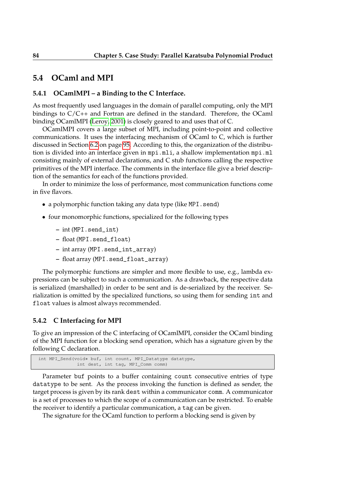### **5.4 OCaml and MPI**

### **5.4.1 OCamlMPI – a Binding to the C Interface.**

As most frequently used languages in the domain of parallel computing, only the MPI bindings to C/C++ and Fortran are defined in the standard. Therefore, the OCaml binding OCamlMPI [\(Leroy, 2001\)](#page-108-4) is closely geared to and uses that of C.

OCamlMPI covers a large subset of MPI, including point-to-point and collective communications. It uses the interfacing mechanism of OCaml to C, which is further discussed in Section [6.2](#page-94-0) on page [95.](#page-94-0) According to this, the organization of the distribution is divided into an interface given in mpi.mli, a shallow implementation mpi.ml consisting mainly of external declarations, and C stub functions calling the respective primitives of the MPI interface. The comments in the interface file give a brief description of the semantics for each of the functions provided.

In order to minimize the loss of performance, most communication functions come in five flavors.

- a polymorphic function taking any data type (like MPI. send)
- four monomorphic functions, specialized for the following types
	- **–** int (MPI.send\_int)
	- **–** float (MPI.send\_float)
	- **–** int array (MPI.send\_int\_array)
	- **–** float array (MPI.send\_float\_array)

The polymorphic functions are simpler and more flexible to use, e.g., lambda expressions can be subject to such a communication. As a drawback, the respective data is serialized (marshalled) in order to be sent and is de-serialized by the receiver. Serialization is omitted by the specialized functions, so using them for sending int and float values is almost always recommended.

#### **5.4.2 C Interfacing for MPI**

To give an impression of the C interfacing of OCamlMPI, consider the OCaml binding of the MPI function for a blocking send operation, which has a signature given by the following C declaration.

```
int MPI_Send(void∗ buf, int count, MPI_Datatype datatype,
              int dest, int tag, MPI_Comm comm)
```
Parameter buf points to a buffer containing count consecutive entries of type datatype to be sent. As the process invoking the function is defined as sender, the target process is given by its rank dest within a communicator comm. A communicator is a set of processes to which the scope of a communication can be restricted. To enable the receiver to identify a particular communication, a tag can be given.

The signature for the OCaml function to perform a blocking send is given by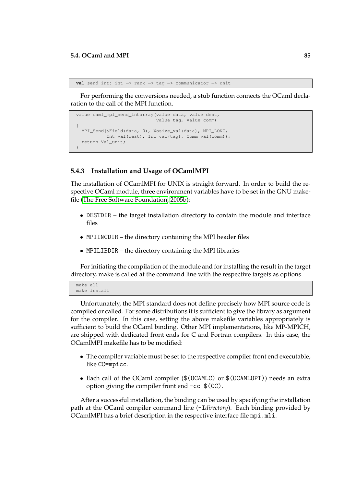```
val send_int: int −> rank −> tag −> communicator −> unit
```
For performing the conversions needed, a stub function connects the OCaml declaration to the call of the MPI function.

```
value caml_mpi_send_intarray(value data, value dest,
                             value tag, value comm)
{
 MPI_Send(&Field(data, 0), Wosize_val(data), MPI_LONG,
          Int_val(dest), Int_val(tag), Comm_val(comm));
 return Val_unit;
}
```
#### **5.4.3 Installation and Usage of OCamlMPI**

The installation of OCamlMPI for UNIX is straight forward. In order to build the respective OCaml module, three environment variables have to be set in the GNU makefile [\(The Free Software Foundation, 2005b\)](#page-109-0):

- DESTDIR the target installation directory to contain the module and interface files
- MPIINCDIR the directory containing the MPI header files
- MPILIBDIR the directory containing the MPI libraries

For initiating the compilation of the module and for installing the result in the target directory, make is called at the command line with the respective targets as options.

```
make all
make install
```
Unfortunately, the MPI standard does not define precisely how MPI source code is compiled or called. For some distributions it is sufficient to give the library as argument for the compiler. In this case, setting the above makefile variables appropriately is sufficient to build the OCaml binding. Other MPI implementations, like MP-MPICH, are shipped with dedicated front ends for C and Fortran compilers. In this case, the OCamlMPI makefile has to be modified:

- The compiler variable must be set to the respective compiler front end executable, like CC=mpicc.
- Each call of the OCaml compiler (\$(OCAMLC) or \$(OCAMLOPT)) needs an extra option giving the compiler front end -cc \$(CC).

After a successful installation, the binding can be used by specifying the installation path at the OCaml compiler command line (-I*directory*). Each binding provided by OCamlMPI has a brief description in the respective interface file mpi.mli.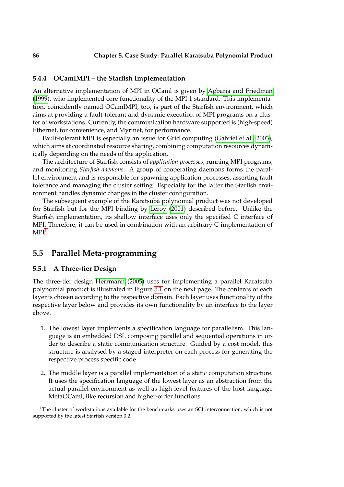#### **5.4.4 OCamlMPI – the Starfish Implementation**

An alternative implementation of MPI in OCaml is given by [Agbaria and Friedman](#page-106-2) [\(1999\)](#page-106-2), who implemented core functionality of the MPI 1 standard. This implementation, coincidently named OCamlMPI, too, is part of the Starfish environment, which aims at providing a fault-tolerant and dynamic execution of MPI programs on a cluster of workstations. Currently, the communication hardware supported is (high-speed) Ethernet, for convenience, and Myrinet, for performance.

Fault-tolerant MPI is especially an issue for Grid computing [\(Gabriel et al., 2003\)](#page-107-6), which aims at coordinated resource sharing, combining computation resources dynamically depending on the needs of the application.

The architecture of Starfish consists of *application processes*, running MPI programs, and monitoring *Starfish daemons*. A group of cooperating daemons forms the parallel environment and is responsible for spawning application processes, asserting fault tolerance and managing the cluster setting. Especially for the latter the Starfish environment handles dynamic changes in the cluster configuration.

The subsequent example of the Karatsuba polynomial product was not developed for Starfish but for the MPI binding by [Leroy](#page-108-4) [\(2001\)](#page-108-4) described before. Unlike the Starfish implementation, its shallow interface uses only the specified C interface of MPI. Therefore, it can be used in combination with an arbitrary C implementation of  $MPI<sup>1</sup>$  $MPI<sup>1</sup>$  $MPI<sup>1</sup>$ .

### **5.5 Parallel Meta-programming**

#### **5.5.1 A Three-tier Design**

The three-tier design [Herrmann](#page-107-2) [\(2005\)](#page-107-2) uses for implementing a parallel Karatsuba polynomial product is illustrated in Figure [5.1](#page-86-0) on the next page. The contents of each layer is chosen according to the respective domain. Each layer uses functionality of the respective layer below and provides its own functionality by an interface to the layer above.

- 1. The lowest layer implements a specification language for parallelism. This language is an embedded DSL composing parallel and sequential operations in order to describe a static communication structure. Guided by a cost model, this structure is analysed by a staged interpreter on each process for generating the respective process specific code.
- 2. The middle layer is a parallel implementation of a static computation structure. It uses the specification language of the lowest layer as an abstraction from the actual parallel environment as well as high-level features of the host language MetaOCaml, like recursion and higher-order functions.

<span id="page-85-0"></span><sup>&</sup>lt;sup>1</sup>The cluster of workstations available for the benchmarks uses an SCI interconnection, which is not supported by the latest Starfish version 0.2.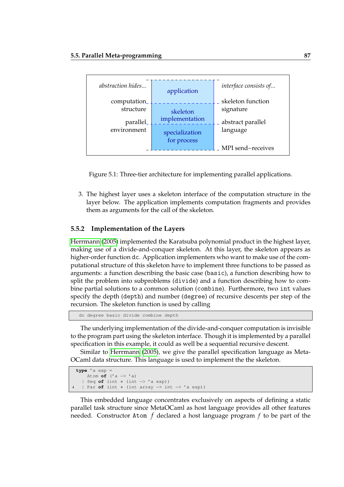

<span id="page-86-0"></span>Figure 5.1: Three-tier architecture for implementing parallel applications.

3. The highest layer uses a skeleton interface of the computation structure in the layer below. The application implements computation fragments and provides them as arguments for the call of the skeleton.

#### **5.5.2 Implementation of the Layers**

[Herrmann](#page-107-2) [\(2005\)](#page-107-2) implemented the Karatsuba polynomial product in the highest layer, making use of a divide-and-conquer skeleton. At this layer, the skeleton appears as higher-order function dc. Application implementers who want to make use of the computational structure of this skeleton have to implement three functions to be passed as arguments: a function describing the basic case (basic), a function describing how to split the problem into subproblems (divide) and a function describing how to combine partial solutions to a common solution (combine). Furthermore, two int values specify the depth (depth) and number (degree) of recursive descents per step of the recursion. The skeleton function is used by calling

```
dc degree basic divide combine depth
```
The underlying implementation of the divide-and-conquer computation is invisible to the program part using the skeleton interface. Though it is implemented by a parallel specification in this example, it could as well be a sequential recursive descent.

Similar to [Herrmann](#page-107-2) [\(2005\)](#page-107-2), we give the parallel specification language as Meta-OCaml data structure. This language is used to implement the the skeleton.

```
type 'a exp =
   Atom of ('a −> 'a)
  | Seq of (int ∗ (int −> 'a exp))
 4 | Par of (int ∗ (int array −> int −> 'a exp))
```
This embedded language concentrates exclusively on aspects of defining a static parallel task structure since MetaOCaml as host language provides all other features needed. Constructor Atom *f* declared a host language program *f* to be part of the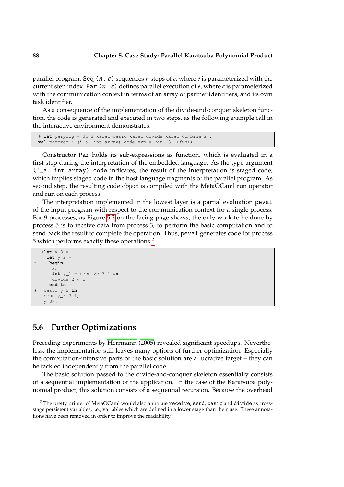parallel program. Seq (*n*, *e*) sequences *n* steps of *e*, where *e* is parameterized with the current step index. Par (*n*, *e*) defines parallel execution of *e*, where *e* is parameterized with the communication context in terms of an array of partner identifiers, and its own task identifier.

As a consequence of the implementation of the divide-and-conquer skeleton function, the code is generated and executed in two steps, as the following example call in the interactive environment demonstrates.

```
# let parprog = dc 3 karat_basic karat_divide karat_combine 2;;
val parprog : ('_a, int array) code exp = Par (3, <fun>)
```
Constructor Par holds its sub-expressions as function, which is evaluated in a first step during the interpretation of the embedded language. As the type argument  $('_a, int array)$  code indicates, the result of the interpretation is staged code, which implies staged code in the host language fragments of the parallel program. As second step, the resulting code object is compiled with the MetaOCaml run operator and run on each process

The interpretation implemented in the lowest layer is a partial evaluation peval of the input program with respect to the communication context for a single process. For 9 processes, as Figure [5.2](#page-88-0) on the facing page shows, the only work to be done by process 5 is to receive data from process 3, to perform the basic computation and to send back the result to complete the operation. Thus, peval generates code for process 5 which performs exactly these operations.<sup>[2](#page-87-0)</sup>

```
. <let v_3 =let y_2 =3 begin
      x;
      let y_1 = receive 3 1 in
     divide 2 y_1
     end in
8 basic y_2 in
   send y_3 3 1;
   y_3>.
```
# **5.6 Further Optimizations**

Preceding experiments by [Herrmann](#page-107-2) [\(2005\)](#page-107-2) revealed significant speedups. Nevertheless, the implementation still leaves many options of further optimization. Especially the computation-intensive parts of the basic solution are a lucrative target – they can be tackled independently from the parallel code.

The basic solution passed to the divide-and-conquer skeleton essentially consists of a sequential implementation of the application. In the case of the Karatsuba polynomial product, this solution consists of a sequential recursion. Because the overhead

<span id="page-87-0"></span><sup>&</sup>lt;sup>2</sup> The pretty printer of MetaOCaml would also annotate receive, send, basic and divide as crossstage persistent variables, i.e., variables which are defined in a lower stage than their use. These annotations have been removed in order to improve the readability.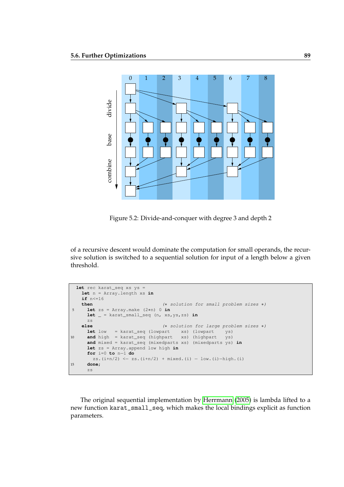

<span id="page-88-0"></span>Figure 5.2: Divide-and-conquer with degree 3 and depth 2

of a recursive descent would dominate the computation for small operands, the recursive solution is switched to a sequential solution for input of a length below a given threshold.

```
let rec karat_seq xs ys =
   let n = Array.length xs in
   if n<=16
   then (∗ solution for small problem sizes ∗)
5 let zs = Array.make (2∗n) 0 in
     let _ = karat_small_seq (n, xs,ys,zs) in
     zs
   else (∗ solution for large problem sizes ∗)
     let low = karat_seq (lowpart xs) (lowpart ys)
10 and high = karat_seq (highpart xs) (highpart ys)
     and mixed = karat_seq (mixedparts xs) (mixedparts ys) in
     let zs = Array.append low high in
     for i=0 to n−1 do
      zs.(i+n/2) <- zs.(i+n/2) + mixed.(i) - low.(i)-high.(i)
15 done;
     zs
```
The original sequential implementation by [Herrmann](#page-107-2) [\(2005\)](#page-107-2) is lambda lifted to a new function karat\_small\_seq, which makes the local bindings explicit as function parameters.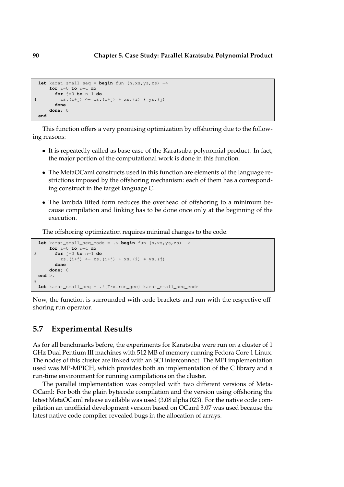```
let karat_small_seq = begin fun (n,xs,ys,zs) −>
     for i=0 to n−1 do
       for j=0 to n−1 do
4 zs.(i+j) \leftarrow zs.(i+j) + xs.(i) * ys.(j)done
     done; 0
 end
```
This function offers a very promising optimization by offshoring due to the following reasons:

- It is repeatedly called as base case of the Karatsuba polynomial product. In fact, the major portion of the computational work is done in this function.
- The MetaOCaml constructs used in this function are elements of the language restrictions imposed by the offshoring mechanism: each of them has a corresponding construct in the target language C.
- The lambda lifted form reduces the overhead of offshoring to a minimum because compilation and linking has to be done once only at the beginning of the execution.

The offshoring optimization requires minimal changes to the code.

```
let karat_small_seq_code = .< begin fun (n,xs,ys,zs) −>
     for i=0 to n−1 do
3 for j=0 to n−1 do
         zs. (i+j) \leftarrow zs.(i+j) + xs.(i) * ys.(j)done
     done; 0
 end >.
8
 let karat_small_seq = .!{Trx.run_gcc} karat_small_seq_code
```
Now, the function is surrounded with code brackets and run with the respective offshoring run operator.

# **5.7 Experimental Results**

As for all benchmarks before, the experiments for Karatsuba were run on a cluster of 1 GHz Dual Pentium III machines with 512 MB of memory running Fedora Core 1 Linux. The nodes of this cluster are linked with an SCI interconnect. The MPI implementation used was MP-MPICH, which provides both an implementation of the C library and a run-time environment for running compilations on the cluster.

The parallel implementation was compiled with two different versions of Meta-OCaml: For both the plain bytecode compilation and the version using offshoring the latest MetaOCaml release available was used (3.08 alpha 023). For the native code compilation an unofficial development version based on OCaml 3.07 was used because the latest native code compiler revealed bugs in the allocation of arrays.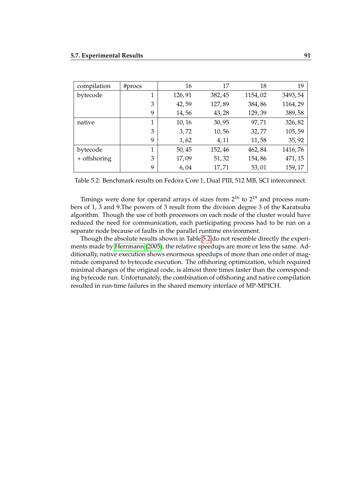| compilation  | #procs | 16     | 17     | 18      | 19      |
|--------------|--------|--------|--------|---------|---------|
| bytecode     |        | 126,91 | 382,45 | 1154,02 | 3493,54 |
|              | 3      | 42,59  | 127,89 | 384,86  | 1164,29 |
|              | 9      | 14,56  | 43,28  | 129,39  | 389,58  |
| native       | 1      | 10,16  | 30,95  | 97,71   | 326,82  |
|              | 3      | 3,72   | 10,56  | 32,77   | 105,59  |
|              | 9      | 1,62   | 4,11   | 11,58   | 35, 92  |
| bytecode     | 1      | 50,45  | 152,46 | 462,84  | 1416,76 |
| + offshoring | 3      | 17,09  | 51,32  | 154,86  | 471, 15 |
|              | 9      | 6,04   | 17,71  | 53,01   | 159, 17 |

<span id="page-90-0"></span>Table 5.2: Benchmark results on Fedora Core 1, Dual PIII, 512 MB, SCI interconnect.

Timings were done for operand arrays of sizes from 2<sup>16</sup> to 2<sup>19</sup> and process numbers of 1, 3 and 9.The powers of 3 result from the division degree 3 of the Karatsuba algorithm. Though the use of both processors on each node of the cluster would have reduced the need for communication, each participating process had to be run on a separate node because of faults in the parallel runtime environment.

Though the absolute results shown in Table [5.2](#page-90-0) do not resemble directly the experiments made by [Herrmann](#page-107-2) [\(2005\)](#page-107-2), the relative speedups are more or less the same. Additionally, native execution shows enormous speedups of more than one order of magnitude compared to bytecode execution. The offshoring optimization, which required minimal changes of the original code, is almost three times faster than the corresponding bytecode run. Unfortunately, the combination of offshoring and native compilation resulted in run-time failures in the shared memory interface of MP-MPICH.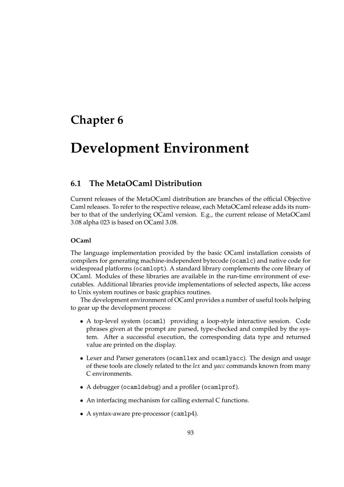# **Chapter 6**

# **Development Environment**

## **6.1 The MetaOCaml Distribution**

Current releases of the MetaOCaml distribution are branches of the official Objective Caml releases. To refer to the respective release, each MetaOCaml release adds its number to that of the underlying OCaml version. E.g., the current release of MetaOCaml 3.08 alpha 023 is based on OCaml 3.08.

#### **OCaml**

The language implementation provided by the basic OCaml installation consists of compilers for generating machine-independent bytecode (ocamlc) and native code for widespread platforms (ocamlopt). A standard library complements the core library of OCaml. Modules of these libraries are available in the run-time environment of executables. Additional libraries provide implementations of selected aspects, like access to Unix system routines or basic graphics routines.

The development environment of OCaml provides a number of useful tools helping to gear up the development process:

- A top-level system (ocaml) providing a loop-style interactive session. Code phrases given at the prompt are parsed, type-checked and compiled by the system. After a successful execution, the corresponding data type and returned value are printed on the display.
- Lexer and Parser generators (ocamllex and ocamlyacc). The design and usage of these tools are closely related to the *lex* and *yacc* commands known from many C environments.
- A debugger (ocamldebug) and a profiler (ocamlprof).
- An interfacing mechanism for calling external C functions.
- A syntax-aware pre-processor (camlp4).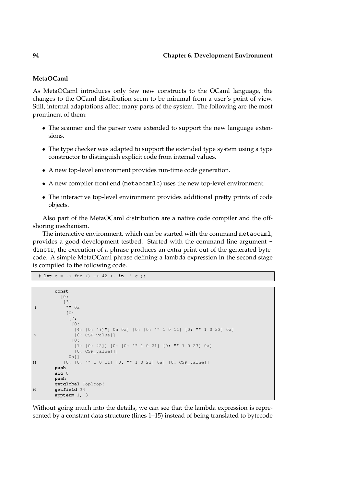### **MetaOCaml**

As MetaOCaml introduces only few new constructs to the OCaml language, the changes to the OCaml distribution seem to be minimal from a user's point of view. Still, internal adaptations affect many parts of the system. The following are the most prominent of them:

- The scanner and the parser were extended to support the new language extensions.
- The type checker was adapted to support the extended type system using a type constructor to distinguish explicit code from internal values.
- A new top-level environment provides run-time code generation.
- A new compiler front end (metaocamlc) uses the new top-level environment.
- The interactive top-level environment provides additional pretty prints of code objects.

Also part of the MetaOCaml distribution are a native code compiler and the offshoring mechanism.

The interactive environment, which can be started with the command metaocaml, provides a good development testbed. Started with the command line argument dinstr, the execution of a phrase produces an extra print-out of the generated bytecode. A simple MetaOCaml phrase defining a lambda expression in the second stage is compiled to the following code.

```
# let c = .< fun () −> 42 >. in .! c ;;
```

```
const
         [0:
          [3:
4 "" 0a
           [0:
            [7:
             \lceil 0: \rceil[4: [0: "()"] 0a 0a] [0: [0: "" 1 0 11] [0: "" 1 0 23] 0a]
9 [0: CSP_value]]
             [0:
              [1: [0: 42]] [0: [0: "" 1 0 21] [0: "" 1 0 23] 0a]
              [0: CSP_value]]]
            0a]]
14 [0: [0: "" 1 0 11] [0: "" 1 0 23] 0a] [0: CSP_value]]
       push
       acc 0
       push
       getglobal Toploop!
19 getfield 34
       appterm 1, 3
```
Without going much into the details, we can see that the lambda expression is represented by a constant data structure (lines 1–15) instead of being translated to bytecode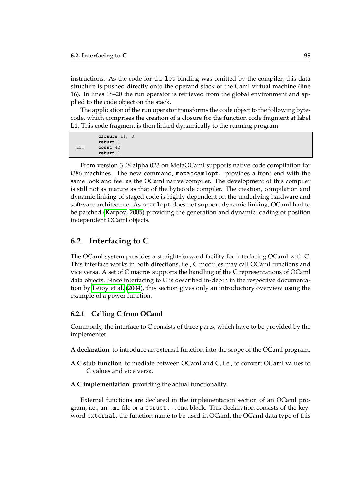instructions. As the code for the let binding was omitted by the compiler, this data structure is pushed directly onto the operand stack of the Caml virtual machine (line 16). In lines 18–20 the run operator is retrieved from the global environment and applied to the code object on the stack.

The application of the run operator transforms the code object to the following bytecode, which comprises the creation of a closure for the function code fragment at label L1. This code fragment is then linked dynamically to the running program.

```
closure L1, 0
       return 1
L1: const 42
       return 1
```
From version 3.08 alpha 023 on MetaOCaml supports native code compilation for i386 machines. The new command, metaocamlopt, provides a front end with the same look and feel as the OCaml native compiler. The development of this compiler is still not as mature as that of the bytecode compiler. The creation, compilation and dynamic linking of staged code is highly dependent on the underlying hardware and software architecture. As ocamlopt does not support dynamic linking, OCaml had to be patched [\(Karpov, 2005\)](#page-108-5) providing the generation and dynamic loading of position independent OCaml objects.

# **6.2 Interfacing to C**

The OCaml system provides a straight-forward facility for interfacing OCaml with C. This interface works in both directions, i.e., C modules may call OCaml functions and vice versa. A set of C macros supports the handling of the C representations of OCaml data objects. Since interfacing to C is described in-depth in the respective documentation by [Leroy et al.](#page-108-6) [\(2004\)](#page-108-6), this section gives only an introductory overview using the example of a power function.

### **6.2.1 Calling C from OCaml**

Commonly, the interface to C consists of three parts, which have to be provided by the implementer.

- **A declaration** to introduce an external function into the scope of the OCaml program.
- **A C stub function** to mediate between OCaml and C, i.e., to convert OCaml values to C values and vice versa.
- **A C implementation** providing the actual functionality.

External functions are declared in the implementation section of an OCaml program, i.e., an .ml file or a struct...end block. This declaration consists of the keyword external, the function name to be used in OCaml, the OCaml data type of this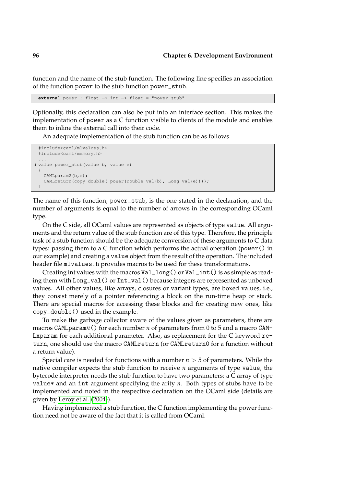function and the name of the stub function. The following line specifies an association of the function power to the stub function power\_stub.

**external** power : float −> int −> float = "power\_stub"

Optionally, this declaration can also be put into an interface section. This makes the implementation of power as a C function visible to clients of the module and enables them to inline the external call into their code.

An adequate implementation of the stub function can be as follows.

```
#include<caml/mlvalues.h>
 #include<caml/memory.h>
 ...
4 value power_stub(value b, value e)
 {
   CAMLparam2(b,e);
   CAMLreturn(copy_double( power(Double_val(b), Long_val(e))));
 }
```
The name of this function, power\_stub, is the one stated in the declaration, and the number of arguments is equal to the number of arrows in the corresponding OCaml type.

On the C side, all OCaml values are represented as objects of type value. All arguments and the return value of the stub function are of this type. Therefore, the principle task of a stub function should be the adequate conversion of these arguments to C data types: passing them to a C function which performs the actual operation (power() in our example) and creating a value object from the result of the operation. The included header file mlvalues.h provides macros to be used for these transformations.

Creating int values with the macros  $Val\_long()$  or  $Val\_int()$  is as simple as reading them with Long\_val() or Int\_val() because integers are represented as unboxed values. All other values, like arrays, closures or variant types, are boxed values, i.e., they consist merely of a pointer referencing a block on the run-time heap or stack. There are special macros for accessing these blocks and for creating new ones, like copy\_double() used in the example.

To make the garbage collector aware of the values given as parameters, there are macros CAMLparam*n*() for each number *n* of parameters from 0 to 5 and a macro CAM-Lxparam for each additional parameter. Also, as replacement for the C keyword return, one should use the macro CAMLreturn (or CAMLreturn0 for a function without a return value).

Special care is needed for functions with a number *n* > 5 of parameters. While the native compiler expects the stub function to receive *n* arguments of type value, the bytecode interpreter needs the stub function to have two parameters: a C array of type value\* and an int argument specifying the arity *n*. Both types of stubs have to be implemented and noted in the respective declaration on the OCaml side (details are given by [Leroy et al.](#page-108-6) [\(2004\)](#page-108-6)).

Having implemented a stub function, the C function implementing the power function need not be aware of the fact that it is called from OCaml.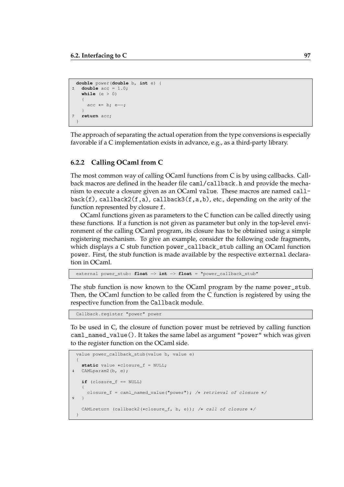```
double power(double b, int e) {
2 double acc = 1.0;
   while (e > 0){
     acc * = b; e--;}
7 return acc;
 }
```
The approach of separating the actual operation from the type conversions is especially favorable if a C implementation exists in advance, e.g., as a third-party library.

### **6.2.2 Calling OCaml from C**

The most common way of calling OCaml functions from C is by using callbacks. Callback macros are defined in the header file caml/callback.h and provide the mechanism to execute a closure given as an OCaml value. These macros are named call $back(f)$ , callback2(f,a), callback3(f,a,b), etc., depending on the arity of the function represented by closure f.

OCaml functions given as parameters to the C function can be called directly using these functions. If a function is not given as parameter but only in the top-level environment of the calling OCaml program, its closure has to be obtained using a simple registering mechanism. To give an example, consider the following code fragments, which displays a C stub function power\_callback\_stub calling an OCaml function power. First, the stub function is made available by the respective external declaration in OCaml.

external power\_stub: **float** −> **int** −> **float** = "power\_callback\_stub"

The stub function is now known to the OCaml program by the name power\_stub. Then, the OCaml function to be called from the C function is registered by using the respective function from the Callback module.

Callback.register "power" power

To be used in C, the closure of function power must be retrieved by calling function caml\_named\_value(). It takes the same label as argument "power" which was given to the register function on the OCaml side.

```
value power_callback_stub(value b, value e)
 {
   static value ∗closure_f = NULL;
4 CAMLparam2(b, e);
   if (closure_f == NULL)
   {
     closure_f = caml_named_value("power"); /∗ retrieval of closure ∗/
9 \quad 1CAMLreturn (callback2(∗closure_f, b, e)); /∗ call of closure ∗/
 }
```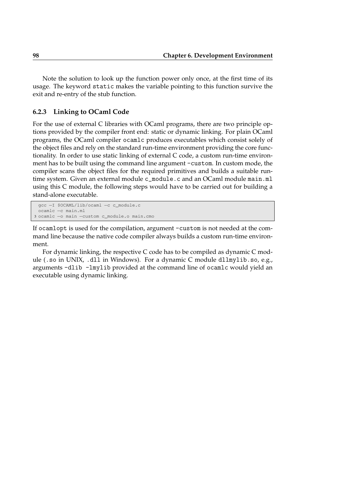Note the solution to look up the function power only once, at the first time of its usage. The keyword static makes the variable pointing to this function survive the exit and re-entry of the stub function.

### **6.2.3 Linking to OCaml Code**

For the use of external C libraries with OCaml programs, there are two principle options provided by the compiler front end: static or dynamic linking. For plain OCaml programs, the OCaml compiler ocamlc produces executables which consist solely of the object files and rely on the standard run-time environment providing the core functionality. In order to use static linking of external C code, a custom run-time environment has to be built using the command line argument -custom. In custom mode, the compiler scans the object files for the required primitives and builds a suitable runtime system. Given an external module c\_module.c and an OCaml module main.ml using this C module, the following steps would have to be carried out for building a stand-alone executable.

```
gcc −I $OCAML/lib/ocaml −c c_module.c
 ocamlc −c main.ml
3 ocamlc −o main −custom c_module.o main.cmo
```
If ocamlopt is used for the compilation, argument -custom is not needed at the command line because the native code compiler always builds a custom run-time environment.

For dynamic linking, the respective C code has to be compiled as dynamic C module (.so in UNIX, .dll in Windows). For a dynamic C module dllmylib.so, e.g., arguments -dlib -lmylib provided at the command line of ocamlc would yield an executable using dynamic linking.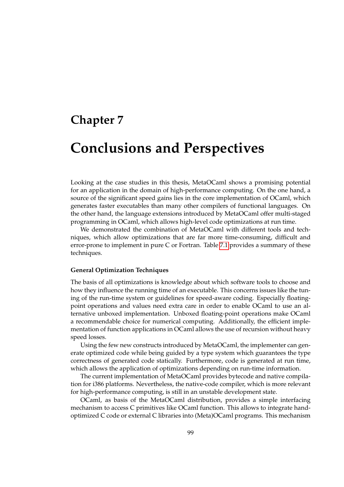# **Chapter 7**

# **Conclusions and Perspectives**

Looking at the case studies in this thesis, MetaOCaml shows a promising potential for an application in the domain of high-performance computing. On the one hand, a source of the significant speed gains lies in the core implementation of OCaml, which generates faster executables than many other compilers of functional languages. On the other hand, the language extensions introduced by MetaOCaml offer multi-staged programming in OCaml, which allows high-level code optimizations at run time.

We demonstrated the combination of MetaOCaml with different tools and techniques, which allow optimizations that are far more time-consuming, difficult and error-prone to implement in pure C or Fortran. Table [7.1](#page-99-0) provides a summary of these techniques.

#### **General Optimization Techniques**

The basis of all optimizations is knowledge about which software tools to choose and how they influence the running time of an executable. This concerns issues like the tuning of the run-time system or guidelines for speed-aware coding. Especially floatingpoint operations and values need extra care in order to enable OCaml to use an alternative unboxed implementation. Unboxed floating-point operations make OCaml a recommendable choice for numerical computing. Additionally, the efficient implementation of function applications in OCaml allows the use of recursion without heavy speed losses.

Using the few new constructs introduced by MetaOCaml, the implementer can generate optimized code while being guided by a type system which guarantees the type correctness of generated code statically. Furthermore, code is generated at run time, which allows the application of optimizations depending on run-time information.

The current implementation of MetaOCaml provides bytecode and native compilation for i386 platforms. Nevertheless, the native-code compiler, which is more relevant for high-performance computing, is still in an unstable development state.

OCaml, as basis of the MetaOCaml distribution, provides a simple interfacing mechanism to access C primitives like OCaml function. This allows to integrate handoptimized C code or external C libraries into (Meta)OCaml programs. This mechanism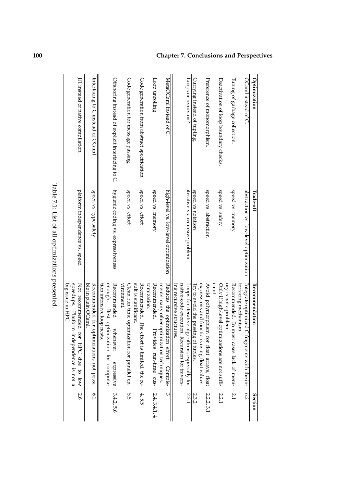| Optimization                                     | Trade-off                              | Recommendation                                                                                                                   | Section       |
|--------------------------------------------------|----------------------------------------|----------------------------------------------------------------------------------------------------------------------------------|---------------|
| OCaml instead of C                               | abstraction vs. low-level optimization | terfacing mechanism<br>Integrate optimized<br>C fragments with the in-                                                           | 6.2           |
| Tuning of garbage collection.                    | speed vs. memory                       | ory is not a problem.<br>Recommended. In most cases lack of mem-                                                                 | 2.1           |
| Deactivation of loop boundary checks.            | speed vs. safety                       | cient.<br>Only if high-level op<br>timizations are not suffi-                                                                    | 2.2.1         |
| Preference of monomorphism.                      | speed vs. abstraction                  | expressions and functions using float values<br>Avoid polymorphism for float arrays, float                                       | 2.2.2, 3.1    |
| Currying instead of tupling.                     | speed vs notation                      | Iry to avoid the passing of tuples.                                                                                              | 2.3.2         |
| Loops or recursion?                              | iterative vs. recursive problem        | ing recursive structures.<br>native-code execution. Recursion for travers-<br>Loops for iterative a<br>lgorithms, especially for | 2.3.1         |
| MetaOCaml instead of C.                          | high-level vs. low-level optimization  | Reduces the optimization effort.<br>ments many other optimization techniques<br>Comple-                                          | ω             |
| Loop unrolling.                                  | speed vs. memory                       | tomization.<br><b>Recommended.</b><br>rovides run-time cus-                                                                      | 2.4, 3.4.1, 4 |
| Code generation from abstract specification.     | speed vs. effort                       | sult is significant.<br>Recommended. The<br>effort is limited, the re-                                                           | 4, 5.5        |
| Code generation for message passing.             | speed vs. effort                       | vironment.<br>Clean run-time optimization for parallel en-                                                                       | 5.5           |
| Offshoring instead of explicit interfacing to C. | hygienic coding vs. expressiveness     | enough. Best optimization for computa-<br>Recommended<br>tion intensive loop nests<br>whenever<br>expressive                     | 3.4.2, 5.6    |
| Interfacing to C instead of OCaml.               | speed vs. type satety                  | ble in plain OCaml.<br>Recommended for optimizations not possi-                                                                  | 6.2           |
| IT instead of native compilation.                | platform independence vs. speed        | speedups. Platform<br>Not recommended<br>big issue in HPC.<br>for HPC due<br>independence is not a<br>to low                     | 5.6           |
|                                                  |                                        |                                                                                                                                  |               |

<span id="page-99-0"></span>Table 7.1: List of all optimizations presented. Table 7.1: List of all optimizations presented.

# **100 Chapter 7. Conclusions and Perspectives**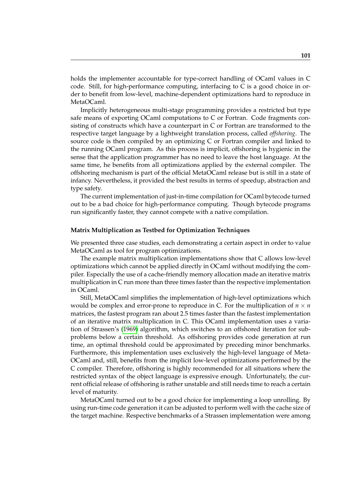holds the implementer accountable for type-correct handling of OCaml values in C code. Still, for high-performance computing, interfacing to C is a good choice in order to benefit from low-level, machine-dependent optimizations hard to reproduce in MetaOCaml.

Implicitly heterogeneous multi-stage programming provides a restricted but type safe means of exporting OCaml computations to C or Fortran. Code fragments consisting of constructs which have a counterpart in C or Fortran are transformed to the respective target language by a lightweight translation process, called *offshoring*. The source code is then compiled by an optimizing C or Fortran compiler and linked to the running OCaml program. As this process is implicit, offshoring is hygienic in the sense that the application programmer has no need to leave the host language. At the same time, he benefits from all optimizations applied by the external compiler. The offshoring mechanism is part of the official MetaOCaml release but is still in a state of infancy. Nevertheless, it provided the best results in terms of speedup, abstraction and type safety.

The current implementation of just-in-time compilation for OCaml bytecode turned out to be a bad choice for high-performance computing. Though bytecode programs run significantly faster, they cannot compete with a native compilation.

#### **Matrix Multiplication as Testbed for Optimization Techniques**

We presented three case studies, each demonstrating a certain aspect in order to value MetaOCaml as tool for program optimizations.

The example matrix multiplication implementations show that C allows low-level optimizations which cannot be applied directly in OCaml without modifying the compiler. Especially the use of a cache-friendly memory allocation made an iterative matrix multiplication in C run more than three times faster than the respective implementation in OCaml.

Still, MetaOCaml simplifies the implementation of high-level optimizations which would be complex and error-prone to reproduce in C. For the multiplication of  $n \times n$ matrices, the fastest program ran about 2.5 times faster than the fastest implementation of an iterative matrix multiplication in C. This OCaml implementation uses a variation of Strassen's [\(1969\)](#page-109-1) algorithm, which switches to an offshored iteration for subproblems below a certain threshold. As offshoring provides code generation at run time, an optimal threshold could be approximated by preceding minor benchmarks. Furthermore, this implementation uses exclusively the high-level language of Meta-OCaml and, still, benefits from the implicit low-level optimizations performed by the C compiler. Therefore, offshoring is highly recommended for all situations where the restricted syntax of the object language is expressive enough. Unfortunately, the current official release of offshoring is rather unstable and still needs time to reach a certain level of maturity.

MetaOCaml turned out to be a good choice for implementing a loop unrolling. By using run-time code generation it can be adjusted to perform well with the cache size of the target machine. Respective benchmarks of a Strassen implementation were among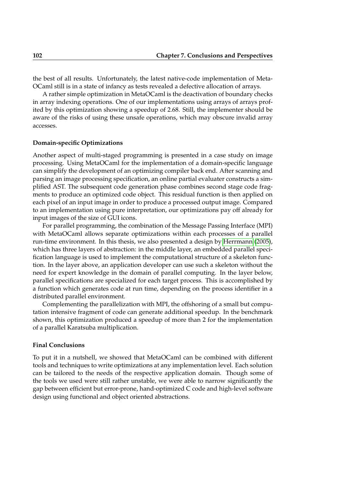the best of all results. Unfortunately, the latest native-code implementation of Meta-OCaml still is in a state of infancy as tests revealed a defective allocation of arrays.

A rather simple optimization in MetaOCaml is the deactivation of boundary checks in array indexing operations. One of our implementations using arrays of arrays profited by this optimization showing a speedup of 2.68. Still, the implementer should be aware of the risks of using these unsafe operations, which may obscure invalid array accesses.

#### **Domain-specific Optimizations**

Another aspect of multi-staged programming is presented in a case study on image processing. Using MetaOCaml for the implementation of a domain-specific language can simplify the development of an optimizing compiler back end. After scanning and parsing an image processing specification, an online partial evaluater constructs a simplified AST. The subsequent code generation phase combines second stage code fragments to produce an optimized code object. This residual function is then applied on each pixel of an input image in order to produce a processed output image. Compared to an implementation using pure interpretation, our optimizations pay off already for input images of the size of GUI icons.

For parallel programming, the combination of the Message Passing Interface (MPI) with MetaOCaml allows separate optimizations within each processes of a parallel run-time environment. In this thesis, we also presented a design by [Herrmann](#page-107-2) [\(2005\)](#page-107-2), which has three layers of abstraction: in the middle layer, an embedded parallel specification language is used to implement the computational structure of a skeleton function. In the layer above, an application developer can use such a skeleton without the need for expert knowledge in the domain of parallel computing. In the layer below, parallel specifications are specialized for each target process. This is accomplished by a function which generates code at run time, depending on the process identifier in a distributed parallel environment.

Complementing the parallelization with MPI, the offshoring of a small but computation intensive fragment of code can generate additional speedup. In the benchmark shown, this optimization produced a speedup of more than 2 for the implementation of a parallel Karatsuba multiplication.

#### **Final Conclusions**

To put it in a nutshell, we showed that MetaOCaml can be combined with different tools and techniques to write optimizations at any implementation level. Each solution can be tailored to the needs of the respective application domain. Though some of the tools we used were still rather unstable, we were able to narrow significantly the gap between efficient but error-prone, hand-optimized C code and high-level software design using functional and object oriented abstractions.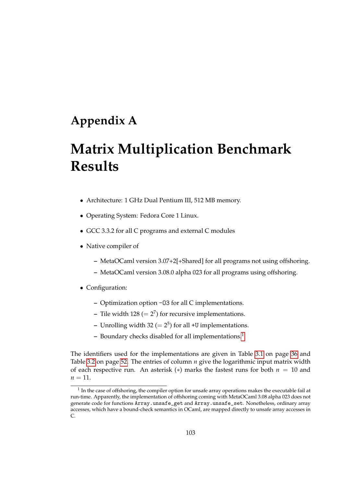# **Appendix A**

# **Matrix Multiplication Benchmark Results**

- Architecture: 1 GHz Dual Pentium III, 512 MB memory.
- Operating System: Fedora Core 1 Linux.
- GCC 3.3.2 for all C programs and external C modules
- Native compiler of
	- **–** MetaOCaml version 3.07+2[+Shared] for all programs not using offshoring.
	- **–** MetaOCaml version 3.08.0 alpha 023 for all programs using offshoring.
- Configuration:
	- **–** Optimization option -O3 for all C implementations.
	- $-$  Tile width 128 ( $= 2^7$ ) for recursive implementations.
	- **–** Unrolling width 32 (= 2 5 ) for all +U implementations.
	- **–** Boundary checks disabled for all implementations.[1](#page-102-0)

The identifiers used for the implementations are given in Table [3.1](#page-35-0) on page [36](#page-35-0) and Table [3.2](#page-51-0) on page [52.](#page-51-0) The entries of column *n* give the logarithmic input matrix width of each respective run. An asterisk  $(*)$  marks the fastest runs for both  $n = 10$  and  $n = 11$ .

<span id="page-102-0"></span> $<sup>1</sup>$  In the case of offshoring, the compiler option for unsafe array operations makes the executable fail at</sup> run-time. Apparently, the implementation of offshoring coming with MetaOCaml 3.08 alpha 023 does not generate code for functions Array.unsafe\_get and Array.unsafe\_set. Nonetheless, ordinary array accesses, which have a bound-check semantics in OCaml, are mapped directly to unsafe array accesses in C.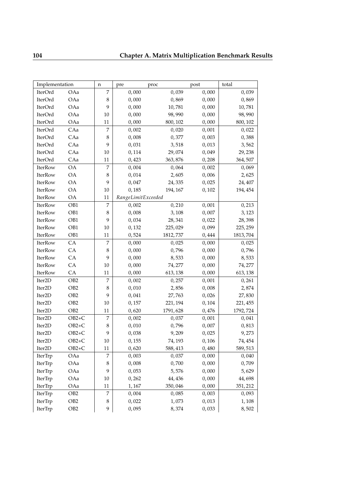| Implementation     |                 | n      | pre                | proc     | post  | total    |
|--------------------|-----------------|--------|--------------------|----------|-------|----------|
| IterOrd            | OAa             | 7      | 0,000              | 0,039    | 0,000 | 0,039    |
| IterOrd            | OAa             | 8      | 0,000              | 0,869    | 0,000 | 0,869    |
| IterOrd            | OAa             | 9      | 0,000              | 10,781   | 0,000 | 10,781   |
| IterOrd            | OAa             | 10     | 0,000              | 98,990   | 0,000 | 98,990   |
| IterOrd            | OAa             | 11     | 0,000              | 800, 102 | 0,000 | 800, 102 |
| IterOrd            | CAa             | 7      | 0,002              | 0,020    | 0,001 | 0,022    |
| IterOrd            | CAa             | 8      | 0,008              | 0,377    | 0,003 | 0,388    |
| IterOrd            | CAa             | 9      | 0,031              | 3,518    | 0,013 | 3,562    |
| IterOrd            | CAa             | 10     | 0,114              | 29,074   | 0,049 | 29,238   |
| IterOrd            | CAa             | 11     | 0,423              | 363,876  | 0,208 | 364,507  |
| IterRow            | <b>OA</b>       | 7      | 0,004              | 0,064    | 0,002 | 0,069    |
| IterRow            | <b>OA</b>       | 8      | 0,014              | 2,605    | 0,006 | 2,625    |
| IterRow            | <b>OA</b>       | 9      | 0,047              | 24,335   | 0,025 | 24,407   |
| IterRow            | <b>OA</b>       | 10     | 0,185              | 194, 167 | 0,102 | 194, 454 |
| IterRow            | <b>OA</b>       | 11     | RangeLimitExceeded |          |       |          |
| IterRow            | OB1             | 7      | 0,002              | 0,210    | 0,001 | 0,213    |
| IterRow            | OB1             | 8      | 0,008              | 3,108    | 0,007 | 3,123    |
| IterRow            | OB1             | 9      | 0,034              | 28,341   | 0,022 | 28,398   |
| IterRow            | OB1             | 10     | 0,132              | 225,029  | 0,099 | 225, 259 |
| <b>IterRow</b>     | OB1             | 11     | 0,524              | 1812,737 | 0,444 | 1813,704 |
| IterRow            | CA              | 7      | 0,000              | 0,025    | 0,000 | 0,025    |
| IterRow            | CA              | 8      | 0,000              | 0,796    | 0,000 | 0,796    |
| IterRow            | CA              | 9      | 0,000              | 8,533    | 0,000 | 8,533    |
| IterRow            | CA              | 10     | 0,000              | 74,277   | 0,000 | 74, 277  |
| IterRow            | CA              | 11     | 0,000              | 613, 138 | 0,000 | 613, 138 |
| Iter2D             | OB <sub>2</sub> | 7      | 0,002              | 0,257    | 0,001 | 0,261    |
| Iter2D             | OB <sub>2</sub> | 8      | 0,010              | 2,856    | 0,008 | 2,874    |
| Iter <sub>2D</sub> | OB <sub>2</sub> | 9      | 0,041              | 27,763   | 0,026 | 27,830   |
| Iter2D             | OB <sub>2</sub> | 10     | 0,157              | 221, 194 | 0,104 | 221, 455 |
| Iter2D             | OB <sub>2</sub> | 11     | 0,620              | 1791,628 | 0,476 | 1792,724 |
| Iter2D             | $OB2+C$         | 7      | 0,002              | 0,037    | 0,001 | 0,041    |
| Iter2D             | $OB2+C$         | 8      | 0,010              | 0,796    | 0,007 | 0,813    |
| Iter <sub>2D</sub> | $OB2+C$         | 9      | 0,038              | 9,209    | 0,025 | 9,273    |
| Iter <sub>2D</sub> | $OB2+C$         | $10\,$ | 0,155              | 74, 193  | 0,106 | 74,454   |
| Iter <sub>2D</sub> | $OB2+C$         | 11     | 0,620              | 588,413  | 0,480 | 589,513  |
| IterTrp            | OAa             | 7      | 0,003              | 0,037    | 0,000 | 0,040    |
| IterTrp            | OAa             | 8      | 0,008              | 0,700    | 0,000 | 0,709    |
| IterTrp            | OAa             | 9      | 0,053              | 5,576    | 0,000 | 5,629    |
| IterTrp            | OAa             | 10     | 0,262              | 44,436   | 0,000 | 44,698   |
| IterTrp            | OAa             | 11     | 1,167              | 350,046  | 0,000 | 351, 212 |
| IterTrp            | OB <sub>2</sub> | 7      | 0,004              | 0,085    | 0,003 | 0,093    |
| IterTrp            | OB <sub>2</sub> | 8      | 0,022              | 1,073    | 0,013 | 1,108    |
| IterTrp            | OB <sub>2</sub> | 9      | 0,095              | 8,374    | 0,033 | 8,502    |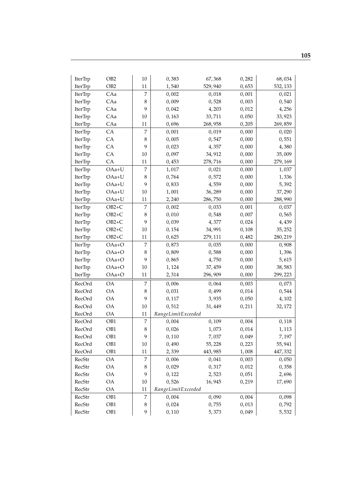| IterTrp | OB <sub>2</sub> | $10\,$           | 0,383              | 67,368   | 0,282 | 68,034   |
|---------|-----------------|------------------|--------------------|----------|-------|----------|
| IterTrp | OB <sub>2</sub> | 11               | 1,540              | 529,940  | 0,653 | 532, 133 |
| IterTrp | CAa             | 7                | 0,002              | 0,018    | 0,001 | 0,021    |
| IterTrp | CAa             | 8                | 0,009              | 0,528    | 0,003 | 0,540    |
| IterTrp | CAa             | 9                | 0,042              | 4,203    | 0,012 | 4,256    |
| IterTrp | CAa             | 10               | 0,163              | 33,711   | 0,050 | 33,923   |
| IterTrp | CAa             | 11               | 0,696              | 268,958  | 0,205 | 269,859  |
| IterTrp | CA              | 7                | 0,001              | 0,019    | 0,000 | 0,020    |
| IterTrp | CA              | $\,8\,$          | 0,005              | 0,547    | 0,000 | 0,551    |
| IterTrp | ${\rm CA}$      | 9                | 0,023              | 4,357    | 0,000 | 4,380    |
| IterTrp | CA              | 10               | 0,097              | 34,912   | 0,000 | 35,009   |
| IterTrp | CA              | 11               | 0,453              | 278,716  | 0,000 | 279, 169 |
| IterTrp | $OAa+U$         | 7                | 1,017              | 0,021    | 0,000 | 1,037    |
| IterTrp | $OAa+U$         | 8                | 0,764              | 0,572    | 0,000 | 1,336    |
| IterTrp | $OAa+U$         | 9                | 0,833              | 4,559    | 0,000 | 5,392    |
| IterTrp | $OAa+U$         | 10               | 1,001              | 36,289   | 0,000 | 37,290   |
| IterTrp | OAa+U           | 11               | 2,240              | 286,750  | 0,000 | 288,990  |
| IterTrp | $OB2+C$         | 7                | 0,002              | 0,033    | 0,001 | 0,037    |
| IterTrp | $OB2+C$         | $\,8\,$          | 0,010              | 0,548    | 0,007 | 0,565    |
| IterTrp | $OB2+C$         | 9                | 0,039              | 4,377    | 0,024 | 4,439    |
| IterTrp | $OB2+C$         | 10               | 0,154              | 34,991   | 0,108 | 35,252   |
| IterTrp | $OB2+C$         | $11\,$           | 0,625              | 279, 111 | 0,482 | 280, 219 |
| IterTrp | OAa+O           | 7                | 0,873              | 0,035    | 0,000 | 0,908    |
| IterTrp | OAa+O           | $\,8\,$          | 0,809              | 0,588    | 0,000 | 1,396    |
| IterTrp | OAa+O           | 9                | 0,865              | 4,750    | 0,000 | 5,615    |
| IterTrp | OAa+O           | $10\,$           | 1,124              | 37,459   | 0,000 | 38,583   |
| IterTrp | OAa+O           | $11\,$           | 2,314              | 296,909  | 0,000 | 299, 223 |
| RecOrd  | <b>OA</b>       | 7                | 0,006              | 0,064    | 0,003 | 0,073    |
| RecOrd  | <b>OA</b>       | $\,8\,$          | 0,031              | 0,499    | 0,014 | 0,544    |
| RecOrd  | <b>OA</b>       | 9                | 0,117              | 3,935    | 0,050 | 4,102    |
| RecOrd  | <b>OA</b>       | 10               | 0,512              | 31,449   | 0,211 | 32, 172  |
| RecOrd  | <b>OA</b>       | $11\,$           | RangeLimitExceeded |          |       |          |
| RecOrd  | OB1             | $\boldsymbol{7}$ | 0,004              | 0,109    | 0,004 | 0,118    |
| RecOrd  | OB1             | $\,$ 8 $\,$      | 0,026              | 1,073    | 0,014 | 1,113    |
| RecOrd  | OB1             | 9                | 0,110              | 7,037    | 0,049 | 7,197    |
| RecOrd  | OB1             | $10\,$           | 0,490              | 55,228   | 0,223 | 55,941   |
| RecOrd  | OB1             | 11               | 2,339              | 443,985  | 1,008 | 447,332  |
| RecStr  | OA              | 7                | 0,006              | 0,041    | 0,003 | 0,050    |
| RecStr  | OA              | $\,8\,$          | 0,029              | 0,317    | 0,012 | 0,358    |
| RecStr  | <b>OA</b>       | 9                | 0,122              | 2,523    | 0,051 | 2,696    |
| RecStr  | <b>OA</b>       | 10               | 0,526              | 16,945   | 0,219 | 17,690   |
| RecStr  | OA              | 11               | RangeLimitExceeded |          |       |          |
| RecStr  | OB1             | $\overline{7}$   | 0,004              | 0,090    | 0,004 | 0,098    |
| RecStr  | OB1             | $\,8\,$          | 0,024              | 0,755    | 0,013 | 0,792    |
| RecStr  | OB1             | 9                | 0,110              | 5,373    | 0,049 | 5,532    |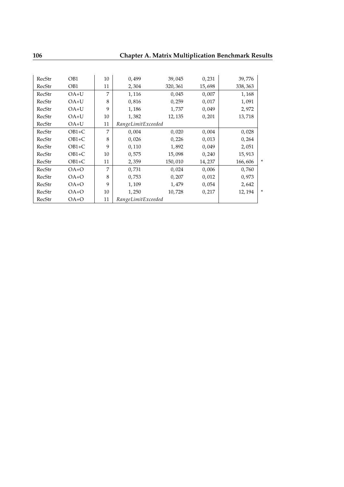| RecStr | OB1     | 10 | 0,499              | 39,045   | 0,231  | 39,776  |        |
|--------|---------|----|--------------------|----------|--------|---------|--------|
| RecStr | OB1     | 11 | 2,304              | 320, 361 | 15,698 | 338,363 |        |
| RecStr | $OA+U$  | 7  | 1,116              | 0,045    | 0,007  | 1,168   |        |
| RecStr | $OA+U$  | 8  | 0,816              | 0,259    | 0,017  | 1,091   |        |
| RecStr | $OA+U$  | 9  | 1,186              | 1,737    | 0,049  | 2,972   |        |
| RecStr | $OA+U$  | 10 | 1,382              | 12, 135  | 0,201  | 13,718  |        |
| RecStr | $OA+U$  | 11 | RangeLimitExceeded |          |        |         |        |
| RecStr | $OB1+C$ | 7  | 0,004              | 0,020    | 0,004  | 0,028   |        |
| RecStr | $OB1+C$ | 8  | 0,026              | 0,226    | 0,013  | 0,264   |        |
| RecStr | $OB1+C$ | 9  | 0,110              | 1,892    | 0,049  | 2,051   |        |
| RecStr | $OB1+C$ | 10 | 0,575              | 15,098   | 0,240  | 15,913  |        |
| RecStr | $OB1+C$ | 11 | 2,359              | 150,010  | 14,237 | 166,606 | $\ast$ |
| RecStr | $OA+O$  | 7  | 0,731              | 0,024    | 0,006  | 0,760   |        |
| RecStr | OA+O    | 8  | 0,753              | 0,207    | 0,012  | 0,973   |        |
| RecStr | $OA+O$  | 9  | 1,109              | 1,479    | 0,054  | 2,642   |        |
| RecStr | OA+O    | 10 | 1,250              | 10,728   | 0,217  | 12, 194 | ×      |
| RecStr | $OA+O$  | 11 | RangeLimitExceeded |          |        |         |        |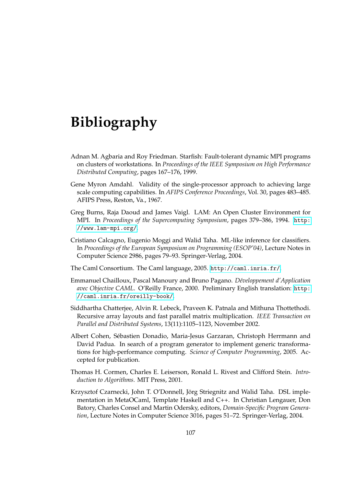# **Bibliography**

- <span id="page-106-2"></span>Adnan M. Agbaria and Roy Friedman. Starfish: Fault-tolerant dynamic MPI programs on clusters of workstations. In *Proceedings of the IEEE Symposium on High Performance Distributed Computing*, pages 167–176, 1999.
- <span id="page-106-0"></span>Gene Myron Amdahl. Validity of the single-processor approach to achieving large scale computing capabilities. In *AFIPS Conference Proceedings*, Vol. 30, pages 483–485. AFIPS Press, Reston, Va., 1967.
- <span id="page-106-1"></span>Greg Burns, Raja Daoud and James Vaigl. LAM: An Open Cluster Environment for MPI. In *Proceedings of the Supercomputing Symposium*, pages 379–386, 1994. [http:](http://www.lam-mpi.org/) [//www.lam-mpi.org/](http://www.lam-mpi.org/).
- Cristiano Calcagno, Eugenio Moggi and Walid Taha. ML-like inference for classifiers. In *Proceedings of the European Symposium on Programming (ESOP'04)*, Lecture Notes in Computer Science 2986, pages 79–93. Springer-Verlag, 2004.
- The Caml Consortium. The Caml language, 2005. <http://caml.inria.fr/>.
- Emmanuel Chailloux, Pascal Manoury and Bruno Pagano. *Développement d'Application avec Objective CAML*. O'Reilly France, 2000. Preliminary English translation: [http:](http://caml.inria.fr/oreilly-book/) [//caml.inria.fr/oreilly-book/](http://caml.inria.fr/oreilly-book/).
- Siddhartha Chatterjee, Alvin R. Lebeck, Praveen K. Patnala and Mithuna Thottethodi. Recursive array layouts and fast parallel matrix multiplication. *IEEE Transaction on Parallel and Distributed Systems*, 13(11):1105–1123, November 2002.
- Albert Cohen, Sébastien Donadio, Maria-Jesus Garzaran, Christoph Herrmann and David Padua. In search of a program generator to implement generic transformations for high-performance computing. *Science of Computer Programming*, 2005. Accepted for publication.
- Thomas H. Cormen, Charles E. Leiserson, Ronald L. Rivest and Clifford Stein. *Introduction to Algorithms*. MIT Press, 2001.
- Krzysztof Czarnecki, John T. O'Donnell, Jörg Striegnitz and Walid Taha. DSL implementation in MetaOCaml, Template Haskell and C++. In Christian Lengauer, Don Batory, Charles Consel and Martin Odersky, editors, *Domain-Specific Program Generation*, Lecture Notes in Computer Science 3016, pages 51–72. Springer-Verlag, 2004.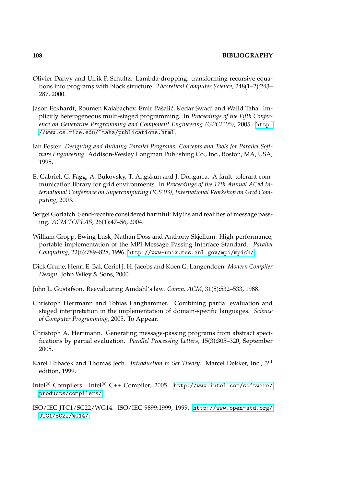- Olivier Danvy and Ulrik P. Schultz. Lambda-dropping: transforming recursive equations into programs with block structure. *Theoretical Computer Science*, 248(1–2):243– 287, 2000.
- Jason Eckhardt, Roumen Kaiabachev, Emir Pašalić, Kedar Swadi and Walid Taha. Implicitly heterogeneous multi-staged programming. In *Proceedings of the Fifth Conference on Generative Programming and Component Engineering (GPCE'05)*, 2005. [http:](http://www.cs.rice.edu/~taha/publications.html) [//www.cs.rice.edu/~taha/publications.html](http://www.cs.rice.edu/~taha/publications.html).
- <span id="page-107-4"></span>Ian Foster. *Designing and Building Parallel Programs: Concepts and Tools for Parallel Software Engineering*. Addison-Wesley Longman Publishing Co., Inc., Boston, MA, USA, 1995.
- <span id="page-107-6"></span>E. Gabriel, G. Fagg, A. Bukovsky, T. Angskun and J. Dongarra. A fault–tolerant communication library for grid environments. In *Proceedings of the 17th Annual ACM International Conference on Supercomputing (ICS'03), International Workshop on Grid Computing*, 2003.
- <span id="page-107-1"></span>Sergei Gorlatch. Send-receive considered harmful: Myths and realities of message passing. *ACM TOPLAS*, 26(1):47–56, 2004.
- <span id="page-107-5"></span>William Gropp, Ewing Lusk, Nathan Doss and Anthony Skjellum. High-performance, portable implementation of the MPI Message Passing Interface Standard. *Parallel Computing*, 22(6):789–828, 1996. <http://www-unix.mcs.anl.gov/mpi/mpich/>.
- Dick Grune, Henri E. Bal, Ceriel J. H. Jacobs and Koen G. Langendoen. *Modern Compiler Design*. John Wiley & Sons, 2000.
- <span id="page-107-3"></span>John L. Gustafson. Reevaluating Amdahl's law. *Comm. ACM*, 31(5):532–533, 1988.
- <span id="page-107-0"></span>Christoph Herrmann and Tobias Langhammer. Combining partial evaluation and staged interpretation in the implementation of domain-specific languages. *Science of Computer Programming*, 2005. To Appear.
- <span id="page-107-2"></span>Christoph A. Herrmann. Generating message-passing programs from abstract specifications by partial evaluation. *Parallel Processing Letters*, 15(3):305–320, September 2005.
- Karel Hrbacek and Thomas Jech. *Introduction to Set Theory*. Marcel Dekker, Inc., 3rd edition, 1999.
- Intel<sup>®</sup> Compilers. Intel<sup>®</sup> C++ Compiler, 2005. [http://www.intel.com/software/](http://www.intel.com/software/products/compilers/) [products/compilers/](http://www.intel.com/software/products/compilers/).
- ISO/IEC JTC1/SC22/WG14. ISO/IEC 9899:1999, 1999. [http://www.open-std.org/](http://www.open-std.org/JTC1/SC22/WG14/) [JTC1/SC22/WG14/](http://www.open-std.org/JTC1/SC22/WG14/).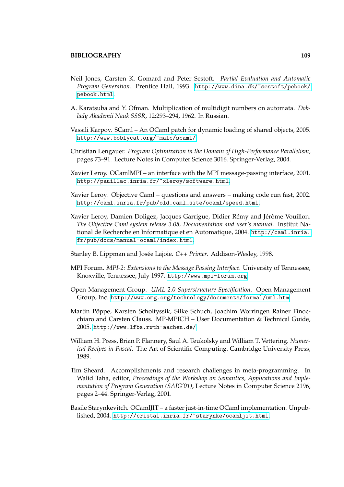- Neil Jones, Carsten K. Gomard and Peter Sestoft. *Partial Evaluation and Automatic Program Generation*. Prentice Hall, 1993. [http://www.dina.dk/~sestoft/pebook/](http://www.dina.dk/~sestoft/pebook/pebook.html) [pebook.html](http://www.dina.dk/~sestoft/pebook/pebook.html).
- A. Karatsuba and Y. Ofman. Multiplication of multidigit numbers on automata. *Doklady Akademii Nauk SSSR*, 12:293–294, 1962. In Russian.
- Vassili Karpov. SCaml An OCaml patch for dynamic loading of shared objects, 2005. <http://www.boblycat.org/~malc/scaml/>.
- Christian Lengauer. *Program Optimization in the Domain of High-Performance Parallelism*, pages 73–91. Lecture Notes in Computer Science 3016. Springer-Verlag, 2004.
- Xavier Leroy. OCamlMPI an interface with the MPI message-passing interface, 2001. <http://pauillac.inria.fr/~xleroy/software.html>.
- Xavier Leroy. Objective Caml questions and answers making code run fast, 2002. [http://caml.inria.fr/pub/old\\_caml\\_site/ocaml/speed.html](http://caml.inria.fr/pub/old_caml_site/ocaml/speed.html).
- Xavier Leroy, Damien Doligez, Jacques Garrigue, Didier Rémy and Jérôme Vouillon. *The Objective Caml system release 3.08, Documentation and user's manual*. Institut National de Recherche en Informatique et en Automatique, 2004. [http://caml.inria.](http://caml.inria.fr/pub/docs/manual-ocaml/index.html) [fr/pub/docs/manual-ocaml/index.html](http://caml.inria.fr/pub/docs/manual-ocaml/index.html).
- Stanley B. Lippman and Josée Lajoie. *C++ Primer*. Addison-Wesley, 1998.
- MPI Forum. *MPI-2: Extensions to the Message Passing Interface*. University of Tennessee, Knoxville, Tennessee, July 1997. <http://www.mpi-forum.org>.
- Open Management Group. *UML 2.0 Superstructure Specification*. Open Management Group, Inc. <http://www.omg.org/technology/documents/formal/uml.htm>.
- Martin Pöppe, Karsten Scholtyssik, Silke Schuch, Joachim Worringen Rainer Finocchiaro and Carsten Clauss. MP-MPICH – User Documentation & Technical Guide, 2005. <http://www.lfbs.rwth-aachen.de/>.
- William H. Press, Brian P. Flannery, Saul A. Teukolsky and William T. Vettering. *Numerical Recipes in Pascal*. The Art of Scientific Computing. Cambridge University Press, 1989.
- Tim Sheard. Accomplishments and research challenges in meta-programming. In Walid Taha, editor, *Proceedings of the Workshop on Semantics, Applications and Implementation of Program Generation (SAIG'01)*, Lecture Notes in Computer Science 2196, pages 2–44. Springer-Verlag, 2001.
- Basile Starynkevitch. OCamlJIT a faster just-in-time OCaml implementation. Unpublished, 2004. <http://cristal.inria.fr/~starynke/ocamljit.html>.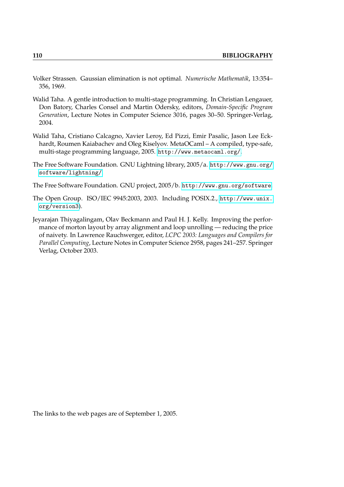- Volker Strassen. Gaussian elimination is not optimal. *Numerische Mathematik*, 13:354– 356, 1969.
- Walid Taha. A gentle introduction to multi-stage programming. In Christian Lengauer, Don Batory, Charles Consel and Martin Odersky, editors, *Domain-Specific Program Generation*, Lecture Notes in Computer Science 3016, pages 30–50. Springer-Verlag, 2004.
- Walid Taha, Cristiano Calcagno, Xavier Leroy, Ed Pizzi, Emir Pasalic, Jason Lee Eckhardt, Roumen Kaiabachev and Oleg Kiselyov. MetaOCaml – A compiled, type-safe, multi-stage programming language, 2005. <http://www.metaocaml.org/>.
- The Free Software Foundation. GNU Lightning library, 2005/a. [http://www.gnu.org/](http://www.gnu.org/software/lightning/) [software/lightning/](http://www.gnu.org/software/lightning/).
- The Free Software Foundation. GNU project, 2005/b. <http://www.gnu.org/software>.
- The Open Group. ISO/IEC 9945:2003, 2003. Including POSIX.2., [http://www.unix.](http://www.unix.org/version3) [org/version3](http://www.unix.org/version3)).
- Jeyarajan Thiyagalingam, Olav Beckmann and Paul H. J. Kelly. Improving the performance of morton layout by array alignment and loop unrolling — reducing the price of naivety. In Lawrence Rauchwerger, editor, *LCPC 2003: Languages and Compilers for Parallel Computing*, Lecture Notes in Computer Science 2958, pages 241–257. Springer Verlag, October 2003.

The links to the web pages are of September 1, 2005.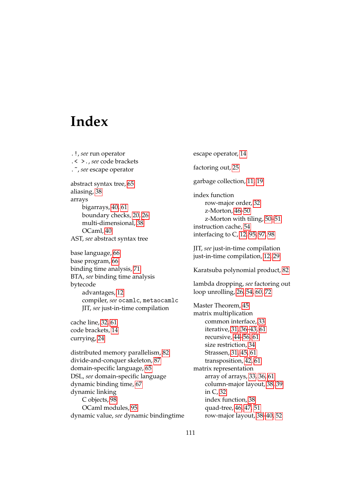## **Index**

.!, *see* run operator .< >., *see* code brackets .~, *see* escape operator abstract syntax tree, [65](#page-64-0) aliasing, [38](#page-37-0) arrays bigarrays, [40,](#page-39-0) [61](#page-60-0) boundary checks, [20,](#page-19-0) [26](#page-25-0) multi-dimensional, [38](#page-37-0) OCaml, [40](#page-39-0) AST, *see* abstract syntax tree base language, [66](#page-65-0) base program, [66](#page-65-0) binding time analysis, [71](#page-70-0) BTA, *see* binding time analysis bytecode advantages, [12](#page-11-0) compiler, *see* ocamlc, metaocamlc JIT, *see* just-in-time compilation cache line, [32,](#page-31-0) [61](#page-60-0) code brackets, [14](#page-13-0) currying, [24](#page-23-0) distributed memory parallelism, [82](#page-81-0) divide-and-conquer skeleton, [87](#page-86-0) domain-specific language, [65](#page-64-0) DSL, *see* domain-specific language dynamic binding time, [67](#page-66-0) dynamic linking

C objects, [98](#page-97-0) OCaml modules, [95](#page-94-0) dynamic value, *see* dynamic bindingtime

escape operator, [14](#page-13-0) factoring out, [25](#page-24-0) garbage collection, [11,](#page-10-0) [19](#page-18-0) index function row-major order, [32](#page-31-0) z-Morton, [46–](#page-45-0)[50](#page-49-0) z-Morton with tiling, [50](#page-49-0)[–51](#page-50-0) instruction cache, [54](#page-53-0) interfacing to C, [12,](#page-11-0) [95,](#page-94-0) [97,](#page-96-0) [98](#page-97-0) JIT, *see* just-in-time compilation just-in-time compilation, [12,](#page-11-0) [29](#page-28-0) Karatsuba polynomial product, [82](#page-81-0) lambda dropping, *see* factoring out loop unrolling, [26,](#page-25-0) [54,](#page-53-0) [60,](#page-59-0) [72](#page-71-0) Master Theorem, [45](#page-44-0) matrix multiplication common interface, [33](#page-32-0) iterative, [31,](#page-30-0) [36](#page-35-0)[–43,](#page-42-0) [61](#page-60-0) recursive, [44](#page-43-0)[–56,](#page-55-0) [61](#page-60-0) size restriction, [34](#page-33-0) Strassen, [31,](#page-30-0) [45,](#page-44-0) [61](#page-60-0) transposition, [42,](#page-41-0) [61](#page-60-0) matrix representation array of arrays, [33,](#page-32-0) [36,](#page-35-0) [61](#page-60-0) column-major layout, [38,](#page-37-0) [39](#page-38-0) in C, [32](#page-31-0) index function, [38](#page-37-0) quad-tree, [46,](#page-45-0) [47,](#page-46-0) [51](#page-50-0) row-major layout, [38](#page-37-0)[–40,](#page-39-0) [52](#page-51-0)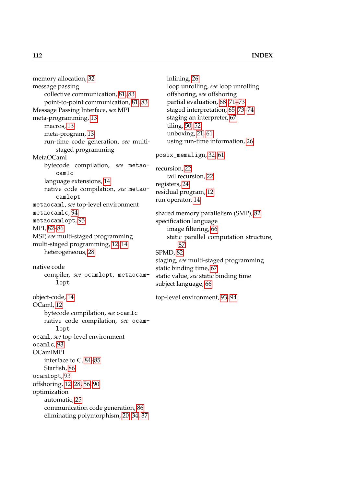memory allocation, [32](#page-31-0) message passing collective communication, [81,](#page-80-0) [83](#page-82-0) point-to-point communication, [81,](#page-80-0) [83](#page-82-0) Message Passing Interface, *see* MPI meta-programming, [13](#page-12-0) macros, [13](#page-12-0) meta-program, [13](#page-12-0) run-time code generation, *see* multistaged programming MetaOCaml bytecode compilation, *see* metaocamlc language extensions, [14](#page-13-0) native code compilation, *see* metaocamlopt metaocaml, *see* top-level environment metaocamlc, [94](#page-93-0) metaocamlopt, [95](#page-94-0) MPI, [82–](#page-81-0)[86](#page-85-0) MSP, *see* multi-staged programming multi-staged programming, [12,](#page-11-0) [14](#page-13-0) heterogeneous, [28](#page-27-0) native code compiler, *see* ocamlopt, metaocamlopt object-code, [14](#page-13-0) OCaml, [12](#page-11-0) bytecode compilation, *see* ocamlc native code compilation, *see* ocamlopt ocaml, *see* top-level environment ocamlc, [93](#page-92-0) OCamlMPI interface to C, [84](#page-83-0)[–85](#page-84-0) Starfish, [86](#page-85-0) ocamlopt, [93](#page-92-0) offshoring, [12,](#page-11-0) [28,](#page-27-0) [56,](#page-55-0) [90](#page-89-0) optimization automatic, [25](#page-24-0) communication code generation, [86](#page-85-0) eliminating polymorphism, [20,](#page-19-0) [34,](#page-33-0) [37](#page-36-0)

inlining, [26](#page-25-0) loop unrolling, *see* loop unrolling offshoring, *see* offshoring partial evaluation, [68,](#page-67-0) [71](#page-70-0)[–73](#page-72-0) staged interpretation, [65,](#page-64-0) [73](#page-72-0)[–74](#page-73-0) staging an interpreter, [67](#page-66-0) tiling, [50,](#page-49-0) [52](#page-51-0) unboxing, [21,](#page-20-0) [61](#page-60-0) using run-time information, [26](#page-25-0) posix\_memalign, [32,](#page-31-0) [61](#page-60-0) recursion, [22](#page-21-0) tail recursion, [22](#page-21-0) registers, [24](#page-23-0) residual program, [12](#page-11-0) run operator, [14](#page-13-0) shared memory parallelism (SMP), [82](#page-81-0) specification language image filtering, [66](#page-65-0) static parallel computation structure, [87](#page-86-0) SPMD, [82](#page-81-0) staging, *see* multi-staged programming static binding time, [67](#page-66-0) static value, *see* static binding time subject language, [66](#page-65-0) top-level environment, [93,](#page-92-0) [94](#page-93-0)